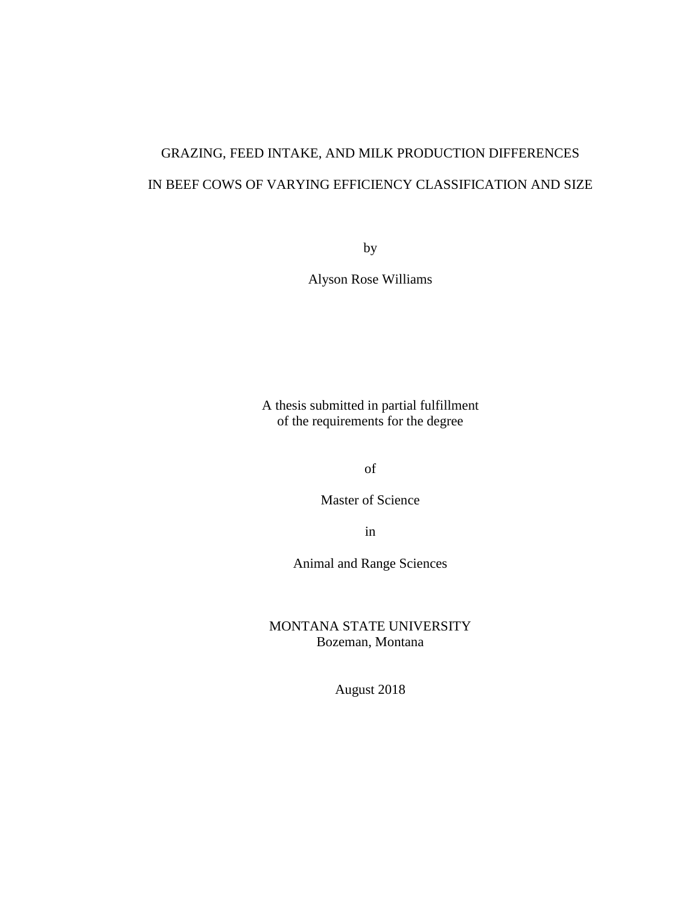# GRAZING, FEED INTAKE, AND MILK PRODUCTION DIFFERENCES IN BEEF COWS OF VARYING EFFICIENCY CLASSIFICATION AND SIZE

by

Alyson Rose Williams

A thesis submitted in partial fulfillment of the requirements for the degree

of

Master of Science

in

Animal and Range Sciences

MONTANA STATE UNIVERSITY Bozeman, Montana

August 2018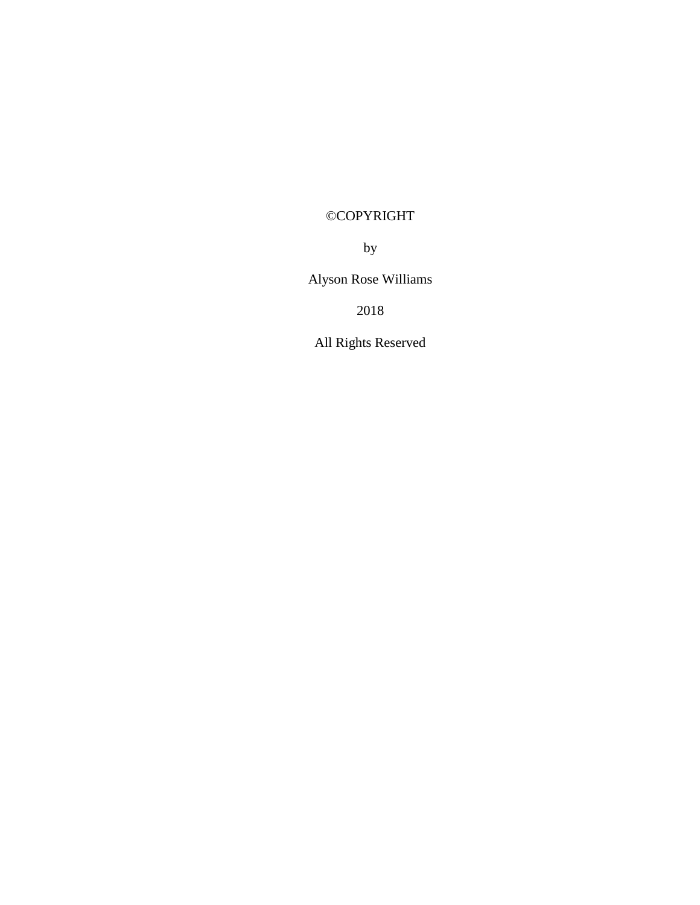# ©COPYRIGHT

by

Alyson Rose Williams

2018

All Rights Reserved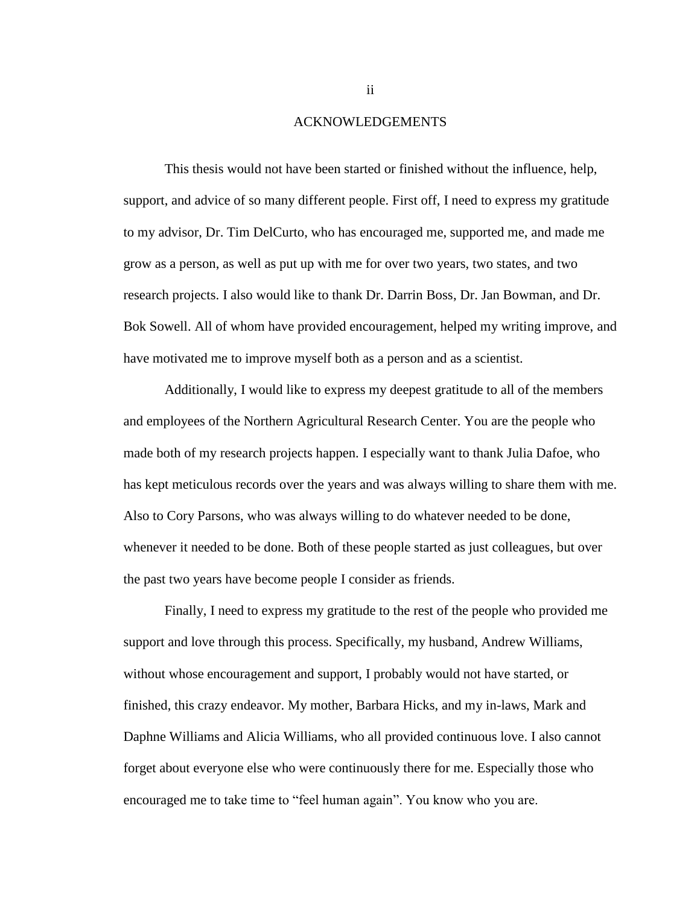#### ACKNOWLEDGEMENTS

This thesis would not have been started or finished without the influence, help, support, and advice of so many different people. First off, I need to express my gratitude to my advisor, Dr. Tim DelCurto, who has encouraged me, supported me, and made me grow as a person, as well as put up with me for over two years, two states, and two research projects. I also would like to thank Dr. Darrin Boss, Dr. Jan Bowman, and Dr. Bok Sowell. All of whom have provided encouragement, helped my writing improve, and have motivated me to improve myself both as a person and as a scientist.

Additionally, I would like to express my deepest gratitude to all of the members and employees of the Northern Agricultural Research Center. You are the people who made both of my research projects happen. I especially want to thank Julia Dafoe, who has kept meticulous records over the years and was always willing to share them with me. Also to Cory Parsons, who was always willing to do whatever needed to be done, whenever it needed to be done. Both of these people started as just colleagues, but over the past two years have become people I consider as friends.

Finally, I need to express my gratitude to the rest of the people who provided me support and love through this process. Specifically, my husband, Andrew Williams, without whose encouragement and support, I probably would not have started, or finished, this crazy endeavor. My mother, Barbara Hicks, and my in-laws, Mark and Daphne Williams and Alicia Williams, who all provided continuous love. I also cannot forget about everyone else who were continuously there for me. Especially those who encouraged me to take time to "feel human again". You know who you are.

ii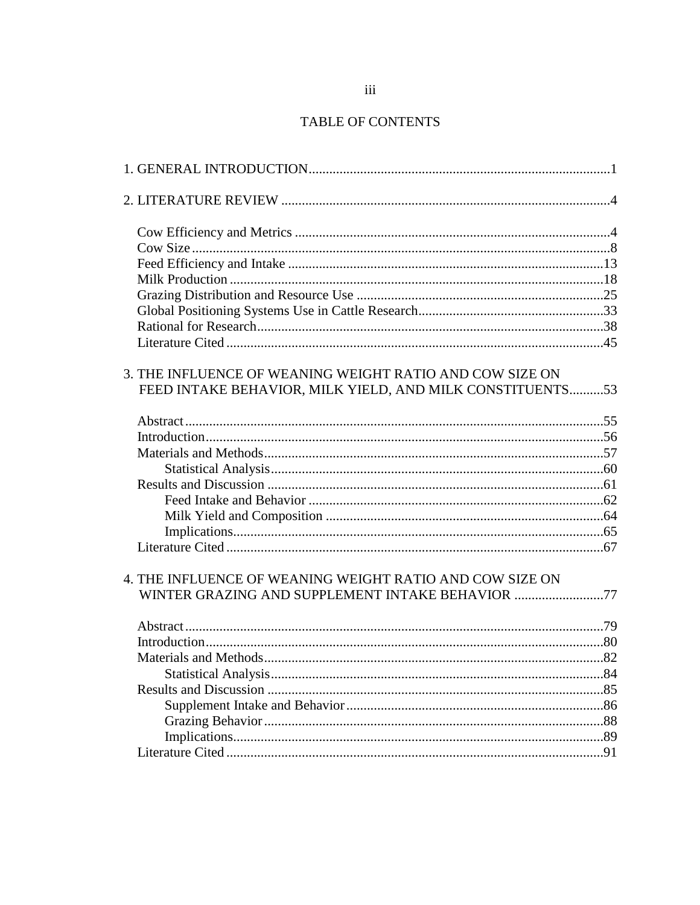### TABLE OF CONTENTS

| 3. THE INFLUENCE OF WEANING WEIGHT RATIO AND COW SIZE ON<br>FEED INTAKE BEHAVIOR, MILK YIELD, AND MILK CONSTITUENTS53 |     |
|-----------------------------------------------------------------------------------------------------------------------|-----|
|                                                                                                                       |     |
|                                                                                                                       |     |
|                                                                                                                       |     |
|                                                                                                                       |     |
|                                                                                                                       |     |
|                                                                                                                       |     |
|                                                                                                                       |     |
|                                                                                                                       |     |
|                                                                                                                       |     |
| 4. THE INFLUENCE OF WEANING WEIGHT RATIO AND COW SIZE ON<br>WINTER GRAZING AND SUPPLEMENT INTAKE BEHAVIOR 77          |     |
|                                                                                                                       |     |
|                                                                                                                       |     |
|                                                                                                                       |     |
|                                                                                                                       |     |
|                                                                                                                       |     |
|                                                                                                                       |     |
|                                                                                                                       |     |
|                                                                                                                       |     |
|                                                                                                                       |     |
|                                                                                                                       | .91 |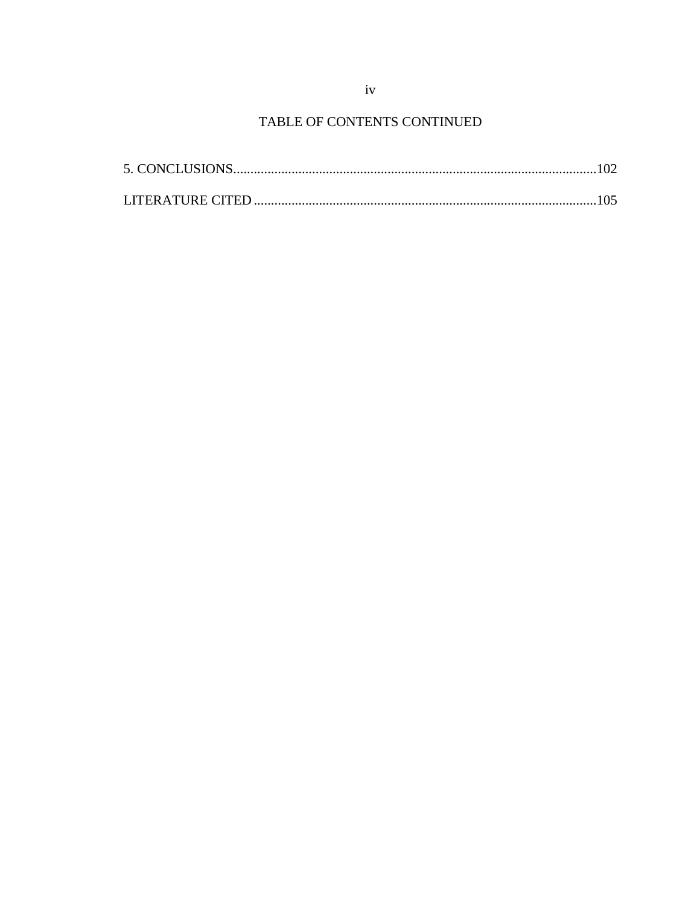## TABLE OF CONTENTS CONTINUED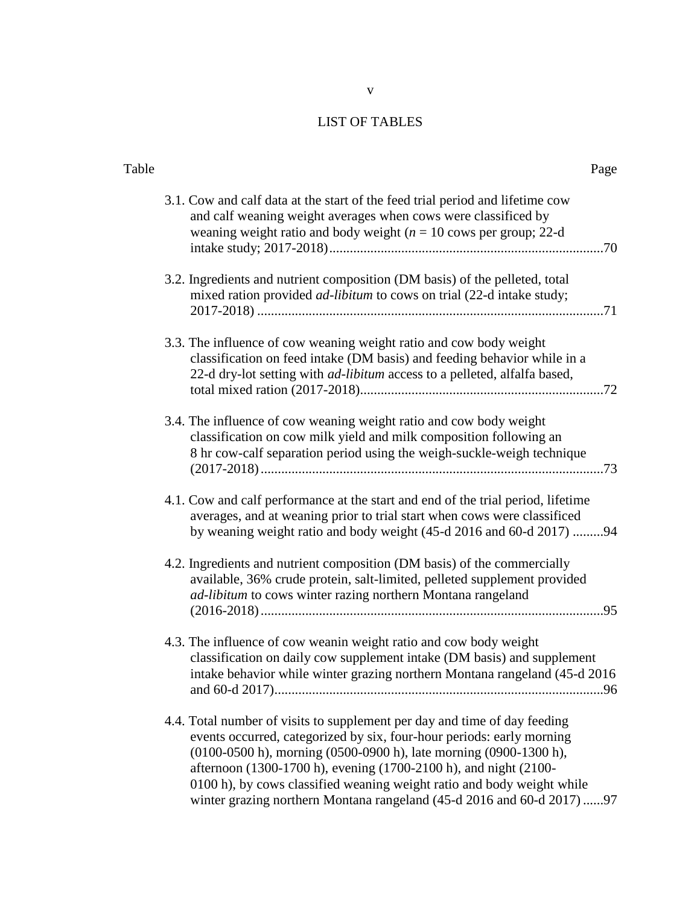### LIST OF TABLES

| Table | Page                                                                                                                                                                                                                                                                                                                                                                                                                                           |
|-------|------------------------------------------------------------------------------------------------------------------------------------------------------------------------------------------------------------------------------------------------------------------------------------------------------------------------------------------------------------------------------------------------------------------------------------------------|
|       | 3.1. Cow and calf data at the start of the feed trial period and lifetime cow<br>and calf weaning weight averages when cows were classificed by<br>weaning weight ratio and body weight ( $n = 10$ cows per group; 22-d                                                                                                                                                                                                                        |
|       | 3.2. Ingredients and nutrient composition (DM basis) of the pelleted, total<br>mixed ration provided <i>ad-libitum</i> to cows on trial (22-d intake study;                                                                                                                                                                                                                                                                                    |
|       | 3.3. The influence of cow weaning weight ratio and cow body weight<br>classification on feed intake (DM basis) and feeding behavior while in a<br>22-d dry-lot setting with <i>ad-libitum</i> access to a pelleted, alfalfa based,                                                                                                                                                                                                             |
|       | 3.4. The influence of cow weaning weight ratio and cow body weight<br>classification on cow milk yield and milk composition following an<br>8 hr cow-calf separation period using the weigh-suckle-weigh technique                                                                                                                                                                                                                             |
|       | 4.1. Cow and calf performance at the start and end of the trial period, lifetime<br>averages, and at weaning prior to trial start when cows were classificed<br>by weaning weight ratio and body weight (45-d 2016 and 60-d 2017) 94                                                                                                                                                                                                           |
|       | 4.2. Ingredients and nutrient composition (DM basis) of the commercially<br>available, 36% crude protein, salt-limited, pelleted supplement provided<br>ad-libitum to cows winter razing northern Montana rangeland                                                                                                                                                                                                                            |
|       | 4.3. The influence of cow weanin weight ratio and cow body weight<br>classification on daily cow supplement intake (DM basis) and supplement<br>intake behavior while winter grazing northern Montana rangeland (45-d 2016                                                                                                                                                                                                                     |
|       | 4.4. Total number of visits to supplement per day and time of day feeding<br>events occurred, categorized by six, four-hour periods: early morning<br>(0100-0500 h), morning (0500-0900 h), late morning (0900-1300 h),<br>afternoon (1300-1700 h), evening (1700-2100 h), and night (2100-<br>0100 h), by cows classified weaning weight ratio and body weight while<br>winter grazing northern Montana rangeland (45-d 2016 and 60-d 2017)97 |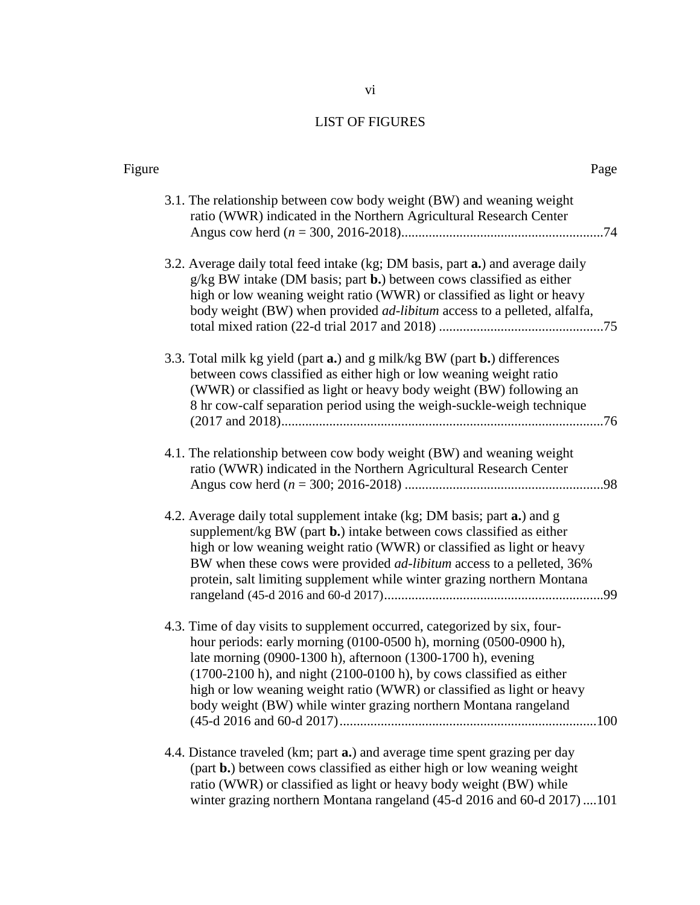## LIST OF FIGURES

| Figure | Page                                                                                                                                                                                                                                                                                                                                                                                                                                                       |  |
|--------|------------------------------------------------------------------------------------------------------------------------------------------------------------------------------------------------------------------------------------------------------------------------------------------------------------------------------------------------------------------------------------------------------------------------------------------------------------|--|
|        | 3.1. The relationship between cow body weight (BW) and weaning weight<br>ratio (WWR) indicated in the Northern Agricultural Research Center                                                                                                                                                                                                                                                                                                                |  |
|        | 3.2. Average daily total feed intake (kg; DM basis, part <b>a.</b> ) and average daily<br>$g/kg$ BW intake (DM basis; part $b$ .) between cows classified as either<br>high or low weaning weight ratio (WWR) or classified as light or heavy<br>body weight (BW) when provided <i>ad-libitum</i> access to a pelleted, alfalfa,                                                                                                                           |  |
|        | 3.3. Total milk kg yield (part a.) and g milk/kg BW (part b.) differences<br>between cows classified as either high or low weaning weight ratio<br>(WWR) or classified as light or heavy body weight (BW) following an<br>8 hr cow-calf separation period using the weigh-suckle-weigh technique                                                                                                                                                           |  |
|        | 4.1. The relationship between cow body weight (BW) and weaning weight<br>ratio (WWR) indicated in the Northern Agricultural Research Center                                                                                                                                                                                                                                                                                                                |  |
|        | 4.2. Average daily total supplement intake (kg; DM basis; part a.) and g<br>supplement/kg BW (part $\mathbf{b}$ .) intake between cows classified as either<br>high or low weaning weight ratio (WWR) or classified as light or heavy<br>BW when these cows were provided <i>ad-libitum</i> access to a pelleted, 36%<br>protein, salt limiting supplement while winter grazing northern Montana                                                           |  |
|        | 4.3. Time of day visits to supplement occurred, categorized by six, four-<br>hour periods: early morning (0100-0500 h), morning (0500-0900 h),<br>late morning (0900-1300 h), afternoon (1300-1700 h), evening<br>$(1700-2100 \text{ h})$ , and night $(2100-0100 \text{ h})$ , by cows classified as either<br>high or low weaning weight ratio (WWR) or classified as light or heavy<br>body weight (BW) while winter grazing northern Montana rangeland |  |
|        | 4.4. Distance traveled (km; part <b>a.</b> ) and average time spent grazing per day<br>(part b.) between cows classified as either high or low weaning weight<br>ratio (WWR) or classified as light or heavy body weight (BW) while<br>winter grazing northern Montana rangeland (45-d 2016 and 60-d 2017)101                                                                                                                                              |  |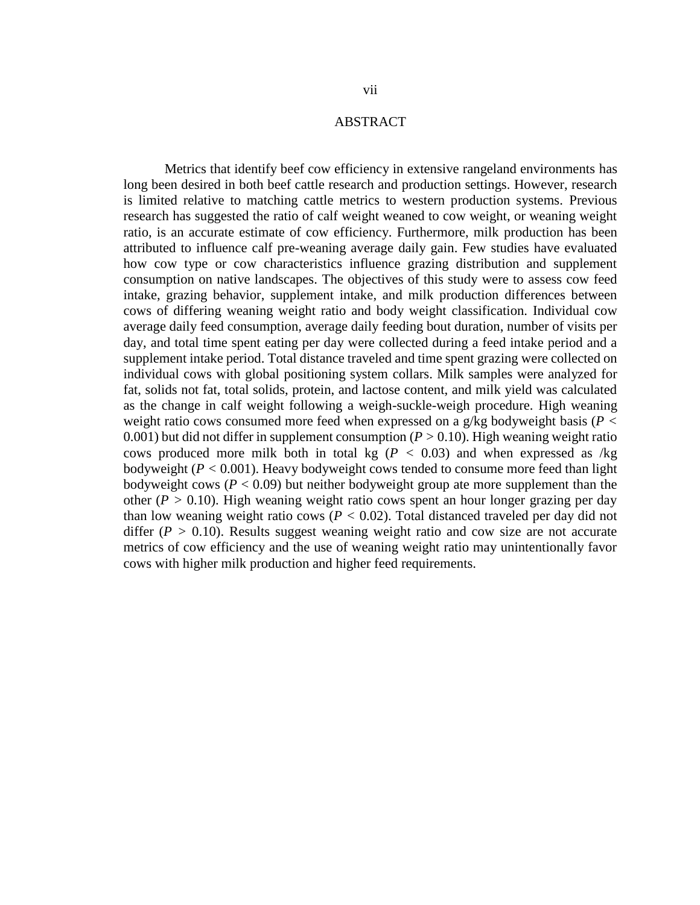#### ABSTRACT

Metrics that identify beef cow efficiency in extensive rangeland environments has long been desired in both beef cattle research and production settings. However, research is limited relative to matching cattle metrics to western production systems. Previous research has suggested the ratio of calf weight weaned to cow weight, or weaning weight ratio, is an accurate estimate of cow efficiency. Furthermore, milk production has been attributed to influence calf pre-weaning average daily gain. Few studies have evaluated how cow type or cow characteristics influence grazing distribution and supplement consumption on native landscapes. The objectives of this study were to assess cow feed intake, grazing behavior, supplement intake, and milk production differences between cows of differing weaning weight ratio and body weight classification. Individual cow average daily feed consumption, average daily feeding bout duration, number of visits per day, and total time spent eating per day were collected during a feed intake period and a supplement intake period. Total distance traveled and time spent grazing were collected on individual cows with global positioning system collars. Milk samples were analyzed for fat, solids not fat, total solids, protein, and lactose content, and milk yield was calculated as the change in calf weight following a weigh-suckle-weigh procedure. High weaning weight ratio cows consumed more feed when expressed on a g/kg bodyweight basis (*P <* 0.001) but did not differ in supplement consumption  $(P > 0.10)$ . High weaning weight ratio cows produced more milk both in total kg ( $P < 0.03$ ) and when expressed as /kg bodyweight (*P <* 0.001). Heavy bodyweight cows tended to consume more feed than light bodyweight cows ( $P < 0.09$ ) but neither bodyweight group ate more supplement than the other ( $P > 0.10$ ). High weaning weight ratio cows spent an hour longer grazing per day than low weaning weight ratio cows ( $P < 0.02$ ). Total distanced traveled per day did not differ  $(P > 0.10)$ . Results suggest weaning weight ratio and cow size are not accurate metrics of cow efficiency and the use of weaning weight ratio may unintentionally favor cows with higher milk production and higher feed requirements.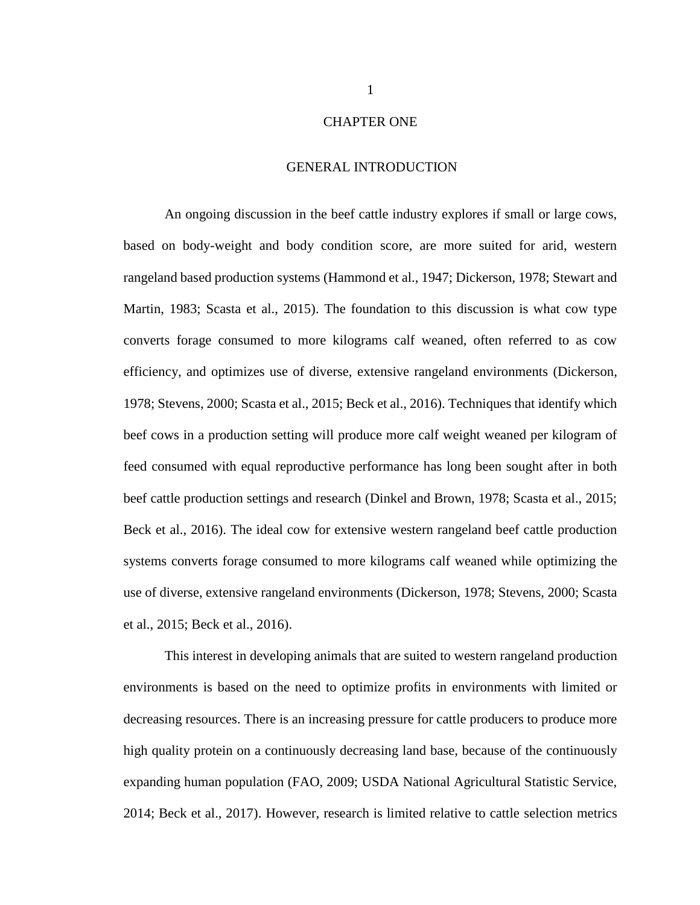#### CHAPTER ONE

#### GENERAL INTRODUCTION

An ongoing discussion in the beef cattle industry explores if small or large cows, based on body-weight and body condition score, are more suited for arid, western rangeland based production systems (Hammond et al., 1947; Dickerson, 1978; Stewart and Martin, 1983; Scasta et al., 2015). The foundation to this discussion is what cow type converts forage consumed to more kilograms calf weaned, often referred to as cow efficiency, and optimizes use of diverse, extensive rangeland environments (Dickerson, 1978; Stevens, 2000; Scasta et al., 2015; Beck et al., 2016). Techniques that identify which beef cows in a production setting will produce more calf weight weaned per kilogram of feed consumed with equal reproductive performance has long been sought after in both beef cattle production settings and research (Dinkel and Brown, 1978; Scasta et al., 2015; Beck et al., 2016). The ideal cow for extensive western rangeland beef cattle production systems converts forage consumed to more kilograms calf weaned while optimizing the use of diverse, extensive rangeland environments (Dickerson, 1978; Stevens, 2000; Scasta et al., 2015; Beck et al., 2016).

This interest in developing animals that are suited to western rangeland production environments is based on the need to optimize profits in environments with limited or decreasing resources. There is an increasing pressure for cattle producers to produce more high quality protein on a continuously decreasing land base, because of the continuously expanding human population (FAO, 2009; USDA National Agricultural Statistic Service, 2014; Beck et al., 2017). However, research is limited relative to cattle selection metrics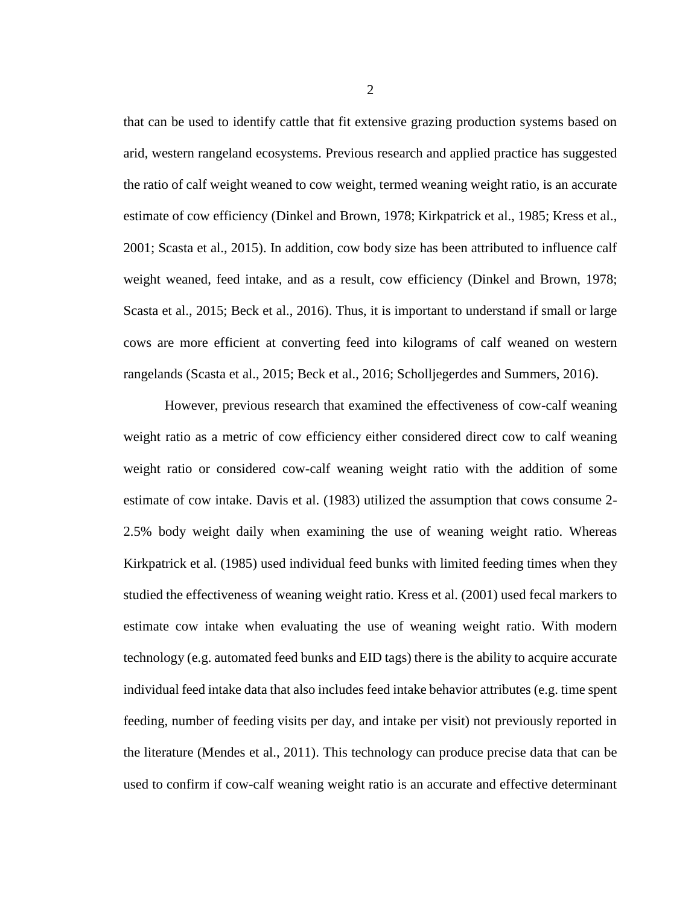that can be used to identify cattle that fit extensive grazing production systems based on arid, western rangeland ecosystems. Previous research and applied practice has suggested the ratio of calf weight weaned to cow weight, termed weaning weight ratio, is an accurate estimate of cow efficiency (Dinkel and Brown, 1978; Kirkpatrick et al., 1985; Kress et al., 2001; Scasta et al., 2015). In addition, cow body size has been attributed to influence calf weight weaned, feed intake, and as a result, cow efficiency (Dinkel and Brown, 1978; Scasta et al., 2015; Beck et al., 2016). Thus, it is important to understand if small or large cows are more efficient at converting feed into kilograms of calf weaned on western rangelands (Scasta et al., 2015; Beck et al., 2016; Scholljegerdes and Summers, 2016).

However, previous research that examined the effectiveness of cow-calf weaning weight ratio as a metric of cow efficiency either considered direct cow to calf weaning weight ratio or considered cow-calf weaning weight ratio with the addition of some estimate of cow intake. Davis et al. (1983) utilized the assumption that cows consume 2- 2.5% body weight daily when examining the use of weaning weight ratio. Whereas Kirkpatrick et al. (1985) used individual feed bunks with limited feeding times when they studied the effectiveness of weaning weight ratio. Kress et al. (2001) used fecal markers to estimate cow intake when evaluating the use of weaning weight ratio. With modern technology (e.g. automated feed bunks and EID tags) there is the ability to acquire accurate individual feed intake data that also includes feed intake behavior attributes (e.g. time spent feeding, number of feeding visits per day, and intake per visit) not previously reported in the literature (Mendes et al., 2011). This technology can produce precise data that can be used to confirm if cow-calf weaning weight ratio is an accurate and effective determinant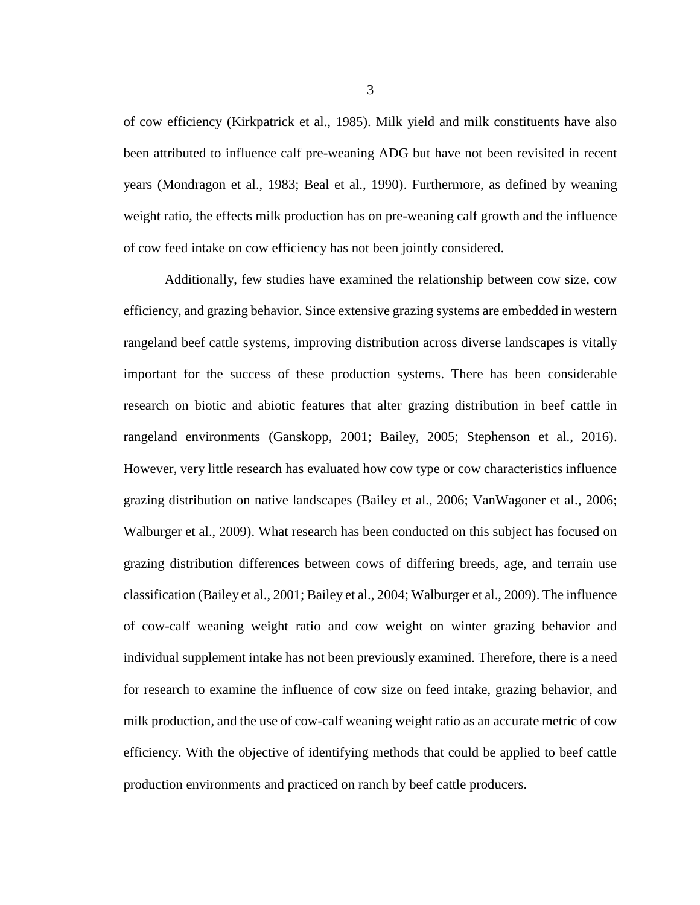of cow efficiency (Kirkpatrick et al., 1985). Milk yield and milk constituents have also been attributed to influence calf pre-weaning ADG but have not been revisited in recent years (Mondragon et al., 1983; Beal et al., 1990). Furthermore, as defined by weaning weight ratio, the effects milk production has on pre-weaning calf growth and the influence of cow feed intake on cow efficiency has not been jointly considered.

Additionally, few studies have examined the relationship between cow size, cow efficiency, and grazing behavior. Since extensive grazing systems are embedded in western rangeland beef cattle systems, improving distribution across diverse landscapes is vitally important for the success of these production systems. There has been considerable research on biotic and abiotic features that alter grazing distribution in beef cattle in rangeland environments (Ganskopp, 2001; Bailey, 2005; Stephenson et al., 2016). However, very little research has evaluated how cow type or cow characteristics influence grazing distribution on native landscapes (Bailey et al., 2006; VanWagoner et al., 2006; Walburger et al., 2009). What research has been conducted on this subject has focused on grazing distribution differences between cows of differing breeds, age, and terrain use classification (Bailey et al., 2001; Bailey et al., 2004; Walburger et al., 2009). The influence of cow-calf weaning weight ratio and cow weight on winter grazing behavior and individual supplement intake has not been previously examined. Therefore, there is a need for research to examine the influence of cow size on feed intake, grazing behavior, and milk production, and the use of cow-calf weaning weight ratio as an accurate metric of cow efficiency. With the objective of identifying methods that could be applied to beef cattle production environments and practiced on ranch by beef cattle producers.

3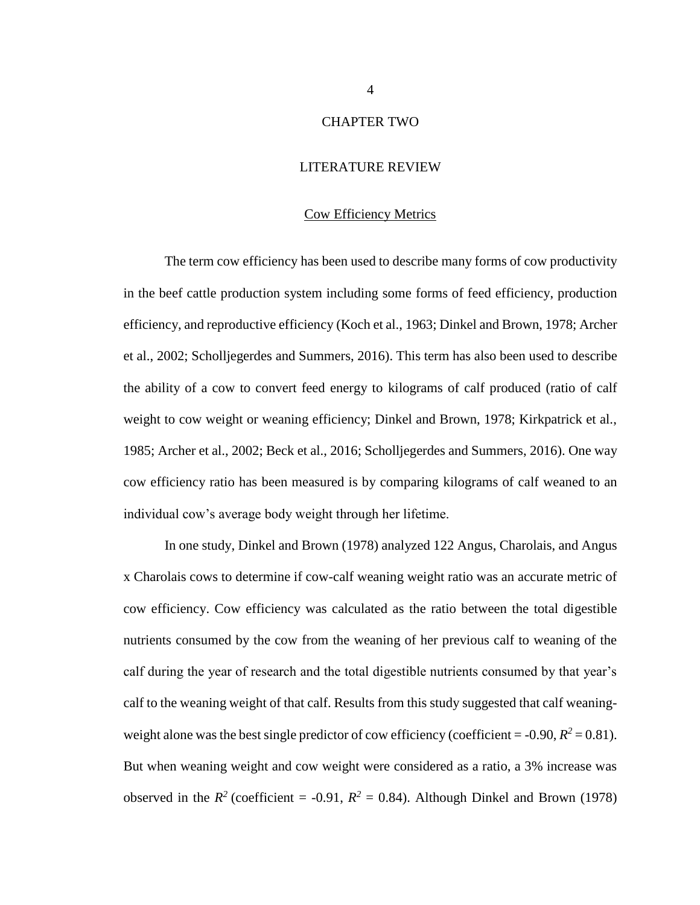#### CHAPTER TWO

#### LITERATURE REVIEW

#### Cow Efficiency Metrics

The term cow efficiency has been used to describe many forms of cow productivity in the beef cattle production system including some forms of feed efficiency, production efficiency, and reproductive efficiency (Koch et al., 1963; Dinkel and Brown, 1978; Archer et al., 2002; Scholljegerdes and Summers, 2016). This term has also been used to describe the ability of a cow to convert feed energy to kilograms of calf produced (ratio of calf weight to cow weight or weaning efficiency; Dinkel and Brown, 1978; Kirkpatrick et al., 1985; Archer et al., 2002; Beck et al., 2016; Scholljegerdes and Summers, 2016). One way cow efficiency ratio has been measured is by comparing kilograms of calf weaned to an individual cow's average body weight through her lifetime.

In one study, Dinkel and Brown (1978) analyzed 122 Angus, Charolais, and Angus x Charolais cows to determine if cow-calf weaning weight ratio was an accurate metric of cow efficiency. Cow efficiency was calculated as the ratio between the total digestible nutrients consumed by the cow from the weaning of her previous calf to weaning of the calf during the year of research and the total digestible nutrients consumed by that year's calf to the weaning weight of that calf. Results from this study suggested that calf weaningweight alone was the best single predictor of cow efficiency (coefficient = -0.90,  $R^2$  = 0.81). But when weaning weight and cow weight were considered as a ratio, a 3% increase was observed in the  $R^2$  (coefficient = -0.91,  $R^2 = 0.84$ ). Although Dinkel and Brown (1978)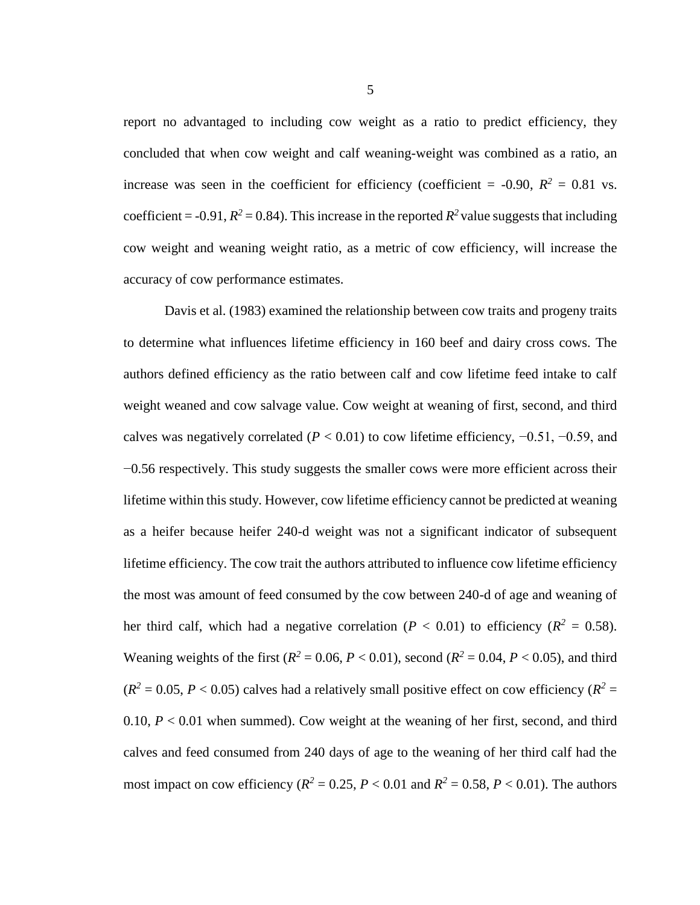report no advantaged to including cow weight as a ratio to predict efficiency, they concluded that when cow weight and calf weaning-weight was combined as a ratio, an increase was seen in the coefficient for efficiency (coefficient = -0.90,  $R^2 = 0.81$  vs. coefficient = -0.91,  $R^2$  = 0.84). This increase in the reported  $R^2$  value suggests that including cow weight and weaning weight ratio, as a metric of cow efficiency, will increase the accuracy of cow performance estimates.

Davis et al. (1983) examined the relationship between cow traits and progeny traits to determine what influences lifetime efficiency in 160 beef and dairy cross cows. The authors defined efficiency as the ratio between calf and cow lifetime feed intake to calf weight weaned and cow salvage value. Cow weight at weaning of first, second, and third calves was negatively correlated ( $P < 0.01$ ) to cow lifetime efficiency,  $-0.51$ ,  $-0.59$ , and −0.56 respectively. This study suggests the smaller cows were more efficient across their lifetime within this study. However, cow lifetime efficiency cannot be predicted at weaning as a heifer because heifer 240-d weight was not a significant indicator of subsequent lifetime efficiency. The cow trait the authors attributed to influence cow lifetime efficiency the most was amount of feed consumed by the cow between 240-d of age and weaning of her third calf, which had a negative correlation ( $P < 0.01$ ) to efficiency ( $R^2 = 0.58$ ). Weaning weights of the first ( $R^2 = 0.06$ ,  $P < 0.01$ ), second ( $R^2 = 0.04$ ,  $P < 0.05$ ), and third  $(R^2 = 0.05, P < 0.05)$  calves had a relatively small positive effect on cow efficiency  $(R^2 = 0.05, P < 0.05)$ 0.10,  $P < 0.01$  when summed). Cow weight at the weaning of her first, second, and third calves and feed consumed from 240 days of age to the weaning of her third calf had the most impact on cow efficiency ( $R^2 = 0.25$ ,  $P < 0.01$  and  $R^2 = 0.58$ ,  $P < 0.01$ ). The authors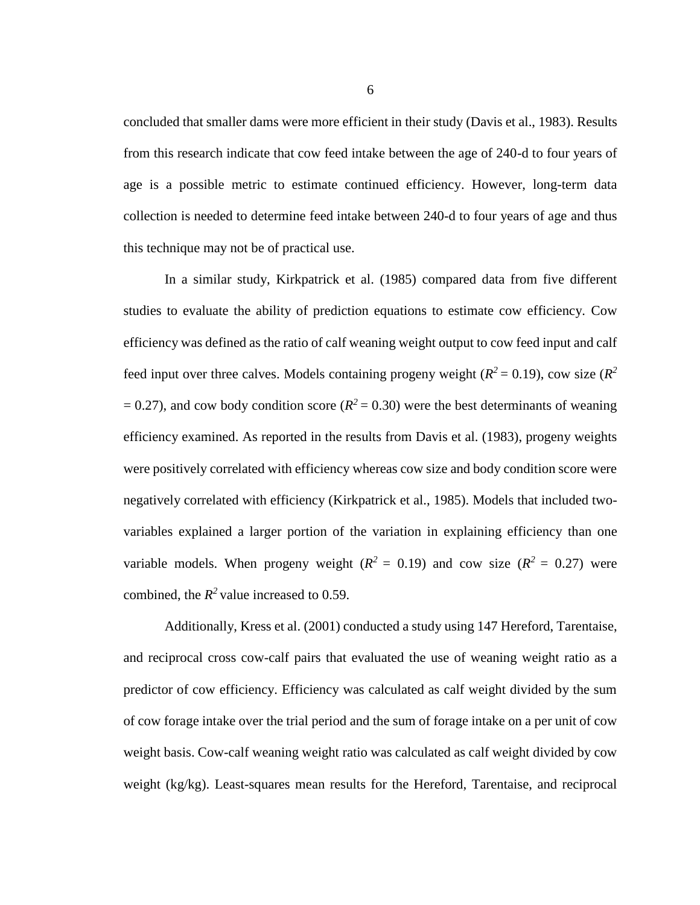concluded that smaller dams were more efficient in their study (Davis et al., 1983). Results from this research indicate that cow feed intake between the age of 240-d to four years of age is a possible metric to estimate continued efficiency. However, long-term data collection is needed to determine feed intake between 240-d to four years of age and thus this technique may not be of practical use.

In a similar study, Kirkpatrick et al. (1985) compared data from five different studies to evaluate the ability of prediction equations to estimate cow efficiency. Cow efficiency was defined as the ratio of calf weaning weight output to cow feed input and calf feed input over three calves. Models containing progeny weight  $(R^2 = 0.19)$ , cow size  $(R^2)$  $= 0.27$ ), and cow body condition score ( $R^2 = 0.30$ ) were the best determinants of weaning efficiency examined. As reported in the results from Davis et al. (1983), progeny weights were positively correlated with efficiency whereas cow size and body condition score were negatively correlated with efficiency (Kirkpatrick et al., 1985). Models that included twovariables explained a larger portion of the variation in explaining efficiency than one variable models. When progeny weight  $(R^2 = 0.19)$  and cow size  $(R^2 = 0.27)$  were combined, the  $R^2$  value increased to 0.59.

Additionally, Kress et al. (2001) conducted a study using 147 Hereford, Tarentaise, and reciprocal cross cow-calf pairs that evaluated the use of weaning weight ratio as a predictor of cow efficiency. Efficiency was calculated as calf weight divided by the sum of cow forage intake over the trial period and the sum of forage intake on a per unit of cow weight basis. Cow-calf weaning weight ratio was calculated as calf weight divided by cow weight (kg/kg). Least-squares mean results for the Hereford, Tarentaise, and reciprocal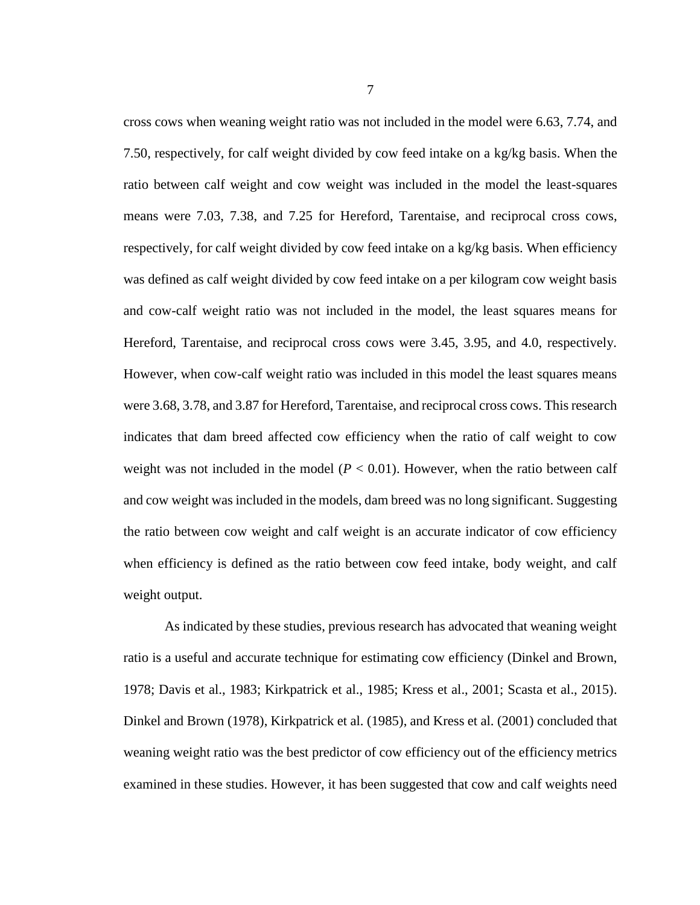cross cows when weaning weight ratio was not included in the model were 6.63, 7.74, and 7.50, respectively, for calf weight divided by cow feed intake on a kg/kg basis. When the ratio between calf weight and cow weight was included in the model the least-squares means were 7.03, 7.38, and 7.25 for Hereford, Tarentaise, and reciprocal cross cows, respectively, for calf weight divided by cow feed intake on a kg/kg basis. When efficiency was defined as calf weight divided by cow feed intake on a per kilogram cow weight basis and cow-calf weight ratio was not included in the model, the least squares means for Hereford, Tarentaise, and reciprocal cross cows were 3.45, 3.95, and 4.0, respectively. However, when cow-calf weight ratio was included in this model the least squares means were 3.68, 3.78, and 3.87 for Hereford, Tarentaise, and reciprocal cross cows. This research indicates that dam breed affected cow efficiency when the ratio of calf weight to cow weight was not included in the model  $(P < 0.01)$ . However, when the ratio between calf and cow weight was included in the models, dam breed was no long significant. Suggesting the ratio between cow weight and calf weight is an accurate indicator of cow efficiency when efficiency is defined as the ratio between cow feed intake, body weight, and calf weight output.

As indicated by these studies, previous research has advocated that weaning weight ratio is a useful and accurate technique for estimating cow efficiency (Dinkel and Brown, 1978; Davis et al., 1983; Kirkpatrick et al., 1985; Kress et al., 2001; Scasta et al., 2015). Dinkel and Brown (1978), Kirkpatrick et al. (1985), and Kress et al. (2001) concluded that weaning weight ratio was the best predictor of cow efficiency out of the efficiency metrics examined in these studies. However, it has been suggested that cow and calf weights need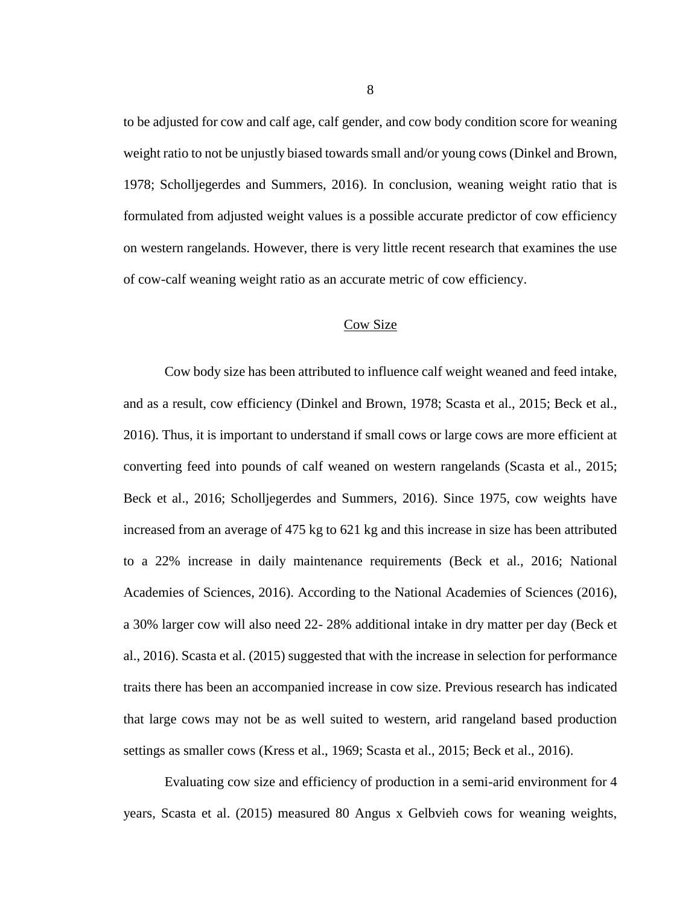to be adjusted for cow and calf age, calf gender, and cow body condition score for weaning weight ratio to not be unjustly biased towards small and/or young cows (Dinkel and Brown, 1978; Scholljegerdes and Summers, 2016). In conclusion, weaning weight ratio that is formulated from adjusted weight values is a possible accurate predictor of cow efficiency on western rangelands. However, there is very little recent research that examines the use of cow-calf weaning weight ratio as an accurate metric of cow efficiency.

#### Cow Size

Cow body size has been attributed to influence calf weight weaned and feed intake, and as a result, cow efficiency (Dinkel and Brown, 1978; Scasta et al., 2015; Beck et al., 2016). Thus, it is important to understand if small cows or large cows are more efficient at converting feed into pounds of calf weaned on western rangelands (Scasta et al., 2015; Beck et al., 2016; Scholljegerdes and Summers, 2016). Since 1975, cow weights have increased from an average of 475 kg to 621 kg and this increase in size has been attributed to a 22% increase in daily maintenance requirements (Beck et al., 2016; National Academies of Sciences, 2016). According to the National Academies of Sciences (2016), a 30% larger cow will also need 22- 28% additional intake in dry matter per day (Beck et al., 2016). Scasta et al. (2015) suggested that with the increase in selection for performance traits there has been an accompanied increase in cow size. Previous research has indicated that large cows may not be as well suited to western, arid rangeland based production settings as smaller cows (Kress et al., 1969; Scasta et al., 2015; Beck et al., 2016).

Evaluating cow size and efficiency of production in a semi-arid environment for 4 years, Scasta et al. (2015) measured 80 Angus x Gelbvieh cows for weaning weights,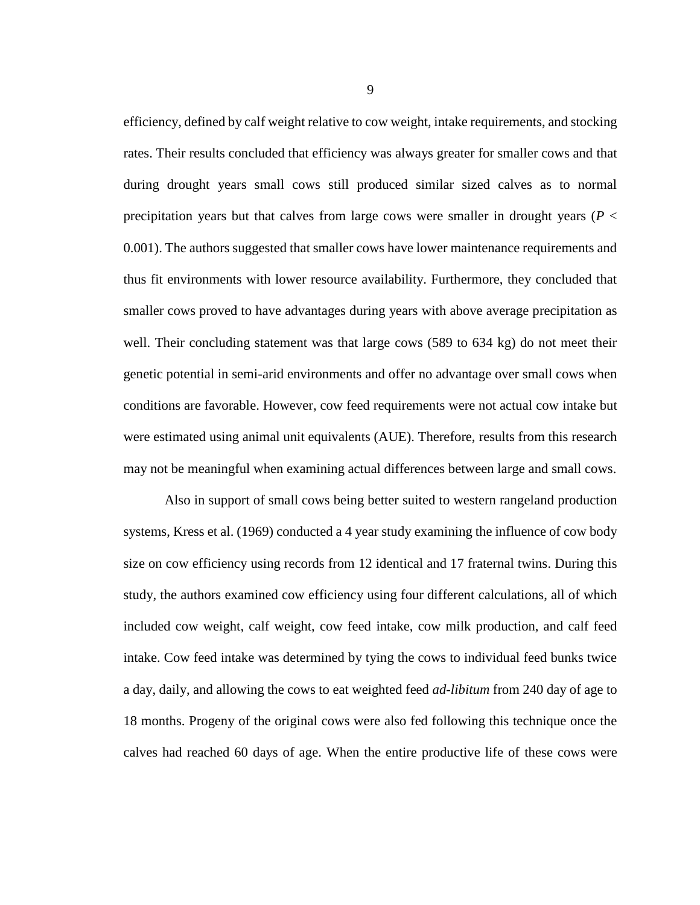efficiency, defined by calf weight relative to cow weight, intake requirements, and stocking rates. Their results concluded that efficiency was always greater for smaller cows and that during drought years small cows still produced similar sized calves as to normal precipitation years but that calves from large cows were smaller in drought years (*P* < 0.001). The authors suggested that smaller cows have lower maintenance requirements and thus fit environments with lower resource availability. Furthermore, they concluded that smaller cows proved to have advantages during years with above average precipitation as well. Their concluding statement was that large cows (589 to 634 kg) do not meet their genetic potential in semi-arid environments and offer no advantage over small cows when conditions are favorable. However, cow feed requirements were not actual cow intake but were estimated using animal unit equivalents (AUE). Therefore, results from this research may not be meaningful when examining actual differences between large and small cows.

Also in support of small cows being better suited to western rangeland production systems, Kress et al. (1969) conducted a 4 year study examining the influence of cow body size on cow efficiency using records from 12 identical and 17 fraternal twins. During this study, the authors examined cow efficiency using four different calculations, all of which included cow weight, calf weight, cow feed intake, cow milk production, and calf feed intake. Cow feed intake was determined by tying the cows to individual feed bunks twice a day, daily, and allowing the cows to eat weighted feed *ad-libitum* from 240 day of age to 18 months. Progeny of the original cows were also fed following this technique once the calves had reached 60 days of age. When the entire productive life of these cows were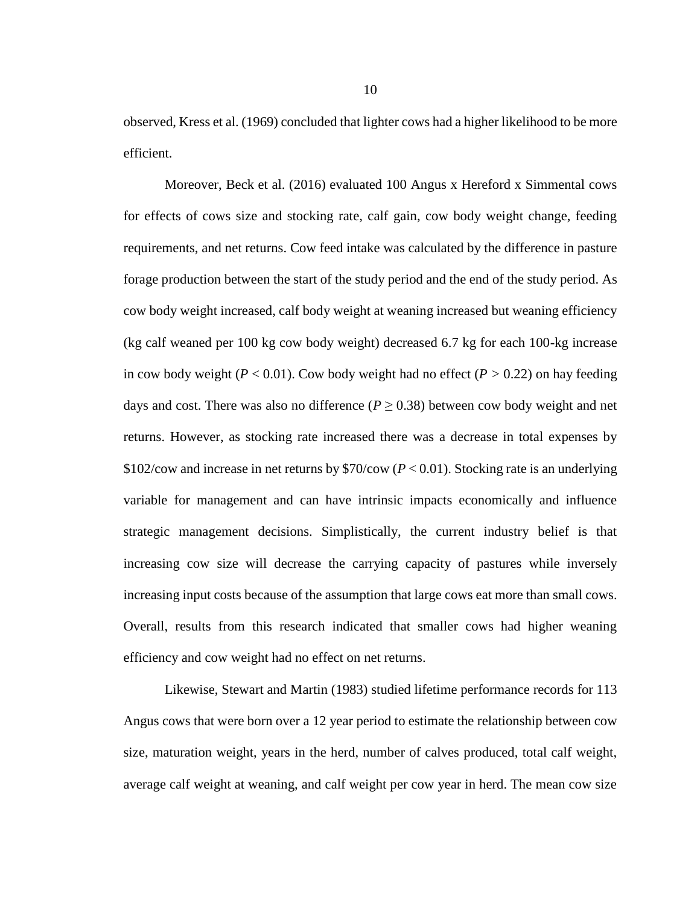observed, Kress et al. (1969) concluded that lighter cows had a higher likelihood to be more efficient.

Moreover, Beck et al. (2016) evaluated 100 Angus x Hereford x Simmental cows for effects of cows size and stocking rate, calf gain, cow body weight change, feeding requirements, and net returns. Cow feed intake was calculated by the difference in pasture forage production between the start of the study period and the end of the study period. As cow body weight increased, calf body weight at weaning increased but weaning efficiency (kg calf weaned per 100 kg cow body weight) decreased 6.7 kg for each 100-kg increase in cow body weight ( $P < 0.01$ ). Cow body weight had no effect ( $P > 0.22$ ) on hay feeding days and cost. There was also no difference ( $P \ge 0.38$ ) between cow body weight and net returns. However, as stocking rate increased there was a decrease in total expenses by \$102/cow and increase in net returns by \$70/cow (*P* < 0.01). Stocking rate is an underlying variable for management and can have intrinsic impacts economically and influence strategic management decisions. Simplistically, the current industry belief is that increasing cow size will decrease the carrying capacity of pastures while inversely increasing input costs because of the assumption that large cows eat more than small cows. Overall, results from this research indicated that smaller cows had higher weaning efficiency and cow weight had no effect on net returns.

Likewise, Stewart and Martin (1983) studied lifetime performance records for 113 Angus cows that were born over a 12 year period to estimate the relationship between cow size, maturation weight, years in the herd, number of calves produced, total calf weight, average calf weight at weaning, and calf weight per cow year in herd. The mean cow size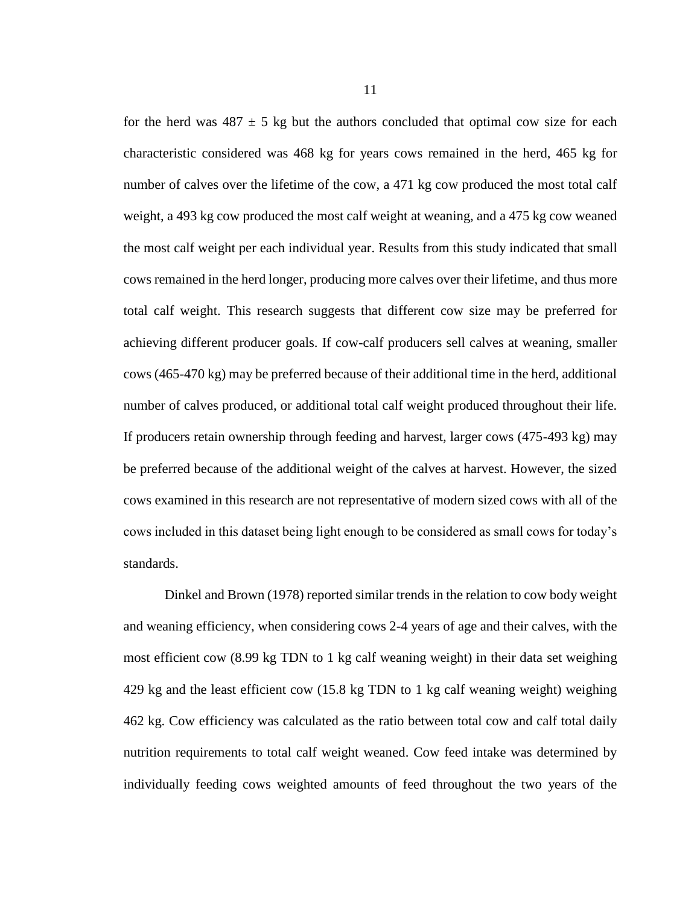for the herd was  $487 \pm 5$  kg but the authors concluded that optimal cow size for each characteristic considered was 468 kg for years cows remained in the herd, 465 kg for number of calves over the lifetime of the cow, a 471 kg cow produced the most total calf weight, a 493 kg cow produced the most calf weight at weaning, and a 475 kg cow weaned the most calf weight per each individual year. Results from this study indicated that small cows remained in the herd longer, producing more calves over their lifetime, and thus more total calf weight. This research suggests that different cow size may be preferred for achieving different producer goals. If cow-calf producers sell calves at weaning, smaller cows (465-470 kg) may be preferred because of their additional time in the herd, additional number of calves produced, or additional total calf weight produced throughout their life. If producers retain ownership through feeding and harvest, larger cows (475-493 kg) may be preferred because of the additional weight of the calves at harvest. However, the sized cows examined in this research are not representative of modern sized cows with all of the cows included in this dataset being light enough to be considered as small cows for today's standards.

Dinkel and Brown (1978) reported similar trends in the relation to cow body weight and weaning efficiency, when considering cows 2-4 years of age and their calves, with the most efficient cow (8.99 kg TDN to 1 kg calf weaning weight) in their data set weighing 429 kg and the least efficient cow (15.8 kg TDN to 1 kg calf weaning weight) weighing 462 kg. Cow efficiency was calculated as the ratio between total cow and calf total daily nutrition requirements to total calf weight weaned. Cow feed intake was determined by individually feeding cows weighted amounts of feed throughout the two years of the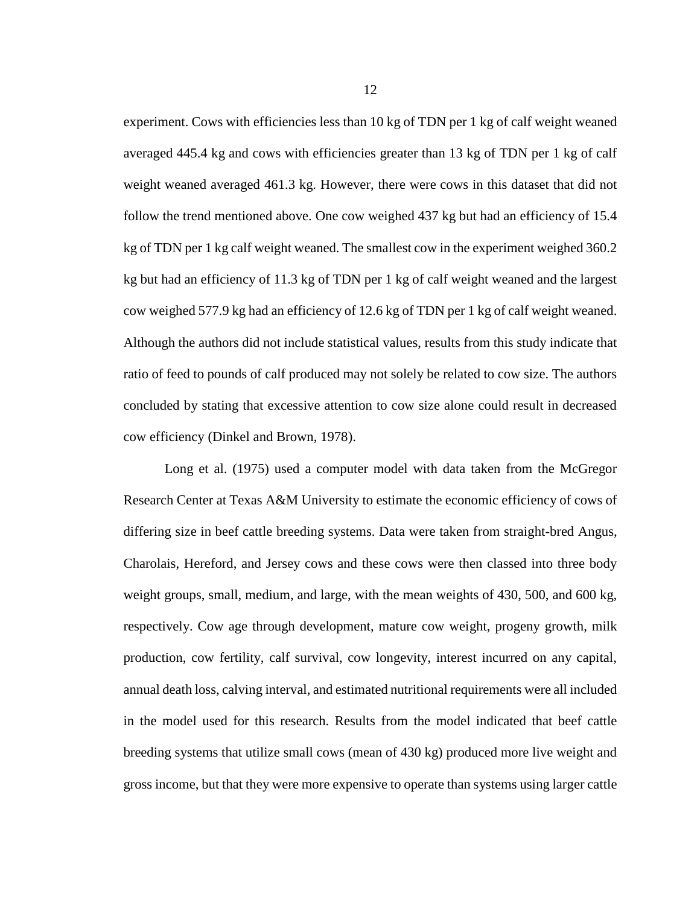experiment. Cows with efficiencies less than 10 kg of TDN per 1 kg of calf weight weaned averaged 445.4 kg and cows with efficiencies greater than 13 kg of TDN per 1 kg of calf weight weaned averaged 461.3 kg. However, there were cows in this dataset that did not follow the trend mentioned above. One cow weighed 437 kg but had an efficiency of 15.4 kg of TDN per 1 kg calf weight weaned. The smallest cow in the experiment weighed 360.2 kg but had an efficiency of 11.3 kg of TDN per 1 kg of calf weight weaned and the largest cow weighed 577.9 kg had an efficiency of 12.6 kg of TDN per 1 kg of calf weight weaned. Although the authors did not include statistical values, results from this study indicate that ratio of feed to pounds of calf produced may not solely be related to cow size. The authors concluded by stating that excessive attention to cow size alone could result in decreased cow efficiency (Dinkel and Brown, 1978).

Long et al. (1975) used a computer model with data taken from the McGregor Research Center at Texas A&M University to estimate the economic efficiency of cows of differing size in beef cattle breeding systems. Data were taken from straight-bred Angus, Charolais, Hereford, and Jersey cows and these cows were then classed into three body weight groups, small, medium, and large, with the mean weights of 430, 500, and 600 kg, respectively. Cow age through development, mature cow weight, progeny growth, milk production, cow fertility, calf survival, cow longevity, interest incurred on any capital, annual death loss, calving interval, and estimated nutritional requirements were all included in the model used for this research. Results from the model indicated that beef cattle breeding systems that utilize small cows (mean of 430 kg) produced more live weight and gross income, but that they were more expensive to operate than systems using larger cattle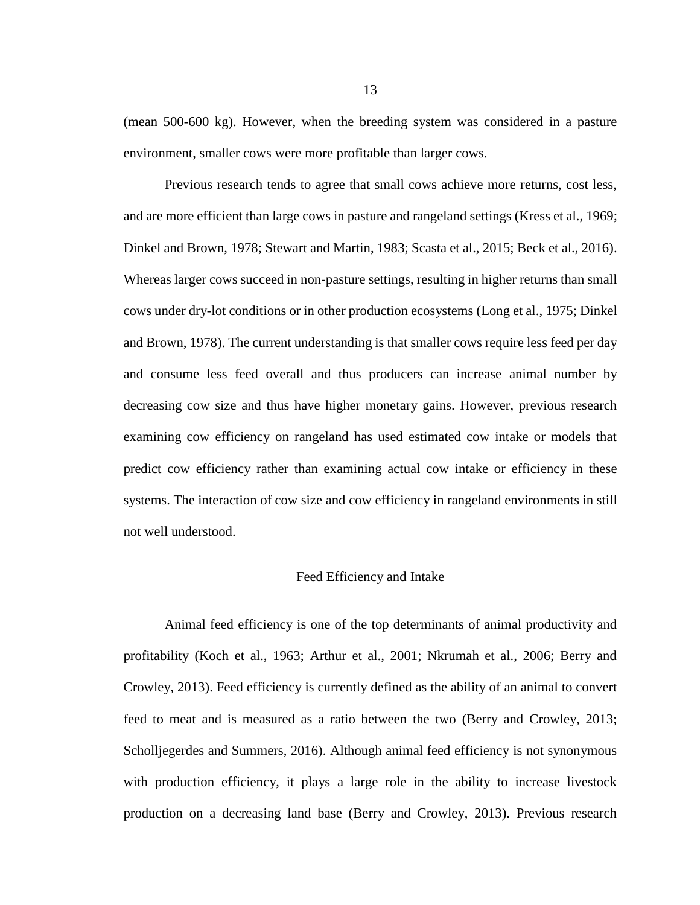(mean 500-600 kg). However, when the breeding system was considered in a pasture environment, smaller cows were more profitable than larger cows.

Previous research tends to agree that small cows achieve more returns, cost less, and are more efficient than large cows in pasture and rangeland settings (Kress et al., 1969; Dinkel and Brown, 1978; Stewart and Martin, 1983; Scasta et al., 2015; Beck et al., 2016). Whereas larger cows succeed in non-pasture settings, resulting in higher returns than small cows under dry-lot conditions or in other production ecosystems (Long et al., 1975; Dinkel and Brown, 1978). The current understanding is that smaller cows require less feed per day and consume less feed overall and thus producers can increase animal number by decreasing cow size and thus have higher monetary gains. However, previous research examining cow efficiency on rangeland has used estimated cow intake or models that predict cow efficiency rather than examining actual cow intake or efficiency in these systems. The interaction of cow size and cow efficiency in rangeland environments in still not well understood.

#### Feed Efficiency and Intake

Animal feed efficiency is one of the top determinants of animal productivity and profitability (Koch et al., 1963; Arthur et al., 2001; Nkrumah et al., 2006; Berry and Crowley, 2013). Feed efficiency is currently defined as the ability of an animal to convert feed to meat and is measured as a ratio between the two (Berry and Crowley, 2013; Scholljegerdes and Summers, 2016). Although animal feed efficiency is not synonymous with production efficiency, it plays a large role in the ability to increase livestock production on a decreasing land base (Berry and Crowley, 2013). Previous research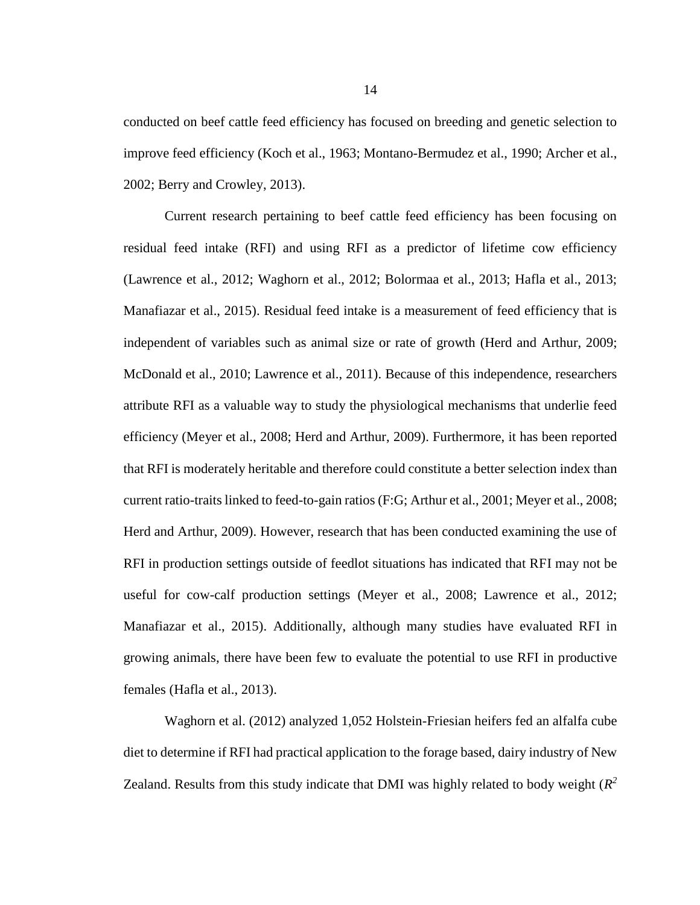conducted on beef cattle feed efficiency has focused on breeding and genetic selection to improve feed efficiency (Koch et al., 1963; Montano-Bermudez et al., 1990; Archer et al., 2002; Berry and Crowley, 2013).

Current research pertaining to beef cattle feed efficiency has been focusing on residual feed intake (RFI) and using RFI as a predictor of lifetime cow efficiency (Lawrence et al., 2012; Waghorn et al., 2012; Bolormaa et al., 2013; Hafla et al., 2013; Manafiazar et al., 2015). Residual feed intake is a measurement of feed efficiency that is independent of variables such as animal size or rate of growth (Herd and Arthur, 2009; McDonald et al., 2010; Lawrence et al., 2011). Because of this independence, researchers attribute RFI as a valuable way to study the physiological mechanisms that underlie feed efficiency (Meyer et al., 2008; Herd and Arthur, 2009). Furthermore, it has been reported that RFI is moderately heritable and therefore could constitute a better selection index than current ratio-traits linked to feed-to-gain ratios (F:G; Arthur et al., 2001; Meyer et al., 2008; Herd and Arthur, 2009). However, research that has been conducted examining the use of RFI in production settings outside of feedlot situations has indicated that RFI may not be useful for cow-calf production settings (Meyer et al., 2008; Lawrence et al., 2012; Manafiazar et al., 2015). Additionally, although many studies have evaluated RFI in growing animals, there have been few to evaluate the potential to use RFI in productive females (Hafla et al., 2013).

Waghorn et al. (2012) analyzed 1,052 Holstein-Friesian heifers fed an alfalfa cube diet to determine if RFI had practical application to the forage based, dairy industry of New Zealand. Results from this study indicate that DMI was highly related to body weight (*R 2*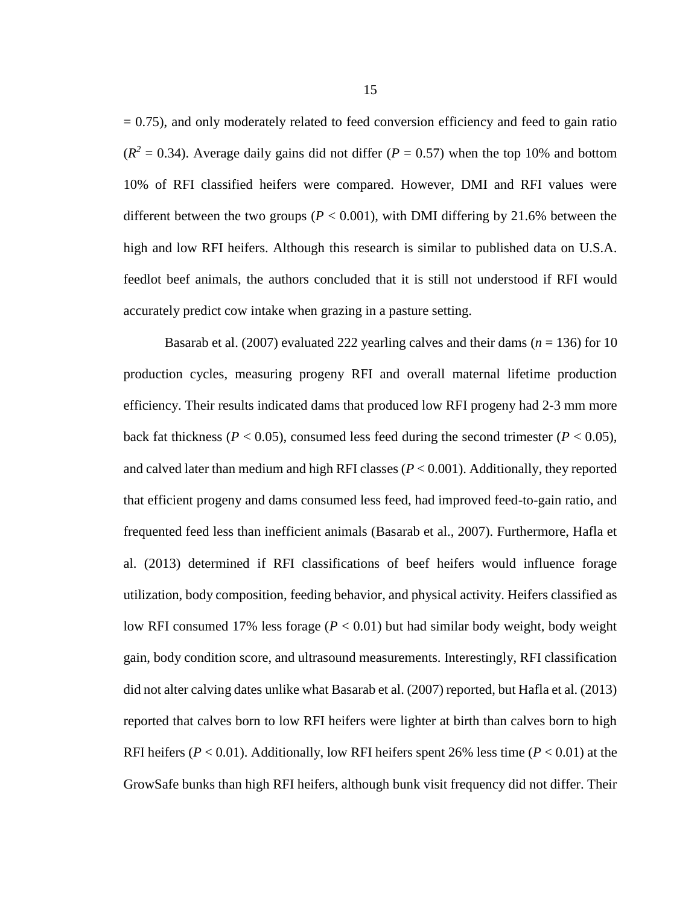$= 0.75$ ), and only moderately related to feed conversion efficiency and feed to gain ratio  $(R<sup>2</sup> = 0.34)$ . Average daily gains did not differ ( $P = 0.57$ ) when the top 10% and bottom 10% of RFI classified heifers were compared. However, DMI and RFI values were different between the two groups ( $P < 0.001$ ), with DMI differing by 21.6% between the high and low RFI heifers. Although this research is similar to published data on U.S.A. feedlot beef animals, the authors concluded that it is still not understood if RFI would accurately predict cow intake when grazing in a pasture setting.

Basarab et al.  $(2007)$  evaluated 222 yearling calves and their dams  $(n = 136)$  for 10 production cycles, measuring progeny RFI and overall maternal lifetime production efficiency. Their results indicated dams that produced low RFI progeny had 2-3 mm more back fat thickness ( $P < 0.05$ ), consumed less feed during the second trimester ( $P < 0.05$ ), and calved later than medium and high RFI classes (*P* < 0.001). Additionally, they reported that efficient progeny and dams consumed less feed, had improved feed-to-gain ratio, and frequented feed less than inefficient animals (Basarab et al., 2007). Furthermore, Hafla et al. (2013) determined if RFI classifications of beef heifers would influence forage utilization, body composition, feeding behavior, and physical activity. Heifers classified as low RFI consumed 17% less forage (*P* < 0.01) but had similar body weight, body weight gain, body condition score, and ultrasound measurements. Interestingly, RFI classification did not alter calving dates unlike what Basarab et al. (2007) reported, but Hafla et al. (2013) reported that calves born to low RFI heifers were lighter at birth than calves born to high RFI heifers (*P* < 0.01). Additionally, low RFI heifers spent 26% less time (*P* < 0.01) at the GrowSafe bunks than high RFI heifers, although bunk visit frequency did not differ. Their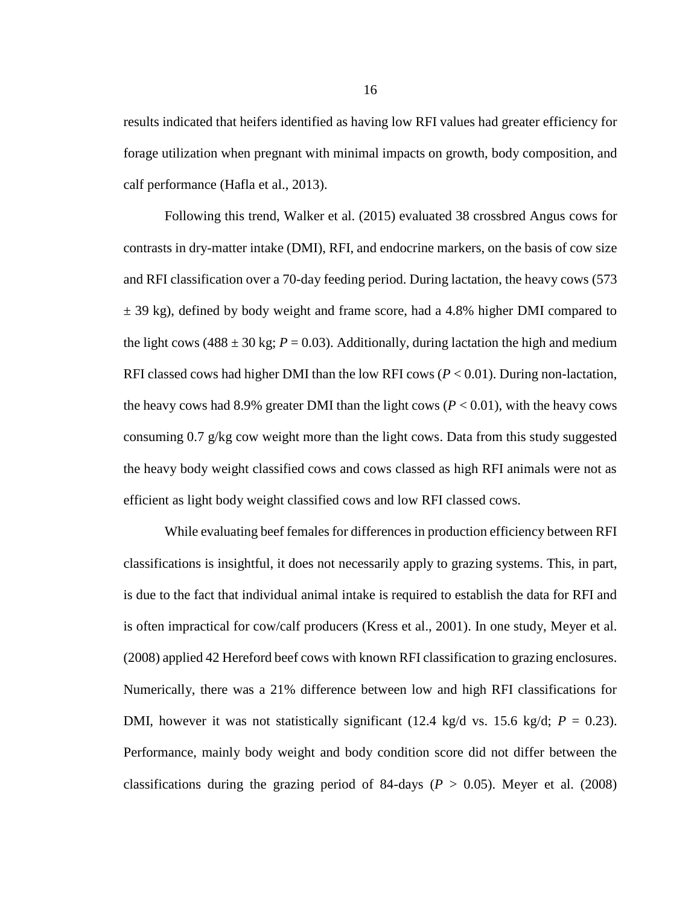results indicated that heifers identified as having low RFI values had greater efficiency for forage utilization when pregnant with minimal impacts on growth, body composition, and calf performance (Hafla et al., 2013).

Following this trend, Walker et al. (2015) evaluated 38 crossbred Angus cows for contrasts in dry-matter intake (DMI), RFI, and endocrine markers, on the basis of cow size and RFI classification over a 70-day feeding period. During lactation, the heavy cows (573  $\pm$  39 kg), defined by body weight and frame score, had a 4.8% higher DMI compared to the light cows (488  $\pm$  30 kg; *P* = 0.03). Additionally, during lactation the high and medium RFI classed cows had higher DMI than the low RFI cows  $(P < 0.01)$ . During non-lactation, the heavy cows had 8.9% greater DMI than the light cows  $(P < 0.01)$ , with the heavy cows consuming  $0.7 \text{ g/kg}$  cow weight more than the light cows. Data from this study suggested the heavy body weight classified cows and cows classed as high RFI animals were not as efficient as light body weight classified cows and low RFI classed cows.

While evaluating beef females for differences in production efficiency between RFI classifications is insightful, it does not necessarily apply to grazing systems. This, in part, is due to the fact that individual animal intake is required to establish the data for RFI and is often impractical for cow/calf producers (Kress et al., 2001). In one study, Meyer et al. (2008) applied 42 Hereford beef cows with known RFI classification to grazing enclosures. Numerically, there was a 21% difference between low and high RFI classifications for DMI, however it was not statistically significant (12.4 kg/d vs. 15.6 kg/d;  $P = 0.23$ ). Performance, mainly body weight and body condition score did not differ between the classifications during the grazing period of 84-days ( $P > 0.05$ ). Meyer et al. (2008)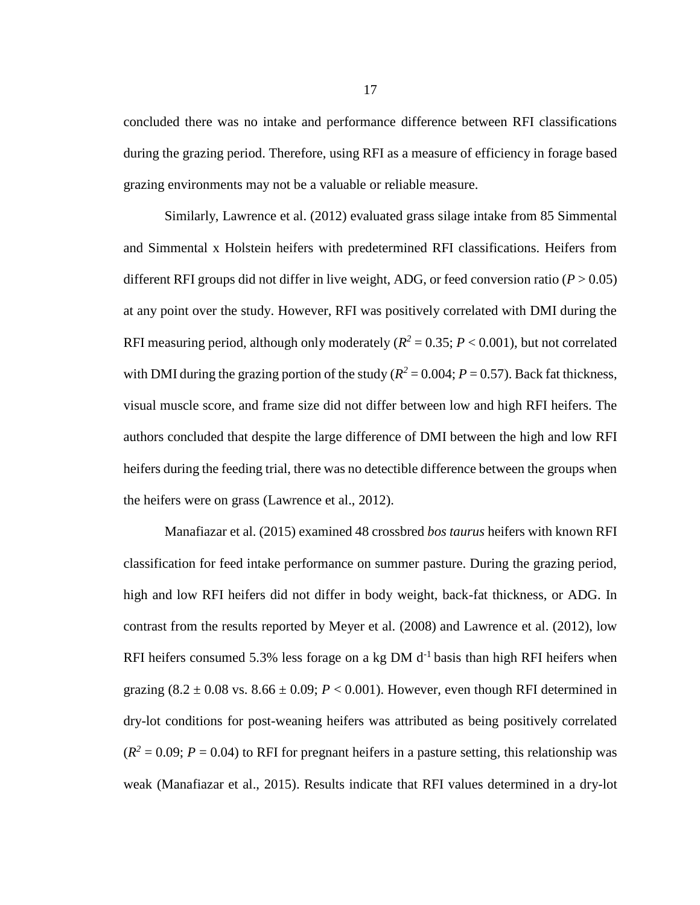concluded there was no intake and performance difference between RFI classifications during the grazing period. Therefore, using RFI as a measure of efficiency in forage based grazing environments may not be a valuable or reliable measure.

Similarly, Lawrence et al. (2012) evaluated grass silage intake from 85 Simmental and Simmental x Holstein heifers with predetermined RFI classifications. Heifers from different RFI groups did not differ in live weight, ADG, or feed conversion ratio  $(P > 0.05)$ at any point over the study. However, RFI was positively correlated with DMI during the RFI measuring period, although only moderately ( $R^2 = 0.35$ ;  $P < 0.001$ ), but not correlated with DMI during the grazing portion of the study ( $R^2 = 0.004$ ;  $P = 0.57$ ). Back fat thickness, visual muscle score, and frame size did not differ between low and high RFI heifers. The authors concluded that despite the large difference of DMI between the high and low RFI heifers during the feeding trial, there was no detectible difference between the groups when the heifers were on grass (Lawrence et al., 2012).

Manafiazar et al. (2015) examined 48 crossbred *bos taurus* heifers with known RFI classification for feed intake performance on summer pasture. During the grazing period, high and low RFI heifers did not differ in body weight, back-fat thickness, or ADG. In contrast from the results reported by Meyer et al. (2008) and Lawrence et al. (2012), low RFI heifers consumed 5.3% less forage on a kg DM  $d<sup>-1</sup>$  basis than high RFI heifers when grazing  $(8.2 \pm 0.08 \text{ vs. } 8.66 \pm 0.09; P < 0.001)$ . However, even though RFI determined in dry-lot conditions for post-weaning heifers was attributed as being positively correlated  $(R<sup>2</sup> = 0.09; P = 0.04)$  to RFI for pregnant heifers in a pasture setting, this relationship was weak (Manafiazar et al., 2015). Results indicate that RFI values determined in a dry-lot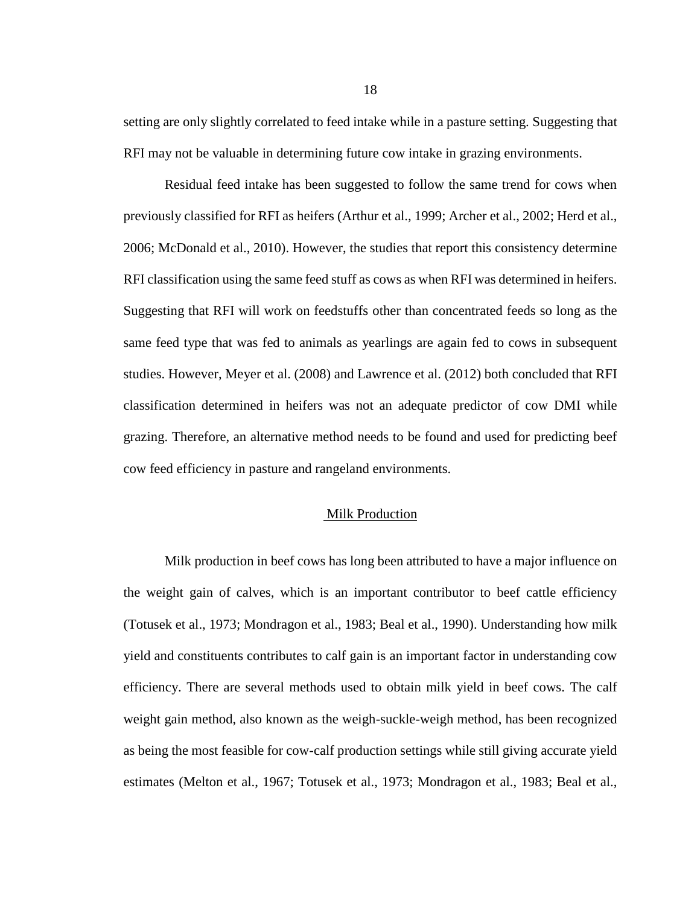setting are only slightly correlated to feed intake while in a pasture setting. Suggesting that RFI may not be valuable in determining future cow intake in grazing environments.

Residual feed intake has been suggested to follow the same trend for cows when previously classified for RFI as heifers (Arthur et al., 1999; Archer et al., 2002; Herd et al., 2006; McDonald et al., 2010). However, the studies that report this consistency determine RFI classification using the same feed stuff as cows as when RFI was determined in heifers. Suggesting that RFI will work on feedstuffs other than concentrated feeds so long as the same feed type that was fed to animals as yearlings are again fed to cows in subsequent studies. However, Meyer et al. (2008) and Lawrence et al. (2012) both concluded that RFI classification determined in heifers was not an adequate predictor of cow DMI while grazing. Therefore, an alternative method needs to be found and used for predicting beef cow feed efficiency in pasture and rangeland environments.

#### Milk Production

Milk production in beef cows has long been attributed to have a major influence on the weight gain of calves, which is an important contributor to beef cattle efficiency (Totusek et al., 1973; Mondragon et al., 1983; Beal et al., 1990). Understanding how milk yield and constituents contributes to calf gain is an important factor in understanding cow efficiency. There are several methods used to obtain milk yield in beef cows. The calf weight gain method, also known as the weigh-suckle-weigh method, has been recognized as being the most feasible for cow-calf production settings while still giving accurate yield estimates (Melton et al., 1967; Totusek et al., 1973; Mondragon et al., 1983; Beal et al.,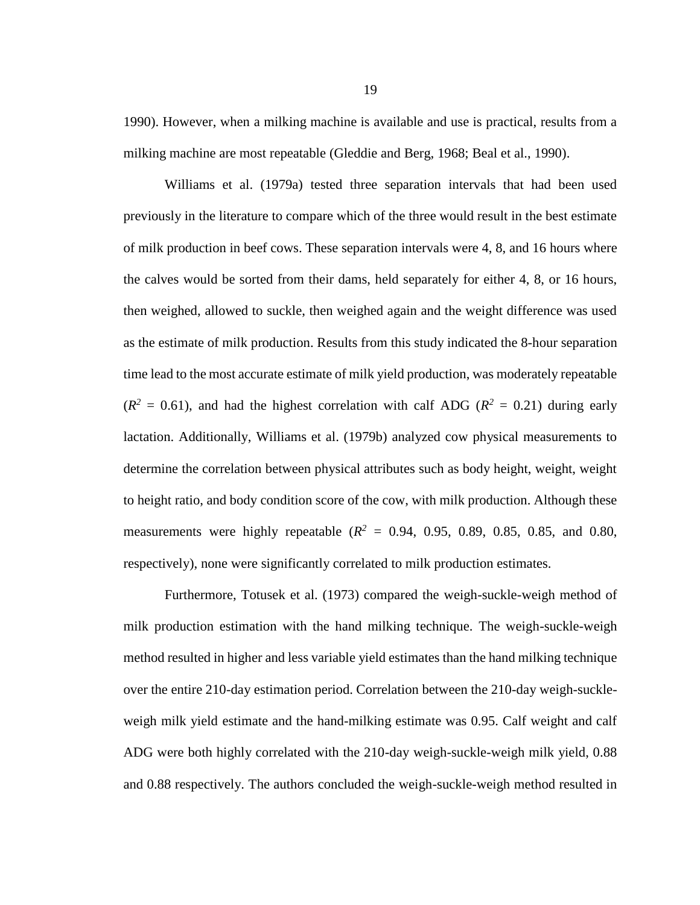1990). However, when a milking machine is available and use is practical, results from a milking machine are most repeatable (Gleddie and Berg, 1968; Beal et al., 1990).

Williams et al. (1979a) tested three separation intervals that had been used previously in the literature to compare which of the three would result in the best estimate of milk production in beef cows. These separation intervals were 4, 8, and 16 hours where the calves would be sorted from their dams, held separately for either 4, 8, or 16 hours, then weighed, allowed to suckle, then weighed again and the weight difference was used as the estimate of milk production. Results from this study indicated the 8-hour separation time lead to the most accurate estimate of milk yield production, was moderately repeatable  $(R^2 = 0.61)$ , and had the highest correlation with calf ADG ( $R^2 = 0.21$ ) during early lactation. Additionally, Williams et al. (1979b) analyzed cow physical measurements to determine the correlation between physical attributes such as body height, weight, weight to height ratio, and body condition score of the cow, with milk production. Although these measurements were highly repeatable  $(R^2 = 0.94, 0.95, 0.89, 0.85, 0.85,$  and 0.80, respectively), none were significantly correlated to milk production estimates.

Furthermore, Totusek et al. (1973) compared the weigh-suckle-weigh method of milk production estimation with the hand milking technique. The weigh-suckle-weigh method resulted in higher and less variable yield estimates than the hand milking technique over the entire 210-day estimation period. Correlation between the 210-day weigh-suckleweigh milk yield estimate and the hand-milking estimate was 0.95. Calf weight and calf ADG were both highly correlated with the 210-day weigh-suckle-weigh milk yield, 0.88 and 0.88 respectively. The authors concluded the weigh-suckle-weigh method resulted in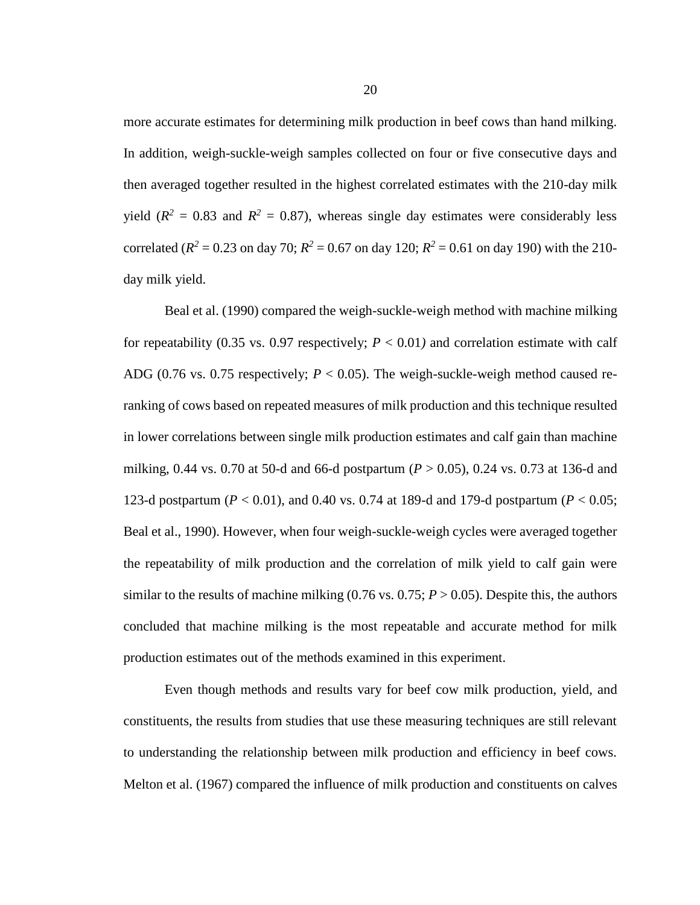more accurate estimates for determining milk production in beef cows than hand milking. In addition, weigh-suckle-weigh samples collected on four or five consecutive days and then averaged together resulted in the highest correlated estimates with the 210-day milk yield ( $R^2 = 0.83$  and  $R^2 = 0.87$ ), whereas single day estimates were considerably less correlated ( $R^2 = 0.23$  on day 70;  $R^2 = 0.67$  on day 120;  $R^2 = 0.61$  on day 190) with the 210day milk yield.

Beal et al. (1990) compared the weigh-suckle-weigh method with machine milking for repeatability (0.35 vs. 0.97 respectively;  $P < 0.01$ ) and correlation estimate with calf ADG (0.76 vs. 0.75 respectively;  $P < 0.05$ ). The weigh-suckle-weigh method caused reranking of cows based on repeated measures of milk production and this technique resulted in lower correlations between single milk production estimates and calf gain than machine milking, 0.44 vs. 0.70 at 50-d and 66-d postpartum (*P* > 0.05), 0.24 vs. 0.73 at 136-d and 123-d postpartum (*P* < 0.01), and 0.40 vs. 0.74 at 189-d and 179-d postpartum (*P* < 0.05; Beal et al., 1990). However, when four weigh-suckle-weigh cycles were averaged together the repeatability of milk production and the correlation of milk yield to calf gain were similar to the results of machine milking  $(0.76 \text{ vs. } 0.75; P > 0.05)$ . Despite this, the authors concluded that machine milking is the most repeatable and accurate method for milk production estimates out of the methods examined in this experiment.

Even though methods and results vary for beef cow milk production, yield, and constituents, the results from studies that use these measuring techniques are still relevant to understanding the relationship between milk production and efficiency in beef cows. Melton et al. (1967) compared the influence of milk production and constituents on calves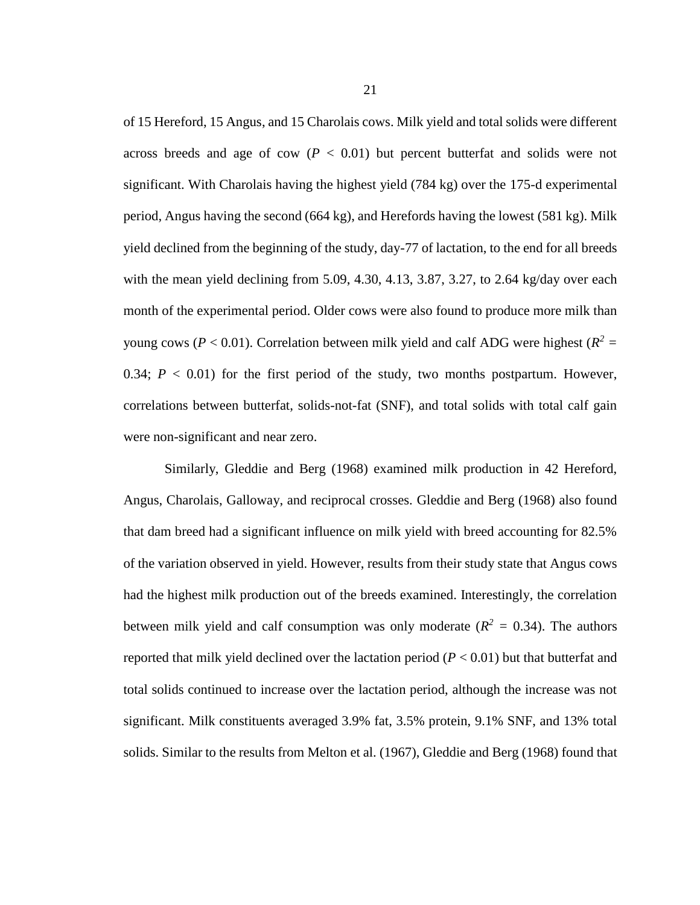of 15 Hereford, 15 Angus, and 15 Charolais cows. Milk yield and total solids were different across breeds and age of cow  $(P < 0.01)$  but percent butterfat and solids were not significant. With Charolais having the highest yield (784 kg) over the 175-d experimental period, Angus having the second (664 kg), and Herefords having the lowest (581 kg). Milk yield declined from the beginning of the study, day-77 of lactation, to the end for all breeds with the mean yield declining from 5.09, 4.30, 4.13, 3.87, 3.27, to 2.64 kg/day over each month of the experimental period. Older cows were also found to produce more milk than young cows ( $P < 0.01$ ). Correlation between milk yield and calf ADG were highest ( $R^2 =$ 0.34;  $P < 0.01$ ) for the first period of the study, two months postpartum. However, correlations between butterfat, solids-not-fat (SNF), and total solids with total calf gain were non-significant and near zero.

Similarly, Gleddie and Berg (1968) examined milk production in 42 Hereford, Angus, Charolais, Galloway, and reciprocal crosses. Gleddie and Berg (1968) also found that dam breed had a significant influence on milk yield with breed accounting for 82.5% of the variation observed in yield. However, results from their study state that Angus cows had the highest milk production out of the breeds examined. Interestingly, the correlation between milk yield and calf consumption was only moderate ( $R^2 = 0.34$ ). The authors reported that milk yield declined over the lactation period (*P* < 0.01) but that butterfat and total solids continued to increase over the lactation period, although the increase was not significant. Milk constituents averaged 3.9% fat, 3.5% protein, 9.1% SNF, and 13% total solids. Similar to the results from Melton et al. (1967), Gleddie and Berg (1968) found that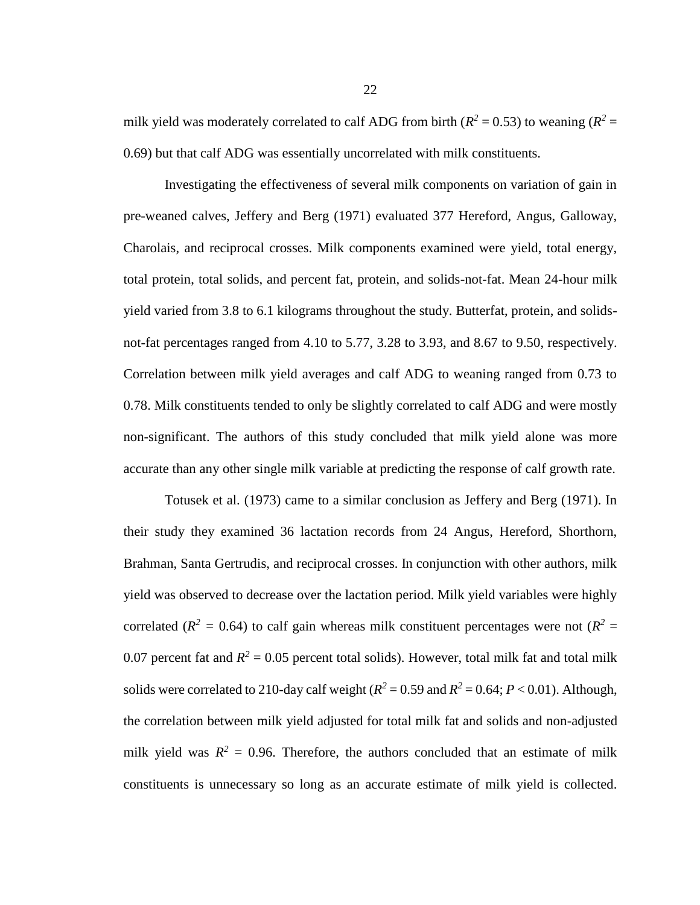milk yield was moderately correlated to calf ADG from birth  $(R^2 = 0.53)$  to weaning  $(R^2 = 0.25)$ 0.69) but that calf ADG was essentially uncorrelated with milk constituents.

Investigating the effectiveness of several milk components on variation of gain in pre-weaned calves, Jeffery and Berg (1971) evaluated 377 Hereford, Angus, Galloway, Charolais, and reciprocal crosses. Milk components examined were yield, total energy, total protein, total solids, and percent fat, protein, and solids-not-fat. Mean 24-hour milk yield varied from 3.8 to 6.1 kilograms throughout the study. Butterfat, protein, and solidsnot-fat percentages ranged from 4.10 to 5.77, 3.28 to 3.93, and 8.67 to 9.50, respectively. Correlation between milk yield averages and calf ADG to weaning ranged from 0.73 to 0.78. Milk constituents tended to only be slightly correlated to calf ADG and were mostly non-significant. The authors of this study concluded that milk yield alone was more accurate than any other single milk variable at predicting the response of calf growth rate.

Totusek et al. (1973) came to a similar conclusion as Jeffery and Berg (1971). In their study they examined 36 lactation records from 24 Angus, Hereford, Shorthorn, Brahman, Santa Gertrudis, and reciprocal crosses. In conjunction with other authors, milk yield was observed to decrease over the lactation period. Milk yield variables were highly correlated ( $R^2 = 0.64$ ) to calf gain whereas milk constituent percentages were not ( $R^2 = 0.64$ ) 0.07 percent fat and  $R^2 = 0.05$  percent total solids). However, total milk fat and total milk solids were correlated to 210-day calf weight ( $R^2 = 0.59$  and  $R^2 = 0.64$ ;  $P < 0.01$ ). Although, the correlation between milk yield adjusted for total milk fat and solids and non-adjusted milk yield was  $R^2 = 0.96$ . Therefore, the authors concluded that an estimate of milk constituents is unnecessary so long as an accurate estimate of milk yield is collected.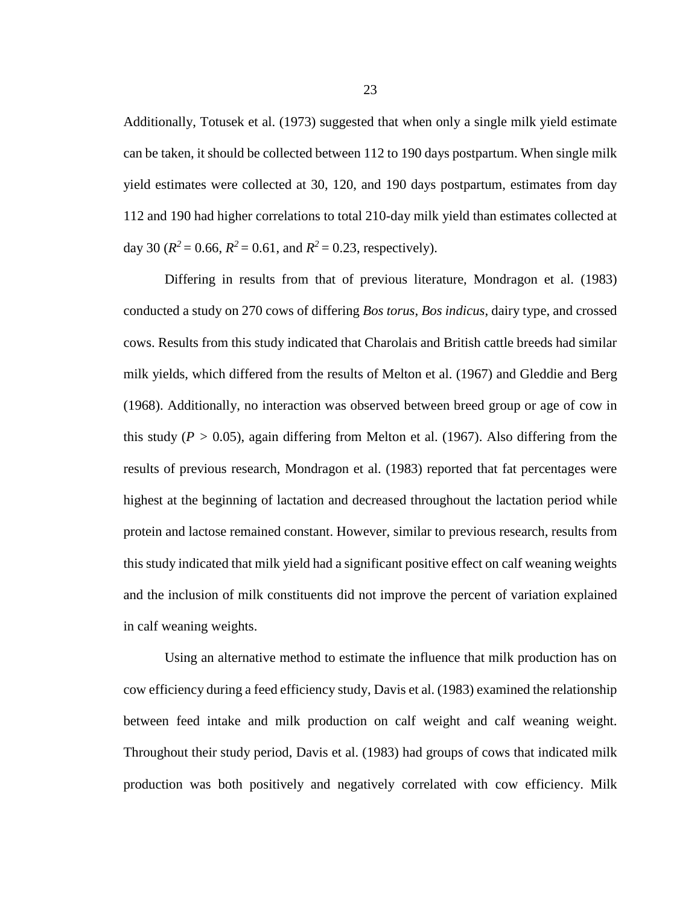Additionally, Totusek et al. (1973) suggested that when only a single milk yield estimate can be taken, it should be collected between 112 to 190 days postpartum. When single milk yield estimates were collected at 30, 120, and 190 days postpartum, estimates from day 112 and 190 had higher correlations to total 210-day milk yield than estimates collected at day 30 ( $R^2 = 0.66$ ,  $R^2 = 0.61$ , and  $R^2 = 0.23$ , respectively).

Differing in results from that of previous literature, Mondragon et al. (1983) conducted a study on 270 cows of differing *Bos torus*, *Bos indicus*, dairy type, and crossed cows. Results from this study indicated that Charolais and British cattle breeds had similar milk yields, which differed from the results of Melton et al. (1967) and Gleddie and Berg (1968). Additionally, no interaction was observed between breed group or age of cow in this study ( $P > 0.05$ ), again differing from Melton et al. (1967). Also differing from the results of previous research, Mondragon et al. (1983) reported that fat percentages were highest at the beginning of lactation and decreased throughout the lactation period while protein and lactose remained constant. However, similar to previous research, results from this study indicated that milk yield had a significant positive effect on calf weaning weights and the inclusion of milk constituents did not improve the percent of variation explained in calf weaning weights.

Using an alternative method to estimate the influence that milk production has on cow efficiency during a feed efficiency study, Davis et al. (1983) examined the relationship between feed intake and milk production on calf weight and calf weaning weight. Throughout their study period, Davis et al. (1983) had groups of cows that indicated milk production was both positively and negatively correlated with cow efficiency. Milk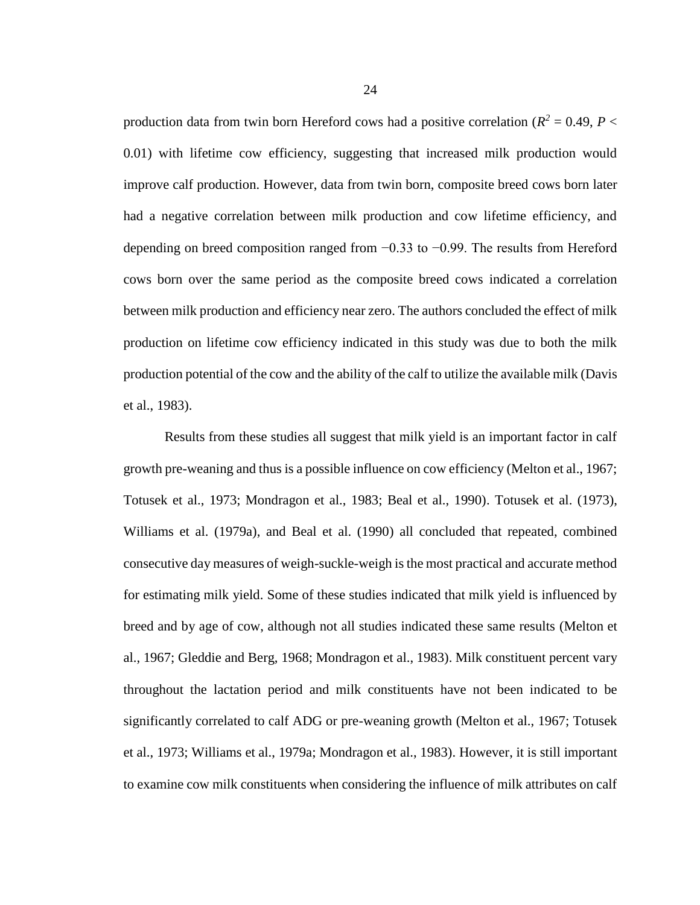production data from twin born Hereford cows had a positive correlation ( $R^2 = 0.49$ ,  $P <$ 0.01) with lifetime cow efficiency, suggesting that increased milk production would improve calf production. However, data from twin born, composite breed cows born later had a negative correlation between milk production and cow lifetime efficiency, and depending on breed composition ranged from −0.33 to −0.99. The results from Hereford cows born over the same period as the composite breed cows indicated a correlation between milk production and efficiency near zero. The authors concluded the effect of milk production on lifetime cow efficiency indicated in this study was due to both the milk production potential of the cow and the ability of the calf to utilize the available milk (Davis et al., 1983).

Results from these studies all suggest that milk yield is an important factor in calf growth pre-weaning and thus is a possible influence on cow efficiency (Melton et al., 1967; Totusek et al., 1973; Mondragon et al., 1983; Beal et al., 1990). Totusek et al. (1973), Williams et al. (1979a), and Beal et al. (1990) all concluded that repeated, combined consecutive day measures of weigh-suckle-weigh is the most practical and accurate method for estimating milk yield. Some of these studies indicated that milk yield is influenced by breed and by age of cow, although not all studies indicated these same results (Melton et al., 1967; Gleddie and Berg, 1968; Mondragon et al., 1983). Milk constituent percent vary throughout the lactation period and milk constituents have not been indicated to be significantly correlated to calf ADG or pre-weaning growth (Melton et al., 1967; Totusek et al., 1973; Williams et al., 1979a; Mondragon et al., 1983). However, it is still important to examine cow milk constituents when considering the influence of milk attributes on calf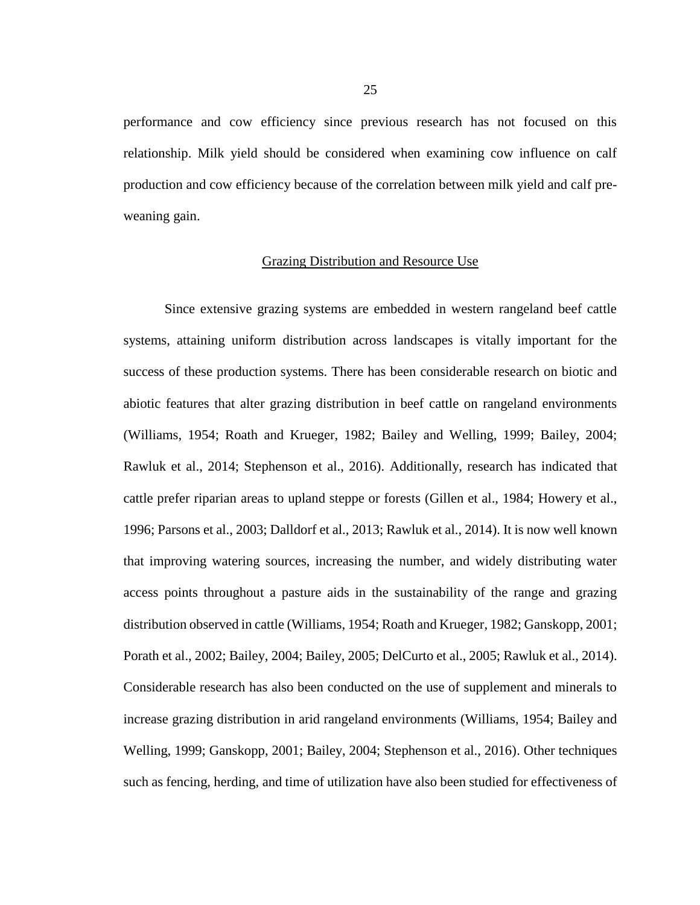performance and cow efficiency since previous research has not focused on this relationship. Milk yield should be considered when examining cow influence on calf production and cow efficiency because of the correlation between milk yield and calf preweaning gain.

#### Grazing Distribution and Resource Use

Since extensive grazing systems are embedded in western rangeland beef cattle systems, attaining uniform distribution across landscapes is vitally important for the success of these production systems. There has been considerable research on biotic and abiotic features that alter grazing distribution in beef cattle on rangeland environments (Williams, 1954; Roath and Krueger, 1982; Bailey and Welling, 1999; Bailey, 2004; Rawluk et al., 2014; Stephenson et al., 2016). Additionally, research has indicated that cattle prefer riparian areas to upland steppe or forests (Gillen et al., 1984; Howery et al., 1996; Parsons et al., 2003; Dalldorf et al., 2013; Rawluk et al., 2014). It is now well known that improving watering sources, increasing the number, and widely distributing water access points throughout a pasture aids in the sustainability of the range and grazing distribution observed in cattle (Williams, 1954; Roath and Krueger, 1982; Ganskopp, 2001; Porath et al., 2002; Bailey, 2004; Bailey, 2005; DelCurto et al., 2005; Rawluk et al., 2014). Considerable research has also been conducted on the use of supplement and minerals to increase grazing distribution in arid rangeland environments (Williams, 1954; Bailey and Welling, 1999; Ganskopp, 2001; Bailey, 2004; Stephenson et al., 2016). Other techniques such as fencing, herding, and time of utilization have also been studied for effectiveness of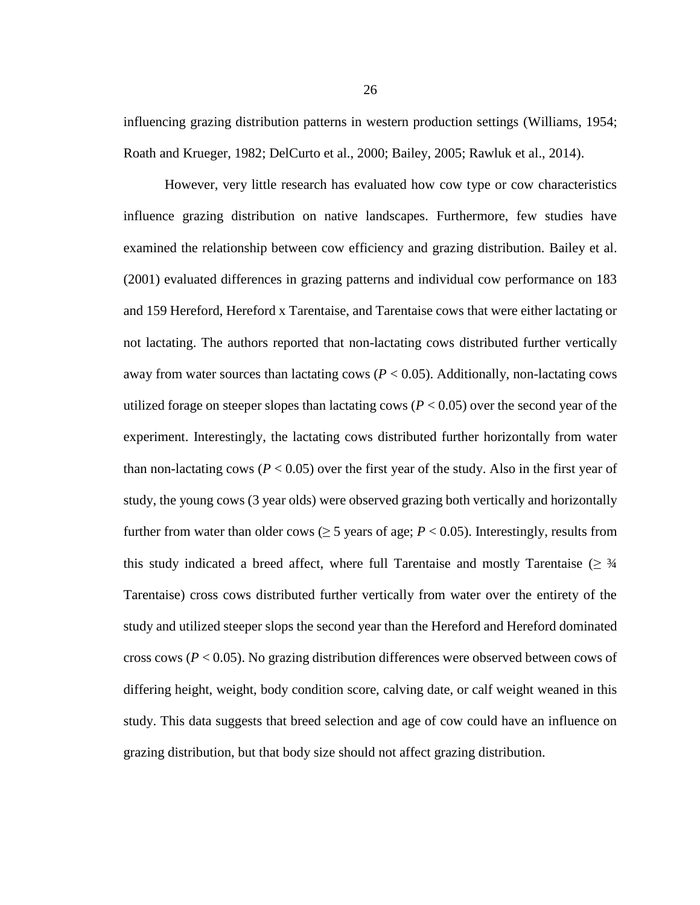influencing grazing distribution patterns in western production settings (Williams, 1954; Roath and Krueger, 1982; DelCurto et al., 2000; Bailey, 2005; Rawluk et al., 2014).

However, very little research has evaluated how cow type or cow characteristics influence grazing distribution on native landscapes. Furthermore, few studies have examined the relationship between cow efficiency and grazing distribution. Bailey et al. (2001) evaluated differences in grazing patterns and individual cow performance on 183 and 159 Hereford, Hereford x Tarentaise, and Tarentaise cows that were either lactating or not lactating. The authors reported that non-lactating cows distributed further vertically away from water sources than lactating cows  $(P < 0.05)$ . Additionally, non-lactating cows utilized forage on steeper slopes than lactating cows ( $P < 0.05$ ) over the second year of the experiment. Interestingly, the lactating cows distributed further horizontally from water than non-lactating cows ( $P < 0.05$ ) over the first year of the study. Also in the first year of study, the young cows (3 year olds) were observed grazing both vertically and horizontally further from water than older cows ( $\geq$  5 years of age;  $P$  < 0.05). Interestingly, results from this study indicated a breed affect, where full Tarentaise and mostly Tarentaise ( $\geq$   $\frac{3}{4}$ ) Tarentaise) cross cows distributed further vertically from water over the entirety of the study and utilized steeper slops the second year than the Hereford and Hereford dominated cross cows (*P* < 0.05). No grazing distribution differences were observed between cows of differing height, weight, body condition score, calving date, or calf weight weaned in this study. This data suggests that breed selection and age of cow could have an influence on grazing distribution, but that body size should not affect grazing distribution.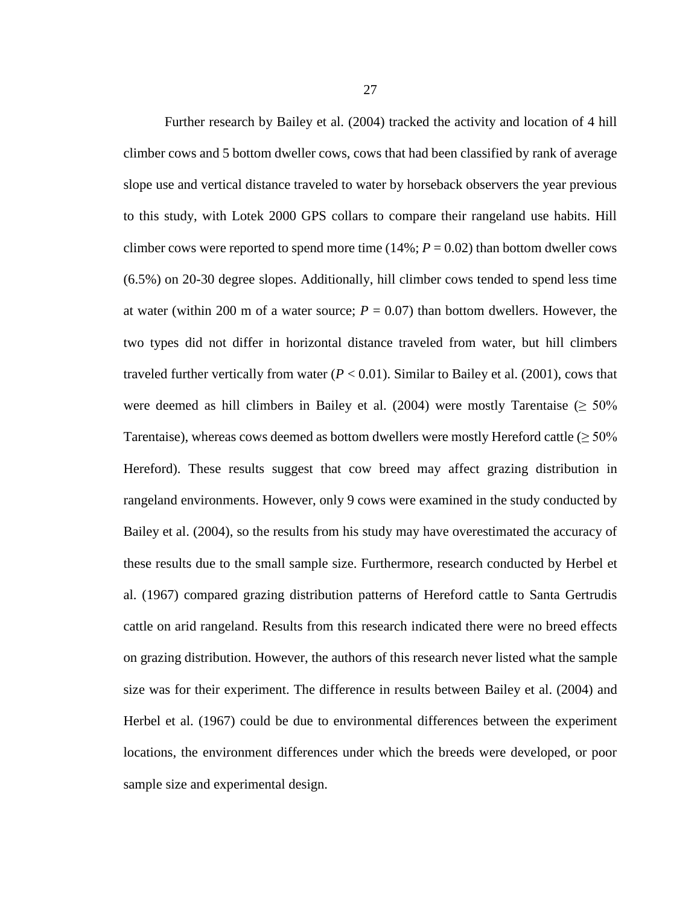Further research by Bailey et al. (2004) tracked the activity and location of 4 hill climber cows and 5 bottom dweller cows, cows that had been classified by rank of average slope use and vertical distance traveled to water by horseback observers the year previous to this study, with Lotek 2000 GPS collars to compare their rangeland use habits. Hill climber cows were reported to spend more time  $(14\%; P = 0.02)$  than bottom dweller cows (6.5%) on 20-30 degree slopes. Additionally, hill climber cows tended to spend less time at water (within 200 m of a water source;  $P = 0.07$ ) than bottom dwellers. However, the two types did not differ in horizontal distance traveled from water, but hill climbers traveled further vertically from water  $(P < 0.01)$ . Similar to Bailey et al. (2001), cows that were deemed as hill climbers in Bailey et al. (2004) were mostly Tarentaise ( $\geq 50\%$ Tarentaise), whereas cows deemed as bottom dwellers were mostly Hereford cattle ( $\geq 50\%$ Hereford). These results suggest that cow breed may affect grazing distribution in rangeland environments. However, only 9 cows were examined in the study conducted by Bailey et al. (2004), so the results from his study may have overestimated the accuracy of these results due to the small sample size. Furthermore, research conducted by Herbel et al. (1967) compared grazing distribution patterns of Hereford cattle to Santa Gertrudis cattle on arid rangeland. Results from this research indicated there were no breed effects on grazing distribution. However, the authors of this research never listed what the sample size was for their experiment. The difference in results between Bailey et al. (2004) and Herbel et al. (1967) could be due to environmental differences between the experiment locations, the environment differences under which the breeds were developed, or poor sample size and experimental design.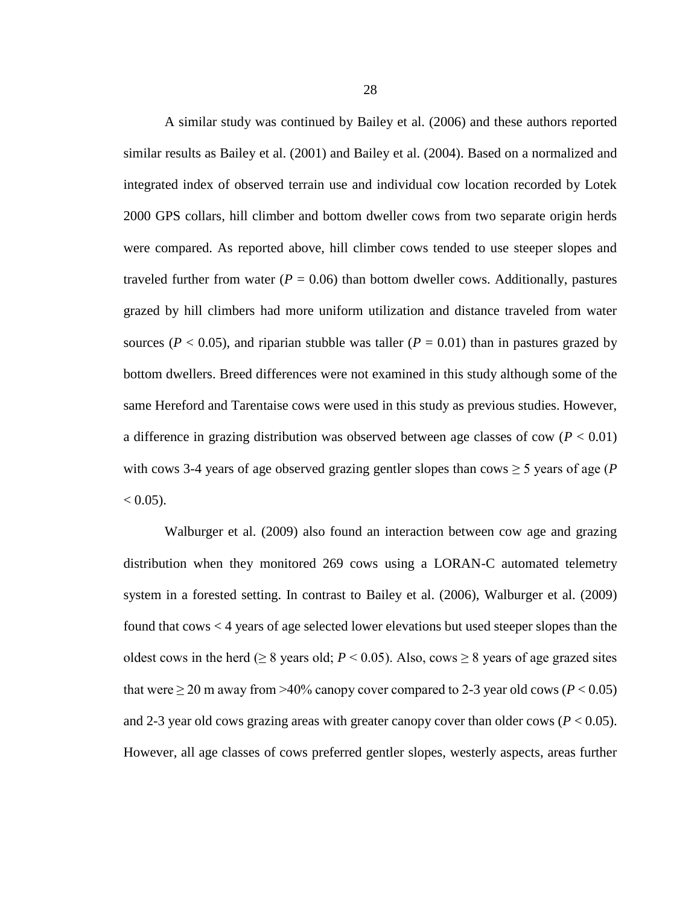A similar study was continued by Bailey et al. (2006) and these authors reported similar results as Bailey et al. (2001) and Bailey et al. (2004). Based on a normalized and integrated index of observed terrain use and individual cow location recorded by Lotek 2000 GPS collars, hill climber and bottom dweller cows from two separate origin herds were compared. As reported above, hill climber cows tended to use steeper slopes and traveled further from water  $(P = 0.06)$  than bottom dweller cows. Additionally, pastures grazed by hill climbers had more uniform utilization and distance traveled from water sources ( $P < 0.05$ ), and riparian stubble was taller ( $P = 0.01$ ) than in pastures grazed by bottom dwellers. Breed differences were not examined in this study although some of the same Hereford and Tarentaise cows were used in this study as previous studies. However, a difference in grazing distribution was observed between age classes of cow  $(P < 0.01)$ with cows 3-4 years of age observed grazing gentler slopes than cows  $\geq$  5 years of age (*P*  $< 0.05$ ).

Walburger et al. (2009) also found an interaction between cow age and grazing distribution when they monitored 269 cows using a LORAN-C automated telemetry system in a forested setting. In contrast to Bailey et al. (2006), Walburger et al. (2009) found that cows < 4 years of age selected lower elevations but used steeper slopes than the oldest cows in the herd ( $\geq 8$  years old; *P* < 0.05). Also, cows  $\geq 8$  years of age grazed sites that were  $\geq$  20 m away from  $>$ 40% canopy cover compared to 2-3 year old cows (*P* < 0.05) and 2-3 year old cows grazing areas with greater canopy cover than older cows ( $P < 0.05$ ). However, all age classes of cows preferred gentler slopes, westerly aspects, areas further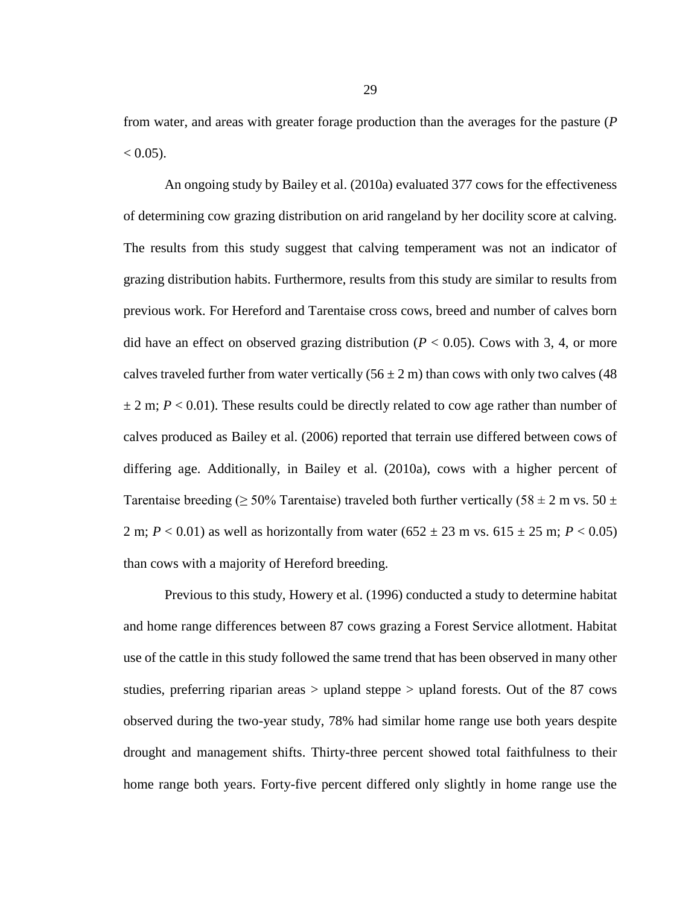from water, and areas with greater forage production than the averages for the pasture (*P*   $< 0.05$ ).

An ongoing study by Bailey et al. (2010a) evaluated 377 cows for the effectiveness of determining cow grazing distribution on arid rangeland by her docility score at calving. The results from this study suggest that calving temperament was not an indicator of grazing distribution habits. Furthermore, results from this study are similar to results from previous work. For Hereford and Tarentaise cross cows, breed and number of calves born did have an effect on observed grazing distribution ( $P < 0.05$ ). Cows with 3, 4, or more calves traveled further from water vertically  $(56 \pm 2 \text{ m})$  than cows with only two calves (48)  $\pm$  2 m; *P* < 0.01). These results could be directly related to cow age rather than number of calves produced as Bailey et al. (2006) reported that terrain use differed between cows of differing age. Additionally, in Bailey et al. (2010a), cows with a higher percent of Tarentaise breeding ( $\geq 50\%$  Tarentaise) traveled both further vertically (58  $\pm$  2 m vs. 50  $\pm$ 2 m;  $P < 0.01$ ) as well as horizontally from water (652  $\pm$  23 m vs. 615  $\pm$  25 m;  $P < 0.05$ ) than cows with a majority of Hereford breeding.

Previous to this study, Howery et al. (1996) conducted a study to determine habitat and home range differences between 87 cows grazing a Forest Service allotment. Habitat use of the cattle in this study followed the same trend that has been observed in many other studies, preferring riparian areas > upland steppe > upland forests. Out of the 87 cows observed during the two-year study, 78% had similar home range use both years despite drought and management shifts. Thirty-three percent showed total faithfulness to their home range both years. Forty-five percent differed only slightly in home range use the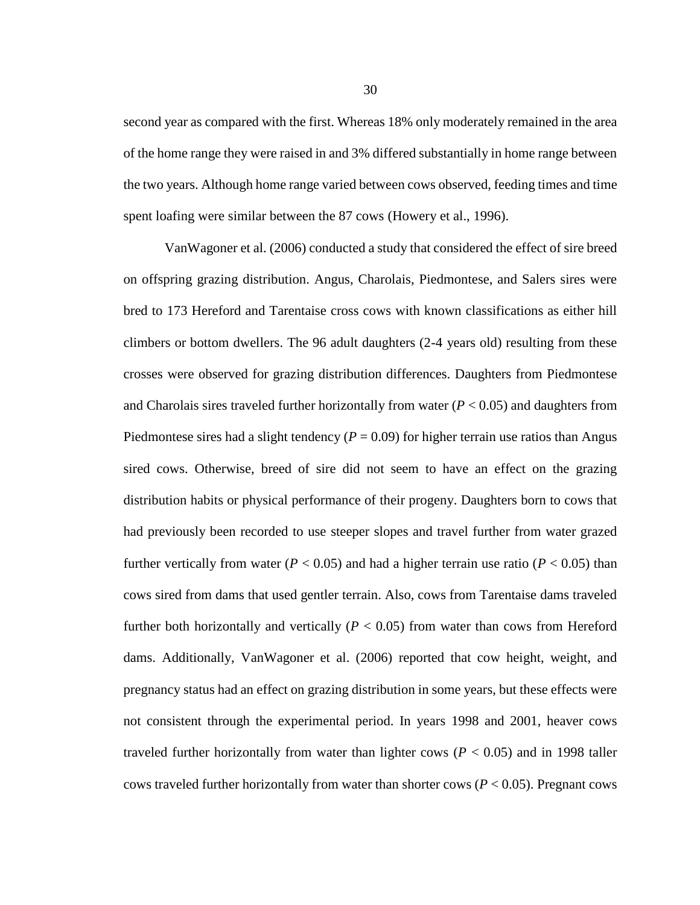second year as compared with the first. Whereas 18% only moderately remained in the area of the home range they were raised in and 3% differed substantially in home range between the two years. Although home range varied between cows observed, feeding times and time spent loafing were similar between the 87 cows (Howery et al., 1996).

VanWagoner et al. (2006) conducted a study that considered the effect of sire breed on offspring grazing distribution. Angus, Charolais, Piedmontese, and Salers sires were bred to 173 Hereford and Tarentaise cross cows with known classifications as either hill climbers or bottom dwellers. The 96 adult daughters (2-4 years old) resulting from these crosses were observed for grazing distribution differences. Daughters from Piedmontese and Charolais sires traveled further horizontally from water (*P* < 0.05) and daughters from Piedmontese sires had a slight tendency ( $P = 0.09$ ) for higher terrain use ratios than Angus sired cows. Otherwise, breed of sire did not seem to have an effect on the grazing distribution habits or physical performance of their progeny. Daughters born to cows that had previously been recorded to use steeper slopes and travel further from water grazed further vertically from water ( $P < 0.05$ ) and had a higher terrain use ratio ( $P < 0.05$ ) than cows sired from dams that used gentler terrain. Also, cows from Tarentaise dams traveled further both horizontally and vertically  $(P < 0.05)$  from water than cows from Hereford dams. Additionally, VanWagoner et al. (2006) reported that cow height, weight, and pregnancy status had an effect on grazing distribution in some years, but these effects were not consistent through the experimental period. In years 1998 and 2001, heaver cows traveled further horizontally from water than lighter cows  $(P < 0.05)$  and in 1998 taller cows traveled further horizontally from water than shorter cows ( $P < 0.05$ ). Pregnant cows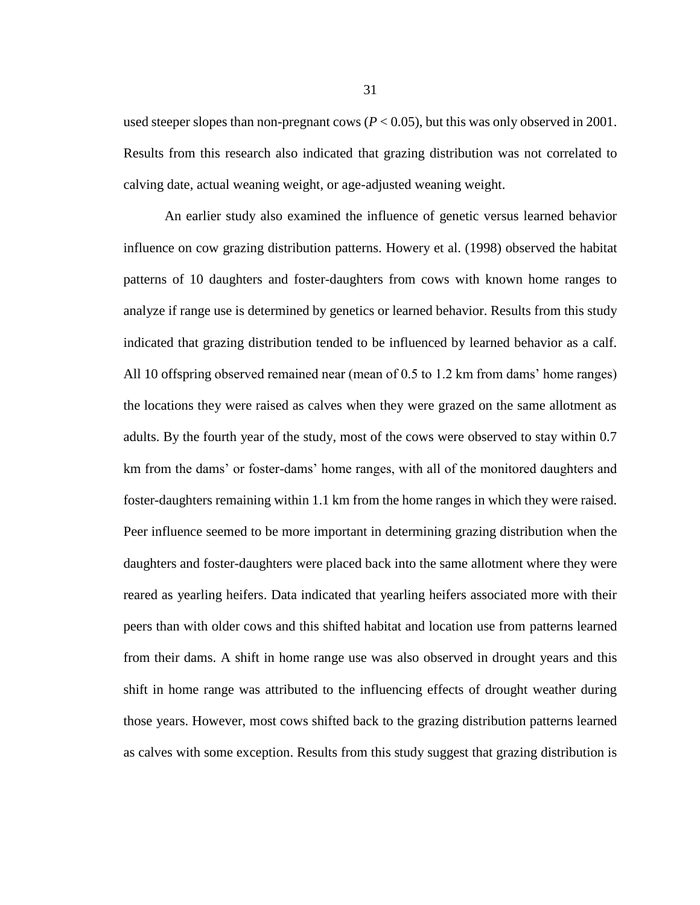used steeper slopes than non-pregnant cows  $(P < 0.05)$ , but this was only observed in 2001. Results from this research also indicated that grazing distribution was not correlated to calving date, actual weaning weight, or age-adjusted weaning weight.

An earlier study also examined the influence of genetic versus learned behavior influence on cow grazing distribution patterns. Howery et al. (1998) observed the habitat patterns of 10 daughters and foster-daughters from cows with known home ranges to analyze if range use is determined by genetics or learned behavior. Results from this study indicated that grazing distribution tended to be influenced by learned behavior as a calf. All 10 offspring observed remained near (mean of 0.5 to 1.2 km from dams' home ranges) the locations they were raised as calves when they were grazed on the same allotment as adults. By the fourth year of the study, most of the cows were observed to stay within 0.7 km from the dams' or foster-dams' home ranges, with all of the monitored daughters and foster-daughters remaining within 1.1 km from the home ranges in which they were raised. Peer influence seemed to be more important in determining grazing distribution when the daughters and foster-daughters were placed back into the same allotment where they were reared as yearling heifers. Data indicated that yearling heifers associated more with their peers than with older cows and this shifted habitat and location use from patterns learned from their dams. A shift in home range use was also observed in drought years and this shift in home range was attributed to the influencing effects of drought weather during those years. However, most cows shifted back to the grazing distribution patterns learned as calves with some exception. Results from this study suggest that grazing distribution is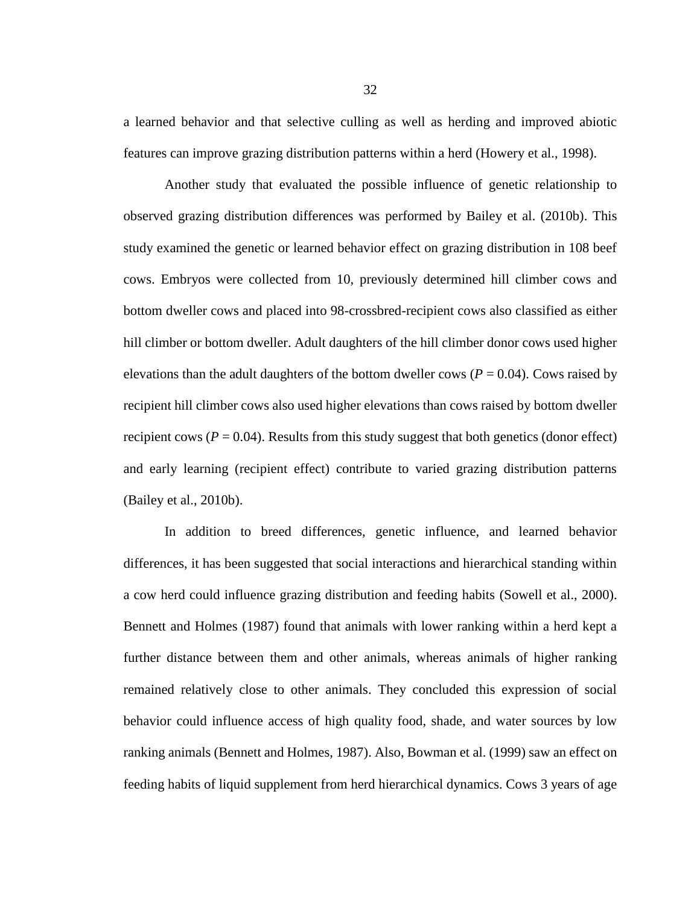a learned behavior and that selective culling as well as herding and improved abiotic features can improve grazing distribution patterns within a herd (Howery et al., 1998).

Another study that evaluated the possible influence of genetic relationship to observed grazing distribution differences was performed by Bailey et al. (2010b). This study examined the genetic or learned behavior effect on grazing distribution in 108 beef cows. Embryos were collected from 10, previously determined hill climber cows and bottom dweller cows and placed into 98-crossbred-recipient cows also classified as either hill climber or bottom dweller. Adult daughters of the hill climber donor cows used higher elevations than the adult daughters of the bottom dweller cows  $(P = 0.04)$ . Cows raised by recipient hill climber cows also used higher elevations than cows raised by bottom dweller recipient cows  $(P = 0.04)$ . Results from this study suggest that both genetics (donor effect) and early learning (recipient effect) contribute to varied grazing distribution patterns (Bailey et al., 2010b).

In addition to breed differences, genetic influence, and learned behavior differences, it has been suggested that social interactions and hierarchical standing within a cow herd could influence grazing distribution and feeding habits (Sowell et al., 2000). Bennett and Holmes (1987) found that animals with lower ranking within a herd kept a further distance between them and other animals, whereas animals of higher ranking remained relatively close to other animals. They concluded this expression of social behavior could influence access of high quality food, shade, and water sources by low ranking animals (Bennett and Holmes, 1987). Also, Bowman et al. (1999) saw an effect on feeding habits of liquid supplement from herd hierarchical dynamics. Cows 3 years of age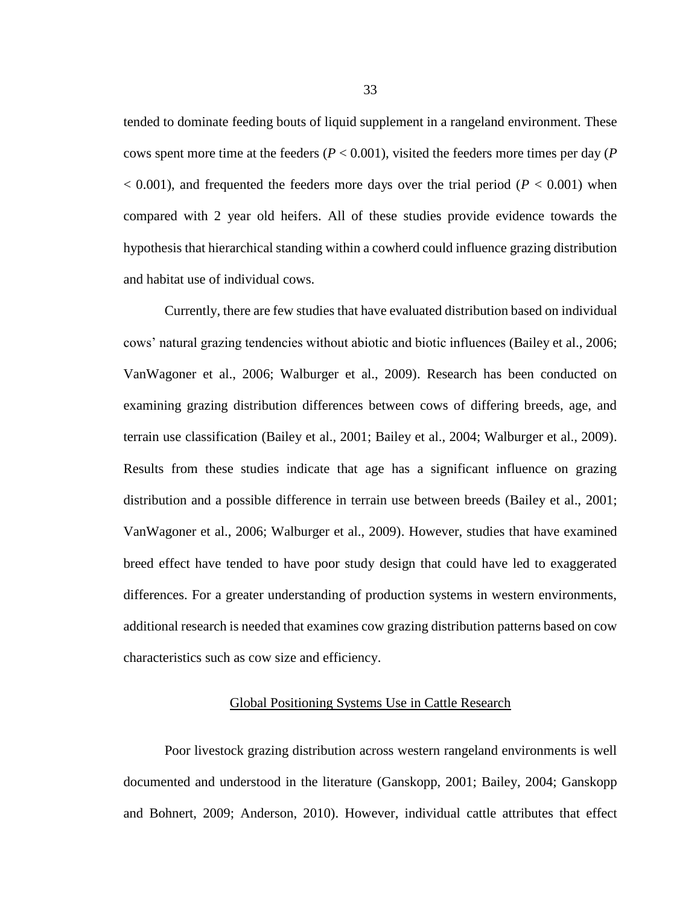tended to dominate feeding bouts of liquid supplement in a rangeland environment. These cows spent more time at the feeders ( $P < 0.001$ ), visited the feeders more times per day ( $P$ )  $< 0.001$ ), and frequented the feeders more days over the trial period ( $P < 0.001$ ) when compared with 2 year old heifers. All of these studies provide evidence towards the hypothesis that hierarchical standing within a cowherd could influence grazing distribution and habitat use of individual cows.

Currently, there are few studies that have evaluated distribution based on individual cows' natural grazing tendencies without abiotic and biotic influences (Bailey et al., 2006; VanWagoner et al., 2006; Walburger et al., 2009). Research has been conducted on examining grazing distribution differences between cows of differing breeds, age, and terrain use classification (Bailey et al., 2001; Bailey et al., 2004; Walburger et al., 2009). Results from these studies indicate that age has a significant influence on grazing distribution and a possible difference in terrain use between breeds (Bailey et al., 2001; VanWagoner et al., 2006; Walburger et al., 2009). However, studies that have examined breed effect have tended to have poor study design that could have led to exaggerated differences. For a greater understanding of production systems in western environments, additional research is needed that examines cow grazing distribution patterns based on cow characteristics such as cow size and efficiency.

### Global Positioning Systems Use in Cattle Research

Poor livestock grazing distribution across western rangeland environments is well documented and understood in the literature (Ganskopp, 2001; Bailey, 2004; Ganskopp and Bohnert, 2009; Anderson, 2010). However, individual cattle attributes that effect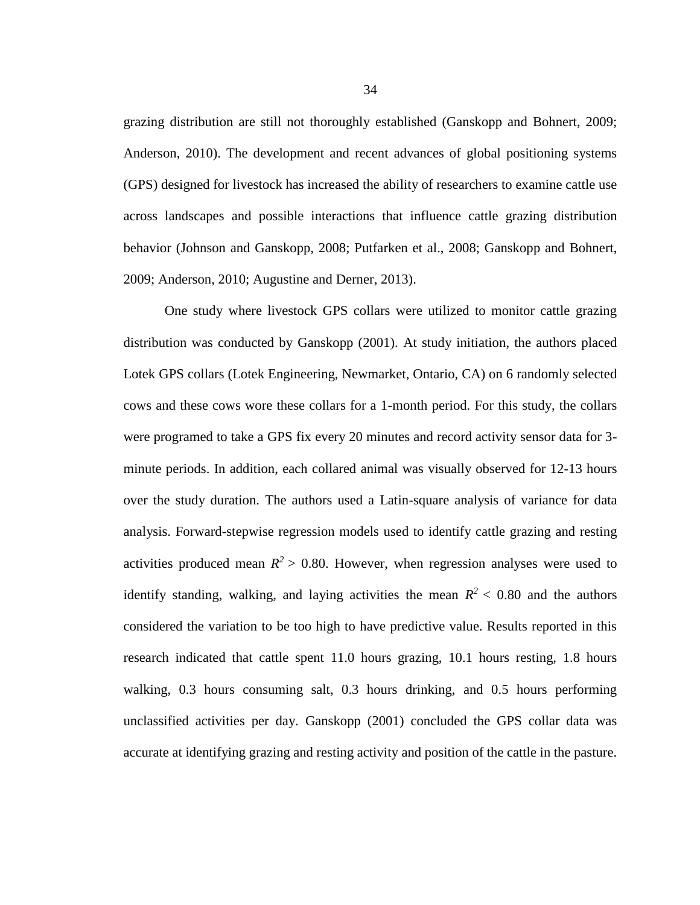grazing distribution are still not thoroughly established (Ganskopp and Bohnert, 2009; Anderson, 2010). The development and recent advances of global positioning systems (GPS) designed for livestock has increased the ability of researchers to examine cattle use across landscapes and possible interactions that influence cattle grazing distribution behavior (Johnson and Ganskopp, 2008; Putfarken et al., 2008; Ganskopp and Bohnert, 2009; Anderson, 2010; Augustine and Derner, 2013).

One study where livestock GPS collars were utilized to monitor cattle grazing distribution was conducted by Ganskopp (2001). At study initiation, the authors placed Lotek GPS collars (Lotek Engineering, Newmarket, Ontario, CA) on 6 randomly selected cows and these cows wore these collars for a 1-month period. For this study, the collars were programed to take a GPS fix every 20 minutes and record activity sensor data for 3 minute periods. In addition, each collared animal was visually observed for 12-13 hours over the study duration. The authors used a Latin-square analysis of variance for data analysis. Forward-stepwise regression models used to identify cattle grazing and resting activities produced mean  $R^2 > 0.80$ . However, when regression analyses were used to identify standing, walking, and laying activities the mean  $R^2 < 0.80$  and the authors considered the variation to be too high to have predictive value. Results reported in this research indicated that cattle spent 11.0 hours grazing, 10.1 hours resting, 1.8 hours walking, 0.3 hours consuming salt, 0.3 hours drinking, and 0.5 hours performing unclassified activities per day. Ganskopp (2001) concluded the GPS collar data was accurate at identifying grazing and resting activity and position of the cattle in the pasture.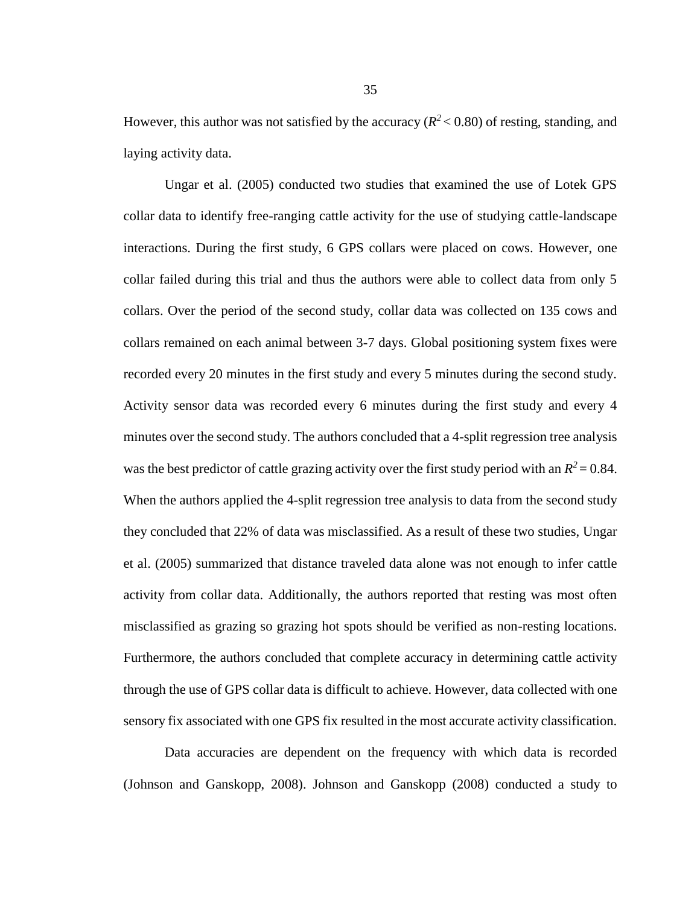However, this author was not satisfied by the accuracy  $(R^2 < 0.80)$  of resting, standing, and laying activity data.

Ungar et al. (2005) conducted two studies that examined the use of Lotek GPS collar data to identify free-ranging cattle activity for the use of studying cattle-landscape interactions. During the first study, 6 GPS collars were placed on cows. However, one collar failed during this trial and thus the authors were able to collect data from only 5 collars. Over the period of the second study, collar data was collected on 135 cows and collars remained on each animal between 3-7 days. Global positioning system fixes were recorded every 20 minutes in the first study and every 5 minutes during the second study. Activity sensor data was recorded every 6 minutes during the first study and every 4 minutes over the second study. The authors concluded that a 4-split regression tree analysis was the best predictor of cattle grazing activity over the first study period with an  $R^2 = 0.84$ . When the authors applied the 4-split regression tree analysis to data from the second study they concluded that 22% of data was misclassified. As a result of these two studies, Ungar et al. (2005) summarized that distance traveled data alone was not enough to infer cattle activity from collar data. Additionally, the authors reported that resting was most often misclassified as grazing so grazing hot spots should be verified as non-resting locations. Furthermore, the authors concluded that complete accuracy in determining cattle activity through the use of GPS collar data is difficult to achieve. However, data collected with one sensory fix associated with one GPS fix resulted in the most accurate activity classification.

Data accuracies are dependent on the frequency with which data is recorded (Johnson and Ganskopp, 2008). Johnson and Ganskopp (2008) conducted a study to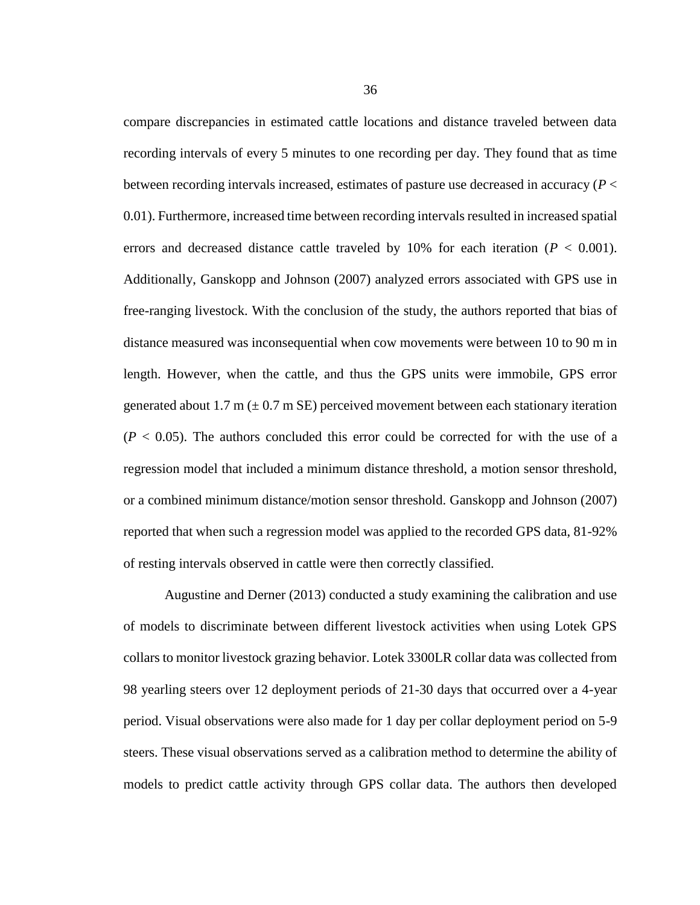compare discrepancies in estimated cattle locations and distance traveled between data recording intervals of every 5 minutes to one recording per day. They found that as time between recording intervals increased, estimates of pasture use decreased in accuracy (*P* < 0.01). Furthermore, increased time between recording intervals resulted in increased spatial errors and decreased distance cattle traveled by 10% for each iteration  $(P < 0.001)$ . Additionally, Ganskopp and Johnson (2007) analyzed errors associated with GPS use in free-ranging livestock. With the conclusion of the study, the authors reported that bias of distance measured was inconsequential when cow movements were between 10 to 90 m in length. However, when the cattle, and thus the GPS units were immobile, GPS error generated about 1.7 m ( $\pm$  0.7 m SE) perceived movement between each stationary iteration  $(P < 0.05)$ . The authors concluded this error could be corrected for with the use of a regression model that included a minimum distance threshold, a motion sensor threshold, or a combined minimum distance/motion sensor threshold. Ganskopp and Johnson (2007) reported that when such a regression model was applied to the recorded GPS data, 81-92% of resting intervals observed in cattle were then correctly classified.

Augustine and Derner (2013) conducted a study examining the calibration and use of models to discriminate between different livestock activities when using Lotek GPS collars to monitor livestock grazing behavior. Lotek 3300LR collar data was collected from 98 yearling steers over 12 deployment periods of 21-30 days that occurred over a 4-year period. Visual observations were also made for 1 day per collar deployment period on 5-9 steers. These visual observations served as a calibration method to determine the ability of models to predict cattle activity through GPS collar data. The authors then developed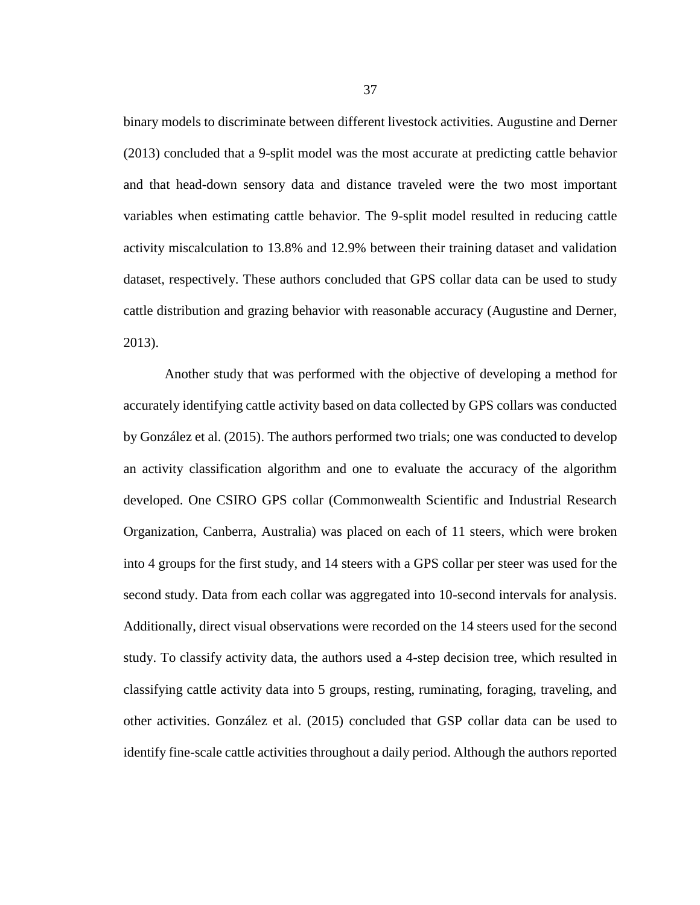binary models to discriminate between different livestock activities. Augustine and Derner (2013) concluded that a 9-split model was the most accurate at predicting cattle behavior and that head-down sensory data and distance traveled were the two most important variables when estimating cattle behavior. The 9-split model resulted in reducing cattle activity miscalculation to 13.8% and 12.9% between their training dataset and validation dataset, respectively. These authors concluded that GPS collar data can be used to study cattle distribution and grazing behavior with reasonable accuracy (Augustine and Derner, 2013).

Another study that was performed with the objective of developing a method for accurately identifying cattle activity based on data collected by GPS collars was conducted by González et al. (2015). The authors performed two trials; one was conducted to develop an activity classification algorithm and one to evaluate the accuracy of the algorithm developed. One CSIRO GPS collar (Commonwealth Scientific and Industrial Research Organization, Canberra, Australia) was placed on each of 11 steers, which were broken into 4 groups for the first study, and 14 steers with a GPS collar per steer was used for the second study. Data from each collar was aggregated into 10-second intervals for analysis. Additionally, direct visual observations were recorded on the 14 steers used for the second study. To classify activity data, the authors used a 4-step decision tree, which resulted in classifying cattle activity data into 5 groups, resting, ruminating, foraging, traveling, and other activities. González et al. (2015) concluded that GSP collar data can be used to identify fine-scale cattle activities throughout a daily period. Although the authors reported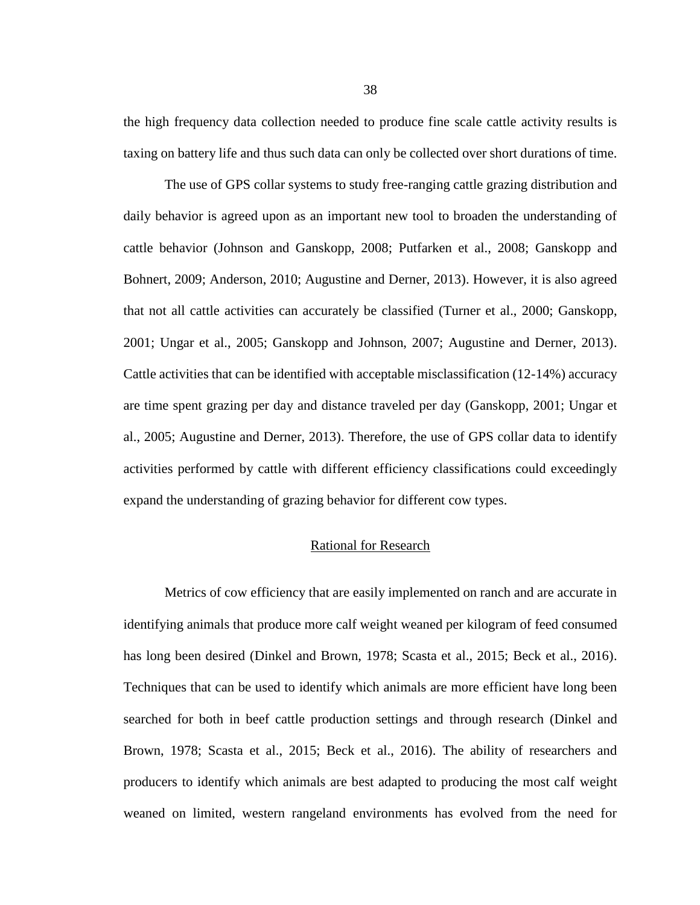the high frequency data collection needed to produce fine scale cattle activity results is taxing on battery life and thus such data can only be collected over short durations of time.

The use of GPS collar systems to study free-ranging cattle grazing distribution and daily behavior is agreed upon as an important new tool to broaden the understanding of cattle behavior (Johnson and Ganskopp, 2008; Putfarken et al., 2008; Ganskopp and Bohnert, 2009; Anderson, 2010; Augustine and Derner, 2013). However, it is also agreed that not all cattle activities can accurately be classified (Turner et al., 2000; Ganskopp, 2001; Ungar et al., 2005; Ganskopp and Johnson, 2007; Augustine and Derner, 2013). Cattle activities that can be identified with acceptable misclassification (12-14%) accuracy are time spent grazing per day and distance traveled per day (Ganskopp, 2001; Ungar et al., 2005; Augustine and Derner, 2013). Therefore, the use of GPS collar data to identify activities performed by cattle with different efficiency classifications could exceedingly expand the understanding of grazing behavior for different cow types.

#### Rational for Research

Metrics of cow efficiency that are easily implemented on ranch and are accurate in identifying animals that produce more calf weight weaned per kilogram of feed consumed has long been desired (Dinkel and Brown, 1978; Scasta et al., 2015; Beck et al., 2016). Techniques that can be used to identify which animals are more efficient have long been searched for both in beef cattle production settings and through research (Dinkel and Brown, 1978; Scasta et al., 2015; Beck et al., 2016). The ability of researchers and producers to identify which animals are best adapted to producing the most calf weight weaned on limited, western rangeland environments has evolved from the need for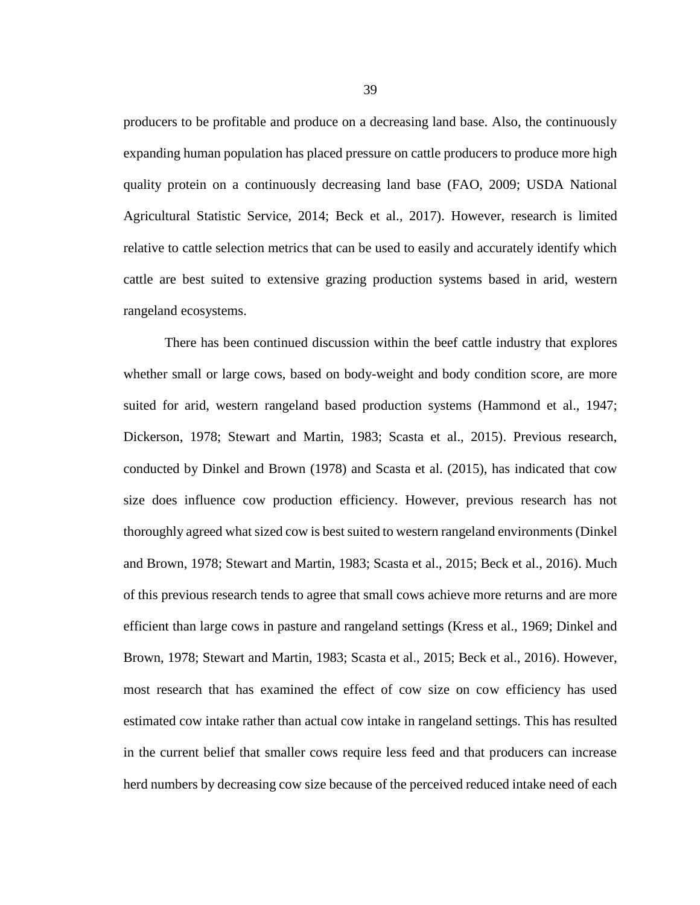producers to be profitable and produce on a decreasing land base. Also, the continuously expanding human population has placed pressure on cattle producers to produce more high quality protein on a continuously decreasing land base (FAO, 2009; USDA National Agricultural Statistic Service, 2014; Beck et al., 2017). However, research is limited relative to cattle selection metrics that can be used to easily and accurately identify which cattle are best suited to extensive grazing production systems based in arid, western rangeland ecosystems.

There has been continued discussion within the beef cattle industry that explores whether small or large cows, based on body-weight and body condition score, are more suited for arid, western rangeland based production systems (Hammond et al., 1947; Dickerson, 1978; Stewart and Martin, 1983; Scasta et al., 2015). Previous research, conducted by Dinkel and Brown (1978) and Scasta et al. (2015), has indicated that cow size does influence cow production efficiency. However, previous research has not thoroughly agreed what sized cow is best suited to western rangeland environments (Dinkel and Brown, 1978; Stewart and Martin, 1983; Scasta et al., 2015; Beck et al., 2016). Much of this previous research tends to agree that small cows achieve more returns and are more efficient than large cows in pasture and rangeland settings (Kress et al., 1969; Dinkel and Brown, 1978; Stewart and Martin, 1983; Scasta et al., 2015; Beck et al., 2016). However, most research that has examined the effect of cow size on cow efficiency has used estimated cow intake rather than actual cow intake in rangeland settings. This has resulted in the current belief that smaller cows require less feed and that producers can increase herd numbers by decreasing cow size because of the perceived reduced intake need of each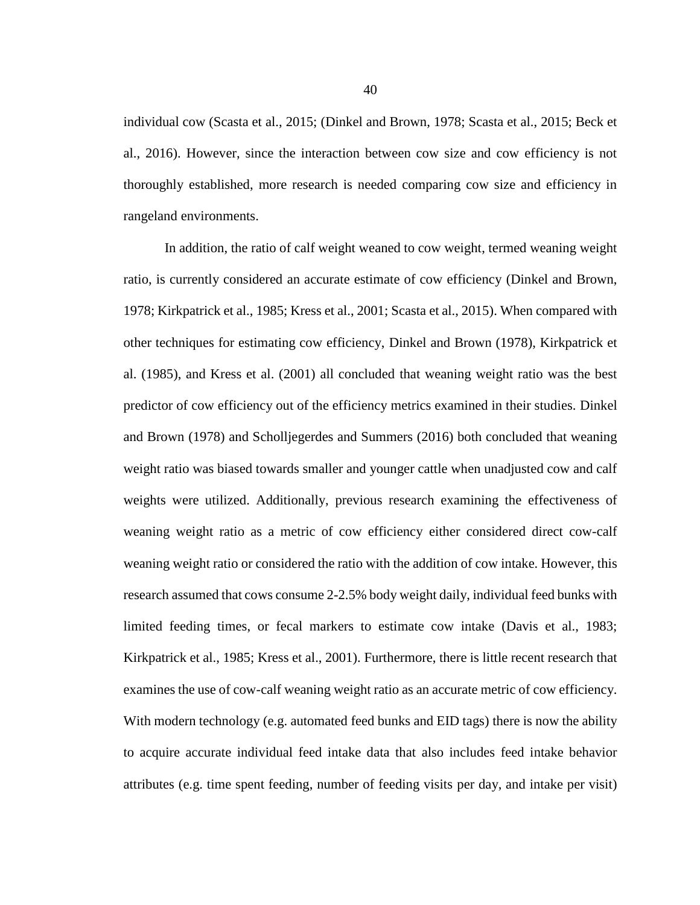individual cow (Scasta et al., 2015; (Dinkel and Brown, 1978; Scasta et al., 2015; Beck et al., 2016). However, since the interaction between cow size and cow efficiency is not thoroughly established, more research is needed comparing cow size and efficiency in rangeland environments.

In addition, the ratio of calf weight weaned to cow weight, termed weaning weight ratio, is currently considered an accurate estimate of cow efficiency (Dinkel and Brown, 1978; Kirkpatrick et al., 1985; Kress et al., 2001; Scasta et al., 2015). When compared with other techniques for estimating cow efficiency, Dinkel and Brown (1978), Kirkpatrick et al. (1985), and Kress et al. (2001) all concluded that weaning weight ratio was the best predictor of cow efficiency out of the efficiency metrics examined in their studies. Dinkel and Brown (1978) and Scholljegerdes and Summers (2016) both concluded that weaning weight ratio was biased towards smaller and younger cattle when unadjusted cow and calf weights were utilized. Additionally, previous research examining the effectiveness of weaning weight ratio as a metric of cow efficiency either considered direct cow-calf weaning weight ratio or considered the ratio with the addition of cow intake. However, this research assumed that cows consume 2-2.5% body weight daily, individual feed bunks with limited feeding times, or fecal markers to estimate cow intake (Davis et al., 1983; Kirkpatrick et al., 1985; Kress et al., 2001). Furthermore, there is little recent research that examines the use of cow-calf weaning weight ratio as an accurate metric of cow efficiency. With modern technology (e.g. automated feed bunks and EID tags) there is now the ability to acquire accurate individual feed intake data that also includes feed intake behavior attributes (e.g. time spent feeding, number of feeding visits per day, and intake per visit)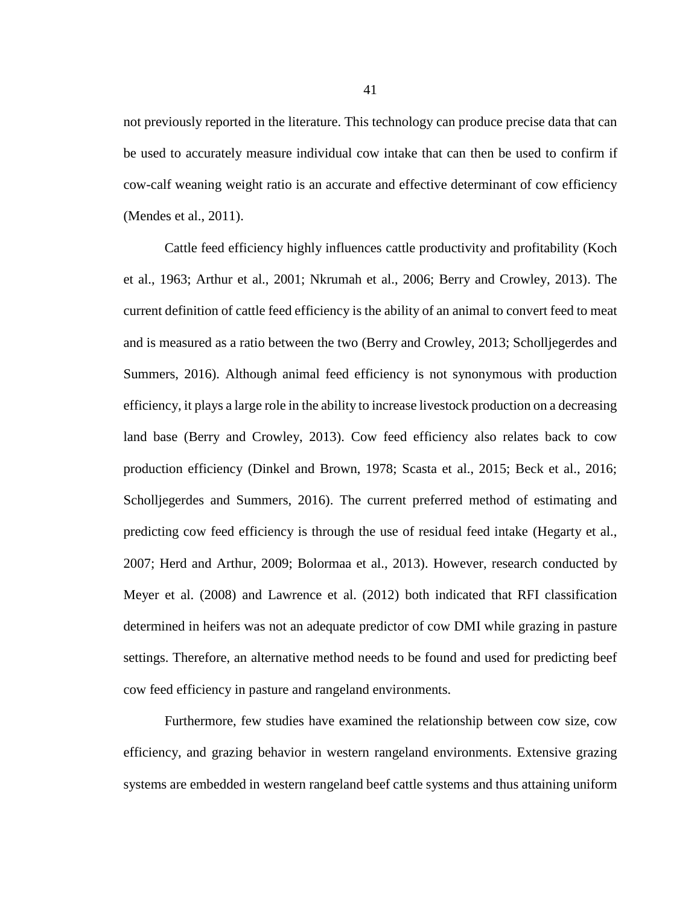not previously reported in the literature. This technology can produce precise data that can be used to accurately measure individual cow intake that can then be used to confirm if cow-calf weaning weight ratio is an accurate and effective determinant of cow efficiency (Mendes et al., 2011).

Cattle feed efficiency highly influences cattle productivity and profitability (Koch et al., 1963; Arthur et al., 2001; Nkrumah et al., 2006; Berry and Crowley, 2013). The current definition of cattle feed efficiency is the ability of an animal to convert feed to meat and is measured as a ratio between the two (Berry and Crowley, 2013; Scholljegerdes and Summers, 2016). Although animal feed efficiency is not synonymous with production efficiency, it plays a large role in the ability to increase livestock production on a decreasing land base (Berry and Crowley, 2013). Cow feed efficiency also relates back to cow production efficiency (Dinkel and Brown, 1978; Scasta et al., 2015; Beck et al., 2016; Scholljegerdes and Summers, 2016). The current preferred method of estimating and predicting cow feed efficiency is through the use of residual feed intake (Hegarty et al., 2007; Herd and Arthur, 2009; Bolormaa et al., 2013). However, research conducted by Meyer et al. (2008) and Lawrence et al. (2012) both indicated that RFI classification determined in heifers was not an adequate predictor of cow DMI while grazing in pasture settings. Therefore, an alternative method needs to be found and used for predicting beef cow feed efficiency in pasture and rangeland environments.

Furthermore, few studies have examined the relationship between cow size, cow efficiency, and grazing behavior in western rangeland environments. Extensive grazing systems are embedded in western rangeland beef cattle systems and thus attaining uniform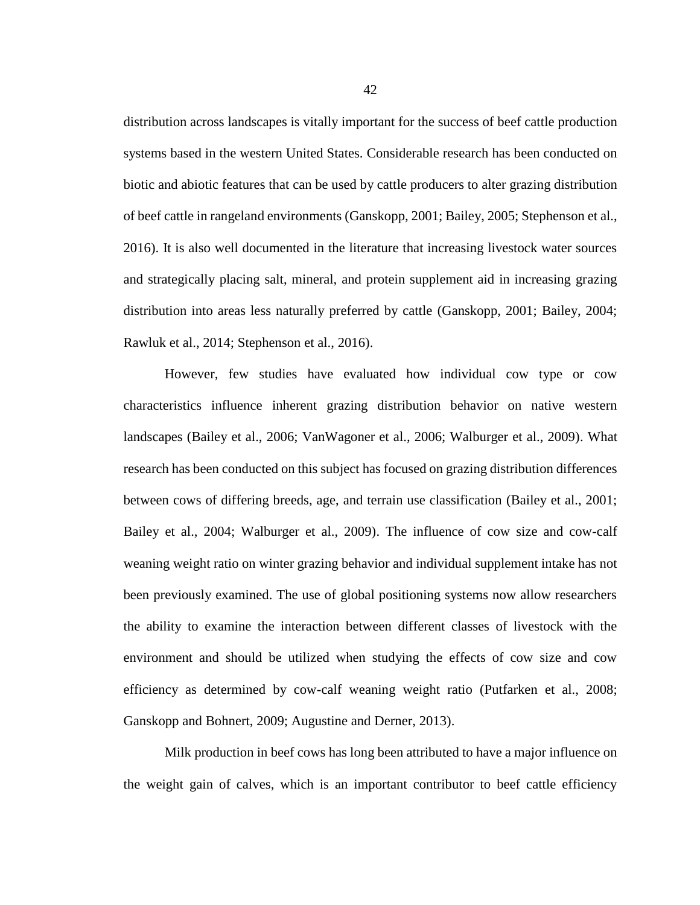distribution across landscapes is vitally important for the success of beef cattle production systems based in the western United States. Considerable research has been conducted on biotic and abiotic features that can be used by cattle producers to alter grazing distribution of beef cattle in rangeland environments (Ganskopp, 2001; Bailey, 2005; Stephenson et al., 2016). It is also well documented in the literature that increasing livestock water sources and strategically placing salt, mineral, and protein supplement aid in increasing grazing distribution into areas less naturally preferred by cattle (Ganskopp, 2001; Bailey, 2004; Rawluk et al., 2014; Stephenson et al., 2016).

However, few studies have evaluated how individual cow type or cow characteristics influence inherent grazing distribution behavior on native western landscapes (Bailey et al., 2006; VanWagoner et al., 2006; Walburger et al., 2009). What research has been conducted on this subject has focused on grazing distribution differences between cows of differing breeds, age, and terrain use classification (Bailey et al., 2001; Bailey et al., 2004; Walburger et al., 2009). The influence of cow size and cow-calf weaning weight ratio on winter grazing behavior and individual supplement intake has not been previously examined. The use of global positioning systems now allow researchers the ability to examine the interaction between different classes of livestock with the environment and should be utilized when studying the effects of cow size and cow efficiency as determined by cow-calf weaning weight ratio (Putfarken et al., 2008; Ganskopp and Bohnert, 2009; Augustine and Derner, 2013).

Milk production in beef cows has long been attributed to have a major influence on the weight gain of calves, which is an important contributor to beef cattle efficiency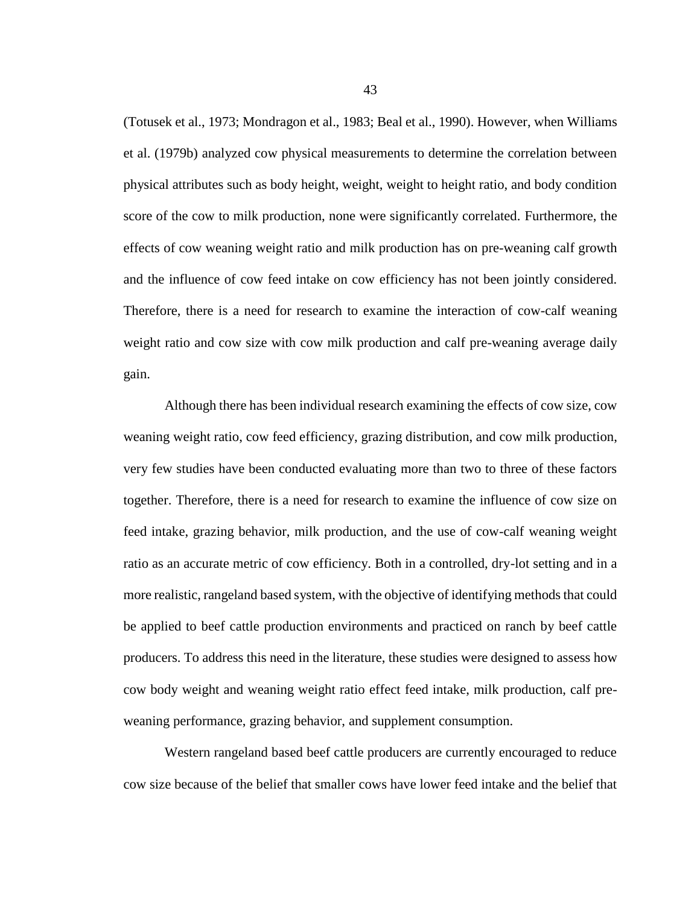(Totusek et al., 1973; Mondragon et al., 1983; Beal et al., 1990). However, when Williams et al. (1979b) analyzed cow physical measurements to determine the correlation between physical attributes such as body height, weight, weight to height ratio, and body condition score of the cow to milk production, none were significantly correlated. Furthermore, the effects of cow weaning weight ratio and milk production has on pre-weaning calf growth and the influence of cow feed intake on cow efficiency has not been jointly considered. Therefore, there is a need for research to examine the interaction of cow-calf weaning weight ratio and cow size with cow milk production and calf pre-weaning average daily gain.

Although there has been individual research examining the effects of cow size, cow weaning weight ratio, cow feed efficiency, grazing distribution, and cow milk production, very few studies have been conducted evaluating more than two to three of these factors together. Therefore, there is a need for research to examine the influence of cow size on feed intake, grazing behavior, milk production, and the use of cow-calf weaning weight ratio as an accurate metric of cow efficiency. Both in a controlled, dry-lot setting and in a more realistic, rangeland based system, with the objective of identifying methods that could be applied to beef cattle production environments and practiced on ranch by beef cattle producers. To address this need in the literature, these studies were designed to assess how cow body weight and weaning weight ratio effect feed intake, milk production, calf preweaning performance, grazing behavior, and supplement consumption.

Western rangeland based beef cattle producers are currently encouraged to reduce cow size because of the belief that smaller cows have lower feed intake and the belief that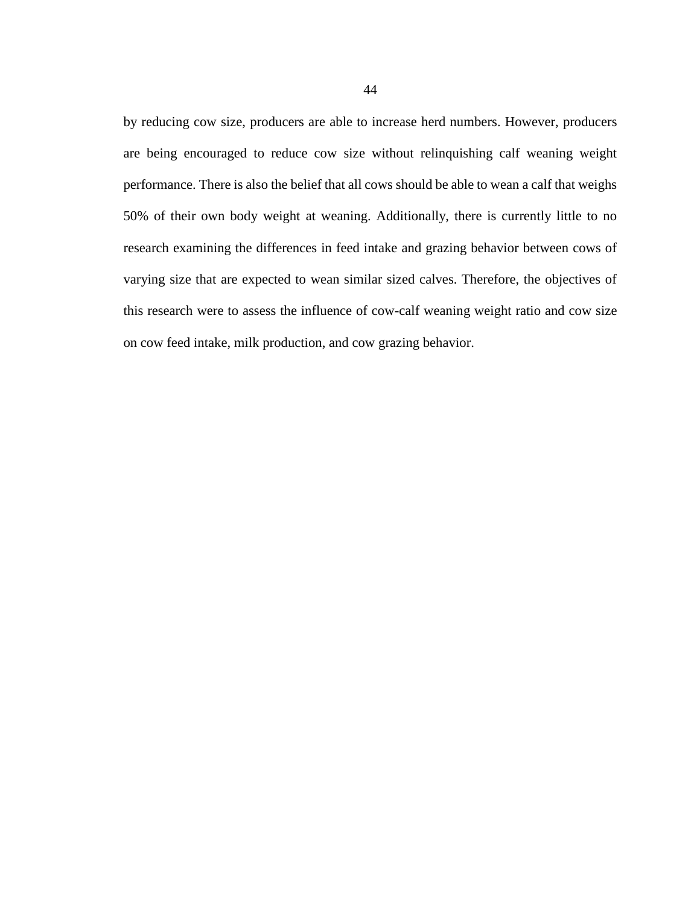by reducing cow size, producers are able to increase herd numbers. However, producers are being encouraged to reduce cow size without relinquishing calf weaning weight performance. There is also the belief that all cows should be able to wean a calf that weighs 50% of their own body weight at weaning. Additionally, there is currently little to no research examining the differences in feed intake and grazing behavior between cows of varying size that are expected to wean similar sized calves. Therefore, the objectives of this research were to assess the influence of cow-calf weaning weight ratio and cow size on cow feed intake, milk production, and cow grazing behavior.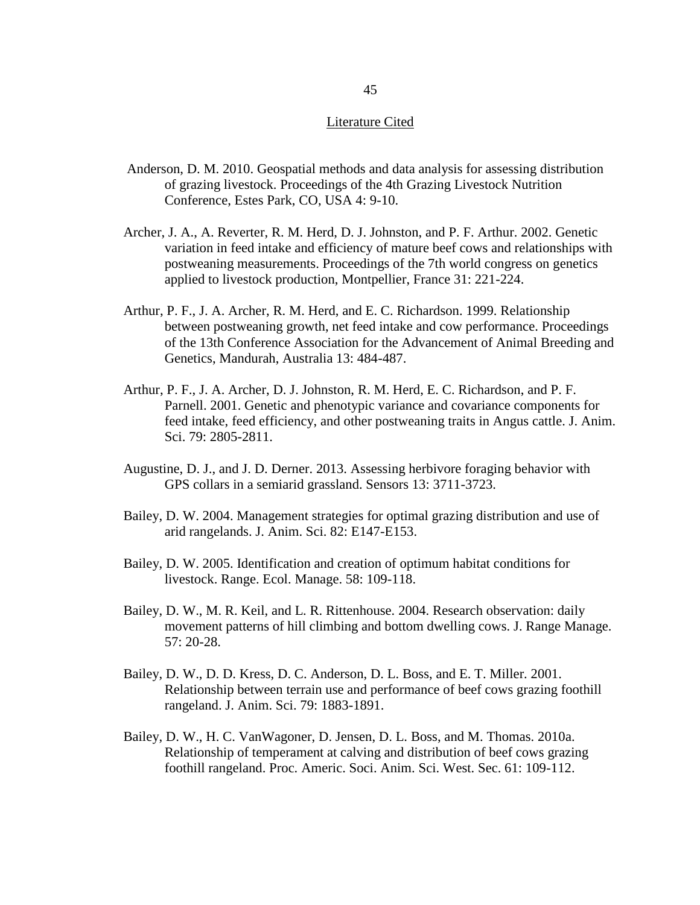#### Literature Cited

- Anderson, D. M. 2010. Geospatial methods and data analysis for assessing distribution of grazing livestock. Proceedings of the 4th Grazing Livestock Nutrition Conference, Estes Park, CO, USA 4: 9-10.
- Archer, J. A., A. Reverter, R. M. Herd, D. J. Johnston, and P. F. Arthur. 2002. Genetic variation in feed intake and efficiency of mature beef cows and relationships with postweaning measurements. Proceedings of the 7th world congress on genetics applied to livestock production, Montpellier, France 31: 221-224.
- Arthur, P. F., J. A. Archer, R. M. Herd, and E. C. Richardson. 1999. Relationship between postweaning growth, net feed intake and cow performance. Proceedings of the 13th Conference Association for the Advancement of Animal Breeding and Genetics, Mandurah, Australia 13: 484-487.
- Arthur, P. F., J. A. Archer, D. J. Johnston, R. M. Herd, E. C. Richardson, and P. F. Parnell. 2001. Genetic and phenotypic variance and covariance components for feed intake, feed efficiency, and other postweaning traits in Angus cattle. J. Anim. Sci. 79: 2805-2811.
- Augustine, D. J., and J. D. Derner. 2013. Assessing herbivore foraging behavior with GPS collars in a semiarid grassland. Sensors 13: 3711-3723.
- Bailey, D. W. 2004. Management strategies for optimal grazing distribution and use of arid rangelands. J. Anim. Sci. 82: E147-E153.
- Bailey, D. W. 2005. Identification and creation of optimum habitat conditions for livestock. Range. Ecol. Manage. 58: 109-118.
- Bailey, D. W., M. R. Keil, and L. R. Rittenhouse. 2004. Research observation: daily movement patterns of hill climbing and bottom dwelling cows. J. Range Manage. 57: 20-28.
- Bailey, D. W., D. D. Kress, D. C. Anderson, D. L. Boss, and E. T. Miller. 2001. Relationship between terrain use and performance of beef cows grazing foothill rangeland. J. Anim. Sci. 79: 1883-1891.
- Bailey, D. W., H. C. VanWagoner, D. Jensen, D. L. Boss, and M. Thomas. 2010a. Relationship of temperament at calving and distribution of beef cows grazing foothill rangeland. Proc. Americ. Soci. Anim. Sci. West. Sec. 61: 109-112.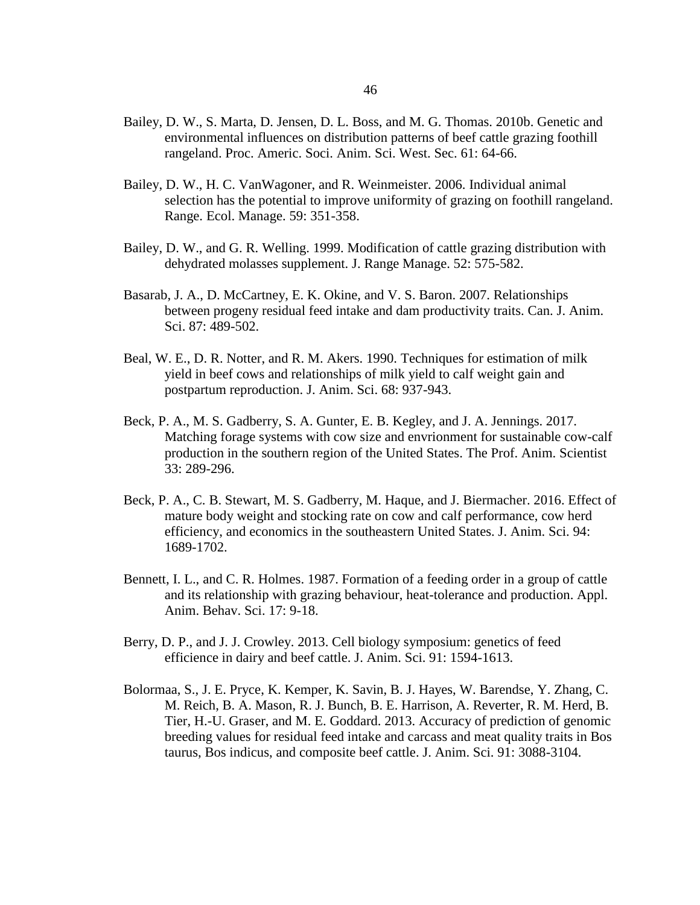- Bailey, D. W., S. Marta, D. Jensen, D. L. Boss, and M. G. Thomas. 2010b. Genetic and environmental influences on distribution patterns of beef cattle grazing foothill rangeland. Proc. Americ. Soci. Anim. Sci. West. Sec. 61: 64-66.
- Bailey, D. W., H. C. VanWagoner, and R. Weinmeister. 2006. Individual animal selection has the potential to improve uniformity of grazing on foothill rangeland. Range. Ecol. Manage. 59: 351-358.
- Bailey, D. W., and G. R. Welling. 1999. Modification of cattle grazing distribution with dehydrated molasses supplement. J. Range Manage. 52: 575-582.
- Basarab, J. A., D. McCartney, E. K. Okine, and V. S. Baron. 2007. Relationships between progeny residual feed intake and dam productivity traits. Can. J. Anim. Sci. 87: 489-502.
- Beal, W. E., D. R. Notter, and R. M. Akers. 1990. Techniques for estimation of milk yield in beef cows and relationships of milk yield to calf weight gain and postpartum reproduction. J. Anim. Sci. 68: 937-943.
- Beck, P. A., M. S. Gadberry, S. A. Gunter, E. B. Kegley, and J. A. Jennings. 2017. Matching forage systems with cow size and envrionment for sustainable cow-calf production in the southern region of the United States. The Prof. Anim. Scientist 33: 289-296.
- Beck, P. A., C. B. Stewart, M. S. Gadberry, M. Haque, and J. Biermacher. 2016. Effect of mature body weight and stocking rate on cow and calf performance, cow herd efficiency, and economics in the southeastern United States. J. Anim. Sci. 94: 1689-1702.
- Bennett, I. L., and C. R. Holmes. 1987. Formation of a feeding order in a group of cattle and its relationship with grazing behaviour, heat-tolerance and production. Appl. Anim. Behav. Sci. 17: 9-18.
- Berry, D. P., and J. J. Crowley. 2013. Cell biology symposium: genetics of feed efficience in dairy and beef cattle. J. Anim. Sci. 91: 1594-1613.
- Bolormaa, S., J. E. Pryce, K. Kemper, K. Savin, B. J. Hayes, W. Barendse, Y. Zhang, C. M. Reich, B. A. Mason, R. J. Bunch, B. E. Harrison, A. Reverter, R. M. Herd, B. Tier, H.-U. Graser, and M. E. Goddard. 2013. Accuracy of prediction of genomic breeding values for residual feed intake and carcass and meat quality traits in Bos taurus, Bos indicus, and composite beef cattle. J. Anim. Sci. 91: 3088-3104.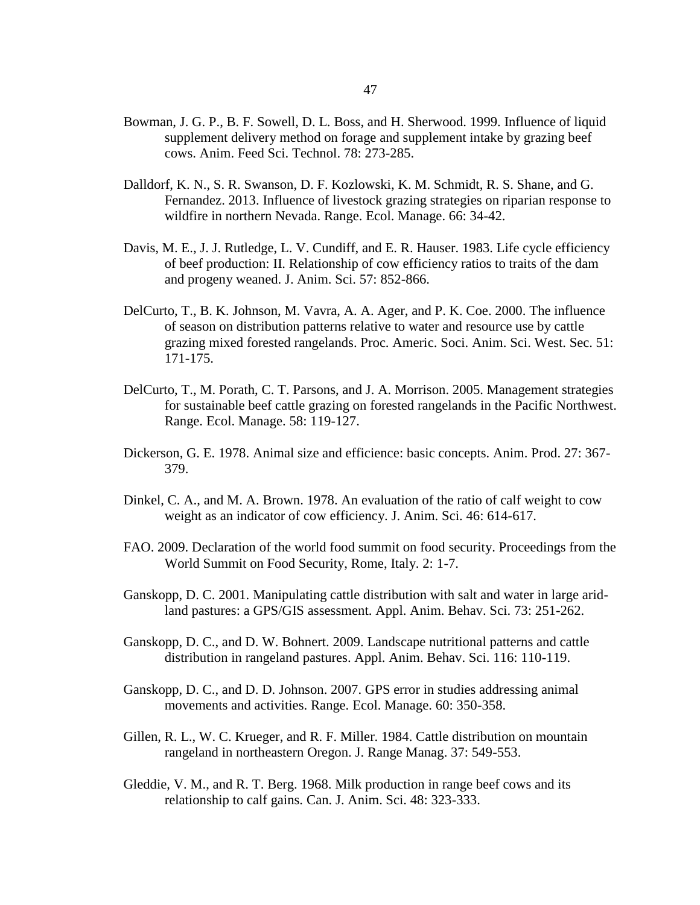- Bowman, J. G. P., B. F. Sowell, D. L. Boss, and H. Sherwood. 1999. Influence of liquid supplement delivery method on forage and supplement intake by grazing beef cows. Anim. Feed Sci. Technol. 78: 273-285.
- Dalldorf, K. N., S. R. Swanson, D. F. Kozlowski, K. M. Schmidt, R. S. Shane, and G. Fernandez. 2013. Influence of livestock grazing strategies on riparian response to wildfire in northern Nevada. Range. Ecol. Manage. 66: 34-42.
- Davis, M. E., J. J. Rutledge, L. V. Cundiff, and E. R. Hauser. 1983. Life cycle efficiency of beef production: II. Relationship of cow efficiency ratios to traits of the dam and progeny weaned. J. Anim. Sci. 57: 852-866.
- DelCurto, T., B. K. Johnson, M. Vavra, A. A. Ager, and P. K. Coe. 2000. The influence of season on distribution patterns relative to water and resource use by cattle grazing mixed forested rangelands. Proc. Americ. Soci. Anim. Sci. West. Sec. 51: 171-175.
- DelCurto, T., M. Porath, C. T. Parsons, and J. A. Morrison. 2005. Management strategies for sustainable beef cattle grazing on forested rangelands in the Pacific Northwest. Range. Ecol. Manage. 58: 119-127.
- Dickerson, G. E. 1978. Animal size and efficience: basic concepts. Anim. Prod. 27: 367- 379.
- Dinkel, C. A., and M. A. Brown. 1978. An evaluation of the ratio of calf weight to cow weight as an indicator of cow efficiency. J. Anim. Sci. 46: 614-617.
- FAO. 2009. Declaration of the world food summit on food security. Proceedings from the World Summit on Food Security, Rome, Italy. 2: 1-7.
- Ganskopp, D. C. 2001. Manipulating cattle distribution with salt and water in large aridland pastures: a GPS/GIS assessment. Appl. Anim. Behav. Sci. 73: 251-262.
- Ganskopp, D. C., and D. W. Bohnert. 2009. Landscape nutritional patterns and cattle distribution in rangeland pastures. Appl. Anim. Behav. Sci. 116: 110-119.
- Ganskopp, D. C., and D. D. Johnson. 2007. GPS error in studies addressing animal movements and activities. Range. Ecol. Manage. 60: 350-358.
- Gillen, R. L., W. C. Krueger, and R. F. Miller. 1984. Cattle distribution on mountain rangeland in northeastern Oregon. J. Range Manag. 37: 549-553.
- Gleddie, V. M., and R. T. Berg. 1968. Milk production in range beef cows and its relationship to calf gains. Can. J. Anim. Sci. 48: 323-333.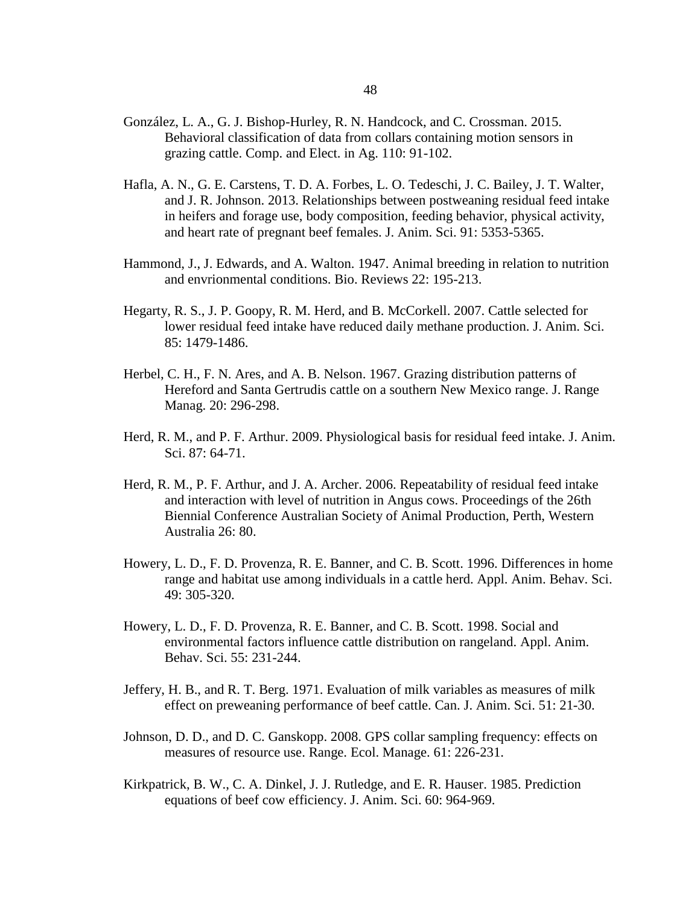- González, L. A., G. J. Bishop-Hurley, R. N. Handcock, and C. Crossman. 2015. Behavioral classification of data from collars containing motion sensors in grazing cattle. Comp. and Elect. in Ag. 110: 91-102.
- Hafla, A. N., G. E. Carstens, T. D. A. Forbes, L. O. Tedeschi, J. C. Bailey, J. T. Walter, and J. R. Johnson. 2013. Relationships between postweaning residual feed intake in heifers and forage use, body composition, feeding behavior, physical activity, and heart rate of pregnant beef females. J. Anim. Sci. 91: 5353-5365.
- Hammond, J., J. Edwards, and A. Walton. 1947. Animal breeding in relation to nutrition and envrionmental conditions. Bio. Reviews 22: 195-213.
- Hegarty, R. S., J. P. Goopy, R. M. Herd, and B. McCorkell. 2007. Cattle selected for lower residual feed intake have reduced daily methane production. J. Anim. Sci. 85: 1479-1486.
- Herbel, C. H., F. N. Ares, and A. B. Nelson. 1967. Grazing distribution patterns of Hereford and Santa Gertrudis cattle on a southern New Mexico range. J. Range Manag. 20: 296-298.
- Herd, R. M., and P. F. Arthur. 2009. Physiological basis for residual feed intake. J. Anim. Sci. 87: 64-71.
- Herd, R. M., P. F. Arthur, and J. A. Archer. 2006. Repeatability of residual feed intake and interaction with level of nutrition in Angus cows. Proceedings of the 26th Biennial Conference Australian Society of Animal Production, Perth, Western Australia 26: 80.
- Howery, L. D., F. D. Provenza, R. E. Banner, and C. B. Scott. 1996. Differences in home range and habitat use among individuals in a cattle herd. Appl. Anim. Behav. Sci. 49: 305-320.
- Howery, L. D., F. D. Provenza, R. E. Banner, and C. B. Scott. 1998. Social and environmental factors influence cattle distribution on rangeland. Appl. Anim. Behav. Sci. 55: 231-244.
- Jeffery, H. B., and R. T. Berg. 1971. Evaluation of milk variables as measures of milk effect on preweaning performance of beef cattle. Can. J. Anim. Sci. 51: 21-30.
- Johnson, D. D., and D. C. Ganskopp. 2008. GPS collar sampling frequency: effects on measures of resource use. Range. Ecol. Manage. 61: 226-231.
- Kirkpatrick, B. W., C. A. Dinkel, J. J. Rutledge, and E. R. Hauser. 1985. Prediction equations of beef cow efficiency. J. Anim. Sci. 60: 964-969.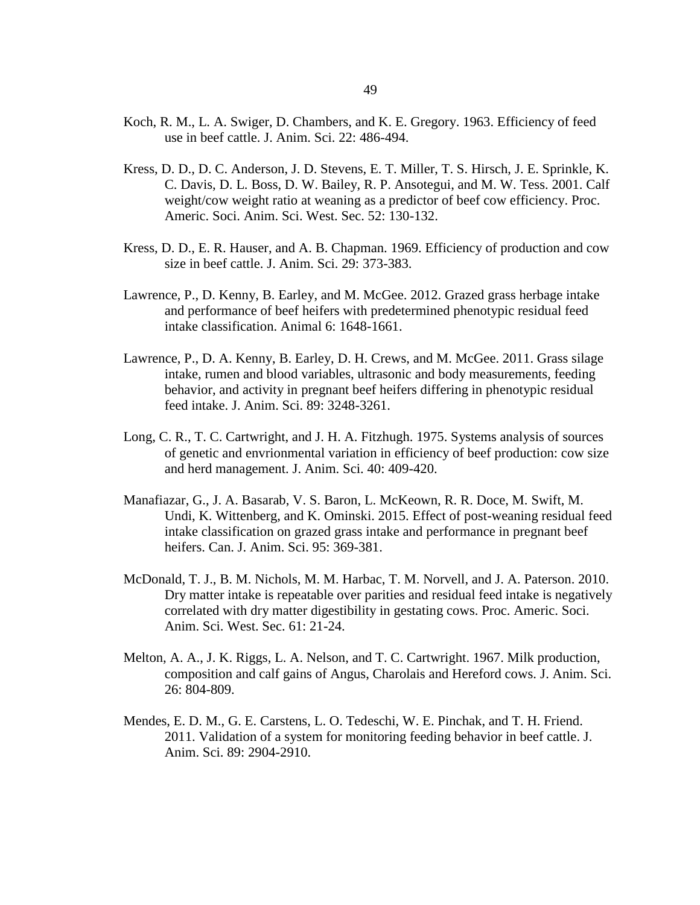- Koch, R. M., L. A. Swiger, D. Chambers, and K. E. Gregory. 1963. Efficiency of feed use in beef cattle. J. Anim. Sci. 22: 486-494.
- Kress, D. D., D. C. Anderson, J. D. Stevens, E. T. Miller, T. S. Hirsch, J. E. Sprinkle, K. C. Davis, D. L. Boss, D. W. Bailey, R. P. Ansotegui, and M. W. Tess. 2001. Calf weight/cow weight ratio at weaning as a predictor of beef cow efficiency. Proc. Americ. Soci. Anim. Sci. West. Sec. 52: 130-132.
- Kress, D. D., E. R. Hauser, and A. B. Chapman. 1969. Efficiency of production and cow size in beef cattle. J. Anim. Sci. 29: 373-383.
- Lawrence, P., D. Kenny, B. Earley, and M. McGee. 2012. Grazed grass herbage intake and performance of beef heifers with predetermined phenotypic residual feed intake classification. Animal 6: 1648-1661.
- Lawrence, P., D. A. Kenny, B. Earley, D. H. Crews, and M. McGee. 2011. Grass silage intake, rumen and blood variables, ultrasonic and body measurements, feeding behavior, and activity in pregnant beef heifers differing in phenotypic residual feed intake. J. Anim. Sci. 89: 3248-3261.
- Long, C. R., T. C. Cartwright, and J. H. A. Fitzhugh. 1975. Systems analysis of sources of genetic and envrionmental variation in efficiency of beef production: cow size and herd management. J. Anim. Sci. 40: 409-420.
- Manafiazar, G., J. A. Basarab, V. S. Baron, L. McKeown, R. R. Doce, M. Swift, M. Undi, K. Wittenberg, and K. Ominski. 2015. Effect of post-weaning residual feed intake classification on grazed grass intake and performance in pregnant beef heifers. Can. J. Anim. Sci. 95: 369-381.
- McDonald, T. J., B. M. Nichols, M. M. Harbac, T. M. Norvell, and J. A. Paterson. 2010. Dry matter intake is repeatable over parities and residual feed intake is negatively correlated with dry matter digestibility in gestating cows. Proc. Americ. Soci. Anim. Sci. West. Sec. 61: 21-24.
- Melton, A. A., J. K. Riggs, L. A. Nelson, and T. C. Cartwright. 1967. Milk production, composition and calf gains of Angus, Charolais and Hereford cows. J. Anim. Sci. 26: 804-809.
- Mendes, E. D. M., G. E. Carstens, L. O. Tedeschi, W. E. Pinchak, and T. H. Friend. 2011. Validation of a system for monitoring feeding behavior in beef cattle. J. Anim. Sci. 89: 2904-2910.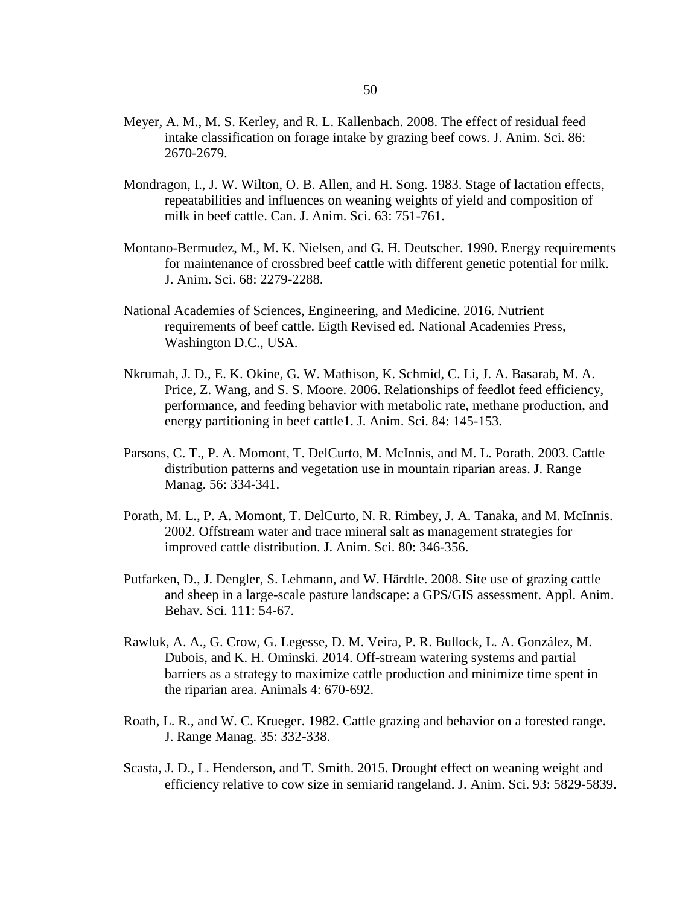- Meyer, A. M., M. S. Kerley, and R. L. Kallenbach. 2008. The effect of residual feed intake classification on forage intake by grazing beef cows. J. Anim. Sci. 86: 2670-2679.
- Mondragon, I., J. W. Wilton, O. B. Allen, and H. Song. 1983. Stage of lactation effects, repeatabilities and influences on weaning weights of yield and composition of milk in beef cattle. Can. J. Anim. Sci. 63: 751-761.
- Montano-Bermudez, M., M. K. Nielsen, and G. H. Deutscher. 1990. Energy requirements for maintenance of crossbred beef cattle with different genetic potential for milk. J. Anim. Sci. 68: 2279-2288.
- National Academies of Sciences, Engineering, and Medicine. 2016. Nutrient requirements of beef cattle. Eigth Revised ed. National Academies Press, Washington D.C., USA.
- Nkrumah, J. D., E. K. Okine, G. W. Mathison, K. Schmid, C. Li, J. A. Basarab, M. A. Price, Z. Wang, and S. S. Moore. 2006. Relationships of feedlot feed efficiency, performance, and feeding behavior with metabolic rate, methane production, and energy partitioning in beef cattle1. J. Anim. Sci. 84: 145-153.
- Parsons, C. T., P. A. Momont, T. DelCurto, M. McInnis, and M. L. Porath. 2003. Cattle distribution patterns and vegetation use in mountain riparian areas. J. Range Manag. 56: 334-341.
- Porath, M. L., P. A. Momont, T. DelCurto, N. R. Rimbey, J. A. Tanaka, and M. McInnis. 2002. Offstream water and trace mineral salt as management strategies for improved cattle distribution. J. Anim. Sci. 80: 346-356.
- Putfarken, D., J. Dengler, S. Lehmann, and W. Härdtle. 2008. Site use of grazing cattle and sheep in a large-scale pasture landscape: a GPS/GIS assessment. Appl. Anim. Behav. Sci. 111: 54-67.
- Rawluk, A. A., G. Crow, G. Legesse, D. M. Veira, P. R. Bullock, L. A. González, M. Dubois, and K. H. Ominski. 2014. Off-stream watering systems and partial barriers as a strategy to maximize cattle production and minimize time spent in the riparian area. Animals 4: 670-692.
- Roath, L. R., and W. C. Krueger. 1982. Cattle grazing and behavior on a forested range. J. Range Manag. 35: 332-338.
- Scasta, J. D., L. Henderson, and T. Smith. 2015. Drought effect on weaning weight and efficiency relative to cow size in semiarid rangeland. J. Anim. Sci. 93: 5829-5839.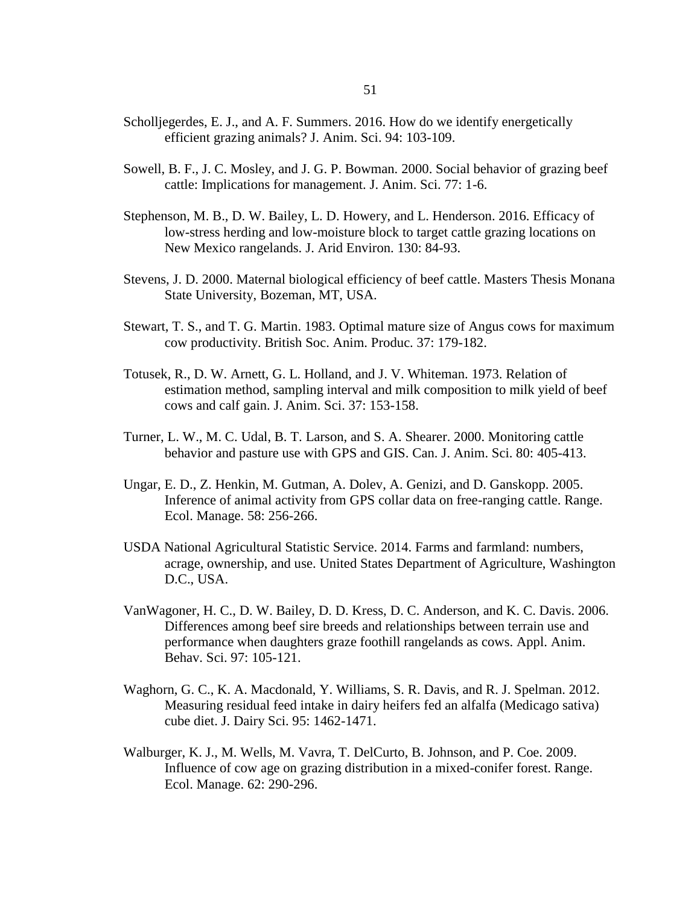- Scholljegerdes, E. J., and A. F. Summers. 2016. How do we identify energetically efficient grazing animals? J. Anim. Sci. 94: 103-109.
- Sowell, B. F., J. C. Mosley, and J. G. P. Bowman. 2000. Social behavior of grazing beef cattle: Implications for management. J. Anim. Sci. 77: 1-6.
- Stephenson, M. B., D. W. Bailey, L. D. Howery, and L. Henderson. 2016. Efficacy of low-stress herding and low-moisture block to target cattle grazing locations on New Mexico rangelands. J. Arid Environ. 130: 84-93.
- Stevens, J. D. 2000. Maternal biological efficiency of beef cattle. Masters Thesis Monana State University, Bozeman, MT, USA.
- Stewart, T. S., and T. G. Martin. 1983. Optimal mature size of Angus cows for maximum cow productivity. British Soc. Anim. Produc. 37: 179-182.
- Totusek, R., D. W. Arnett, G. L. Holland, and J. V. Whiteman. 1973. Relation of estimation method, sampling interval and milk composition to milk yield of beef cows and calf gain. J. Anim. Sci. 37: 153-158.
- Turner, L. W., M. C. Udal, B. T. Larson, and S. A. Shearer. 2000. Monitoring cattle behavior and pasture use with GPS and GIS. Can. J. Anim. Sci. 80: 405-413.
- Ungar, E. D., Z. Henkin, M. Gutman, A. Dolev, A. Genizi, and D. Ganskopp. 2005. Inference of animal activity from GPS collar data on free-ranging cattle. Range. Ecol. Manage. 58: 256-266.
- USDA National Agricultural Statistic Service. 2014. Farms and farmland: numbers, acrage, ownership, and use. United States Department of Agriculture, Washington D.C., USA.
- VanWagoner, H. C., D. W. Bailey, D. D. Kress, D. C. Anderson, and K. C. Davis. 2006. Differences among beef sire breeds and relationships between terrain use and performance when daughters graze foothill rangelands as cows. Appl. Anim. Behav. Sci. 97: 105-121.
- Waghorn, G. C., K. A. Macdonald, Y. Williams, S. R. Davis, and R. J. Spelman. 2012. Measuring residual feed intake in dairy heifers fed an alfalfa (Medicago sativa) cube diet. J. Dairy Sci. 95: 1462-1471.
- Walburger, K. J., M. Wells, M. Vavra, T. DelCurto, B. Johnson, and P. Coe. 2009. Influence of cow age on grazing distribution in a mixed-conifer forest. Range. Ecol. Manage. 62: 290-296.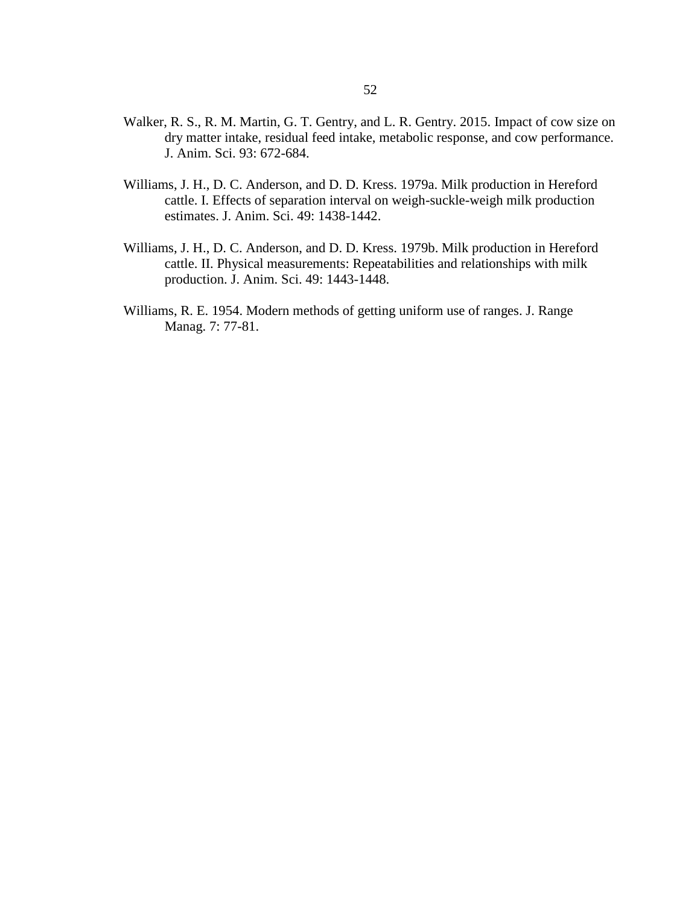- Walker, R. S., R. M. Martin, G. T. Gentry, and L. R. Gentry. 2015. Impact of cow size on dry matter intake, residual feed intake, metabolic response, and cow performance. J. Anim. Sci. 93: 672-684.
- Williams, J. H., D. C. Anderson, and D. D. Kress. 1979a. Milk production in Hereford cattle. I. Effects of separation interval on weigh-suckle-weigh milk production estimates. J. Anim. Sci. 49: 1438-1442.
- Williams, J. H., D. C. Anderson, and D. D. Kress. 1979b. Milk production in Hereford cattle. II. Physical measurements: Repeatabilities and relationships with milk production. J. Anim. Sci. 49: 1443-1448.
- Williams, R. E. 1954. Modern methods of getting uniform use of ranges. J. Range Manag. 7: 77-81.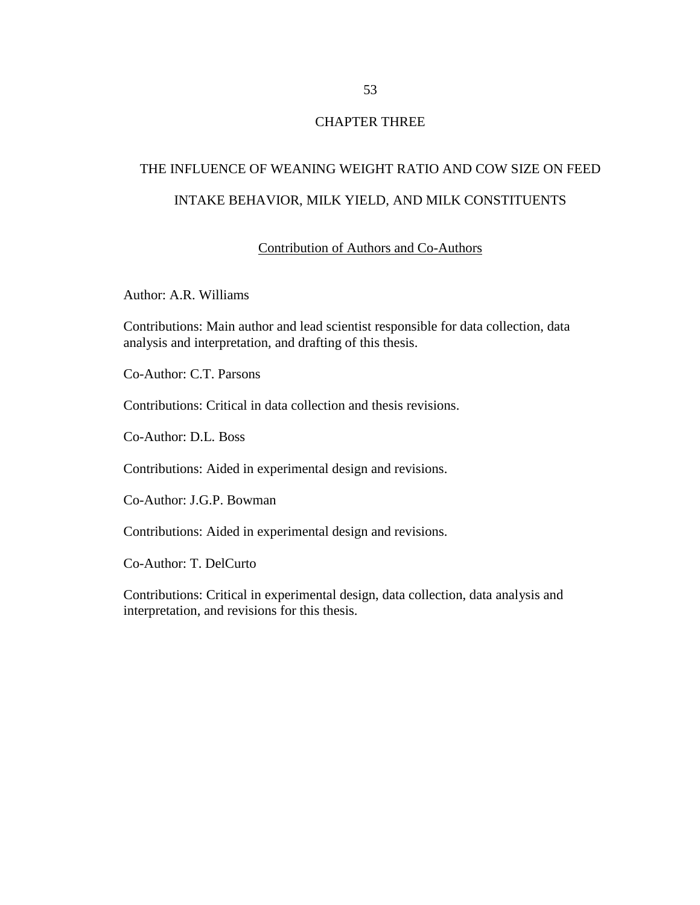## CHAPTER THREE

# THE INFLUENCE OF WEANING WEIGHT RATIO AND COW SIZE ON FEED INTAKE BEHAVIOR, MILK YIELD, AND MILK CONSTITUENTS

#### Contribution of Authors and Co-Authors

Author: A.R. Williams

Contributions: Main author and lead scientist responsible for data collection, data analysis and interpretation, and drafting of this thesis.

Co-Author: C.T. Parsons

Contributions: Critical in data collection and thesis revisions.

Co-Author: D.L. Boss

Contributions: Aided in experimental design and revisions.

Co-Author: J.G.P. Bowman

Contributions: Aided in experimental design and revisions.

Co-Author: T. DelCurto

Contributions: Critical in experimental design, data collection, data analysis and interpretation, and revisions for this thesis.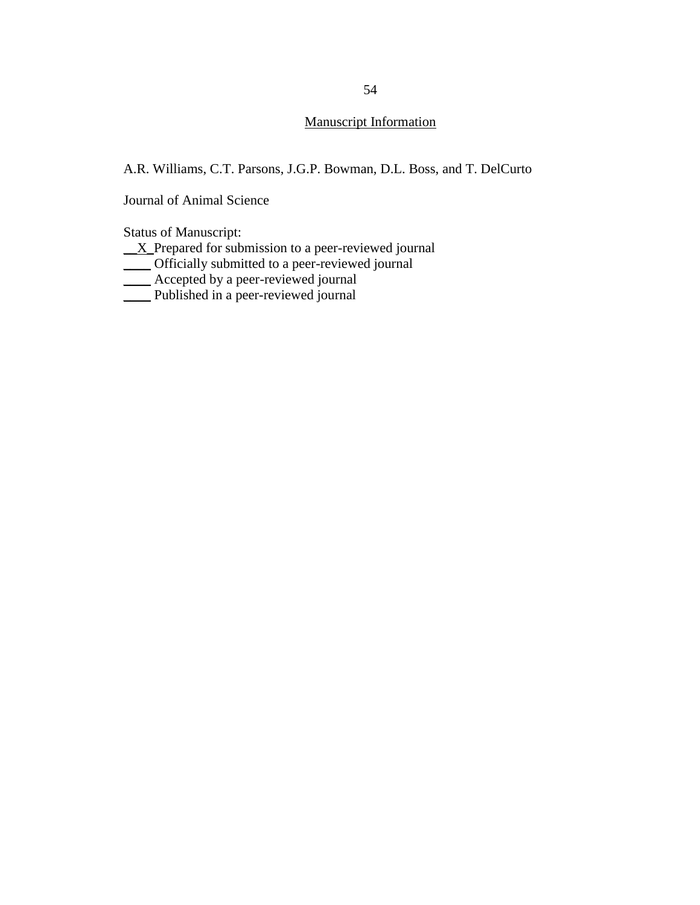# Manuscript Information

A.R. Williams, C.T. Parsons, J.G.P. Bowman, D.L. Boss, and T. DelCurto

Journal of Animal Science

Status of Manuscript:

 $\underline{X}$  Prepared for submission to a peer-reviewed journal

\_\_\_\_ Officially submitted to a peer-reviewed journal

- $\overline{\phantom{0}}$  Accepted by a peer-reviewed journal
- \_\_\_\_ Published in a peer-reviewed journal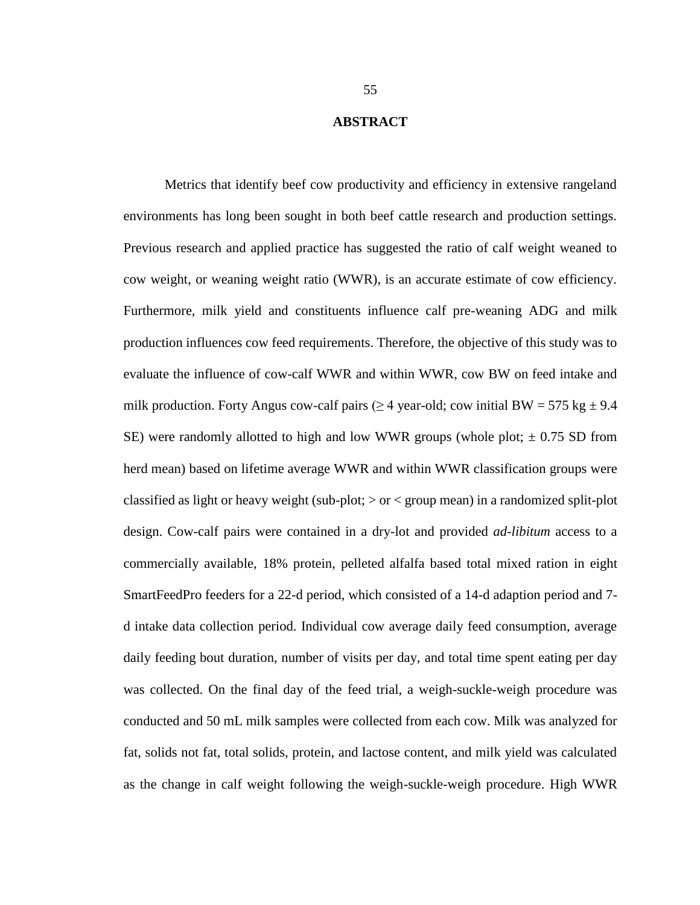#### **ABSTRACT**

Metrics that identify beef cow productivity and efficiency in extensive rangeland environments has long been sought in both beef cattle research and production settings. Previous research and applied practice has suggested the ratio of calf weight weaned to cow weight, or weaning weight ratio (WWR), is an accurate estimate of cow efficiency. Furthermore, milk yield and constituents influence calf pre-weaning ADG and milk production influences cow feed requirements. Therefore, the objective of this study was to evaluate the influence of cow-calf WWR and within WWR, cow BW on feed intake and milk production. Forty Angus cow-calf pairs ( $\geq 4$  year-old; cow initial BW = 575 kg  $\pm$  9.4 SE) were randomly allotted to high and low WWR groups (whole plot;  $\pm$  0.75 SD from herd mean) based on lifetime average WWR and within WWR classification groups were classified as light or heavy weight (sub-plot;  $>$  or  $<$  group mean) in a randomized split-plot design. Cow-calf pairs were contained in a dry-lot and provided *ad-libitum* access to a commercially available, 18% protein, pelleted alfalfa based total mixed ration in eight SmartFeedPro feeders for a 22-d period, which consisted of a 14-d adaption period and 7 d intake data collection period. Individual cow average daily feed consumption, average daily feeding bout duration, number of visits per day, and total time spent eating per day was collected. On the final day of the feed trial, a weigh-suckle-weigh procedure was conducted and 50 mL milk samples were collected from each cow. Milk was analyzed for fat, solids not fat, total solids, protein, and lactose content, and milk yield was calculated as the change in calf weight following the weigh-suckle-weigh procedure. High WWR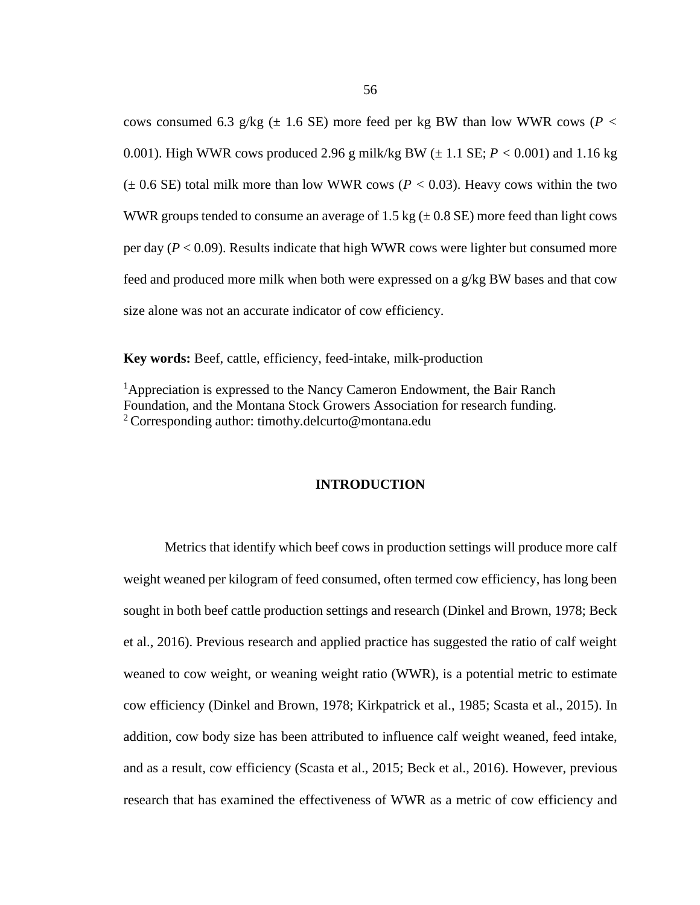cows consumed 6.3 g/kg ( $\pm$  1.6 SE) more feed per kg BW than low WWR cows ( $P$  < 0.001). High WWR cows produced 2.96 g milk/kg BW  $(\pm 1.1$  SE;  $P < 0.001$ ) and 1.16 kg  $(\pm 0.6 \text{ SE})$  total milk more than low WWR cows ( $P < 0.03$ ). Heavy cows within the two WWR groups tended to consume an average of 1.5 kg  $(\pm 0.8 \text{ SE})$  more feed than light cows per day  $(P < 0.09)$ . Results indicate that high WWR cows were lighter but consumed more feed and produced more milk when both were expressed on a g/kg BW bases and that cow size alone was not an accurate indicator of cow efficiency.

**Key words:** Beef, cattle, efficiency, feed-intake, milk-production

<sup>1</sup>Appreciation is expressed to the Nancy Cameron Endowment, the Bair Ranch Foundation, and the Montana Stock Growers Association for research funding. <sup>2</sup> Corresponding author: timothy.delcurto@montana.edu

# **INTRODUCTION**

Metrics that identify which beef cows in production settings will produce more calf weight weaned per kilogram of feed consumed, often termed cow efficiency, has long been sought in both beef cattle production settings and research (Dinkel and Brown, 1978; Beck et al., 2016). Previous research and applied practice has suggested the ratio of calf weight weaned to cow weight, or weaning weight ratio (WWR), is a potential metric to estimate cow efficiency (Dinkel and Brown, 1978; Kirkpatrick et al., 1985; Scasta et al., 2015). In addition, cow body size has been attributed to influence calf weight weaned, feed intake, and as a result, cow efficiency (Scasta et al., 2015; Beck et al., 2016). However, previous research that has examined the effectiveness of WWR as a metric of cow efficiency and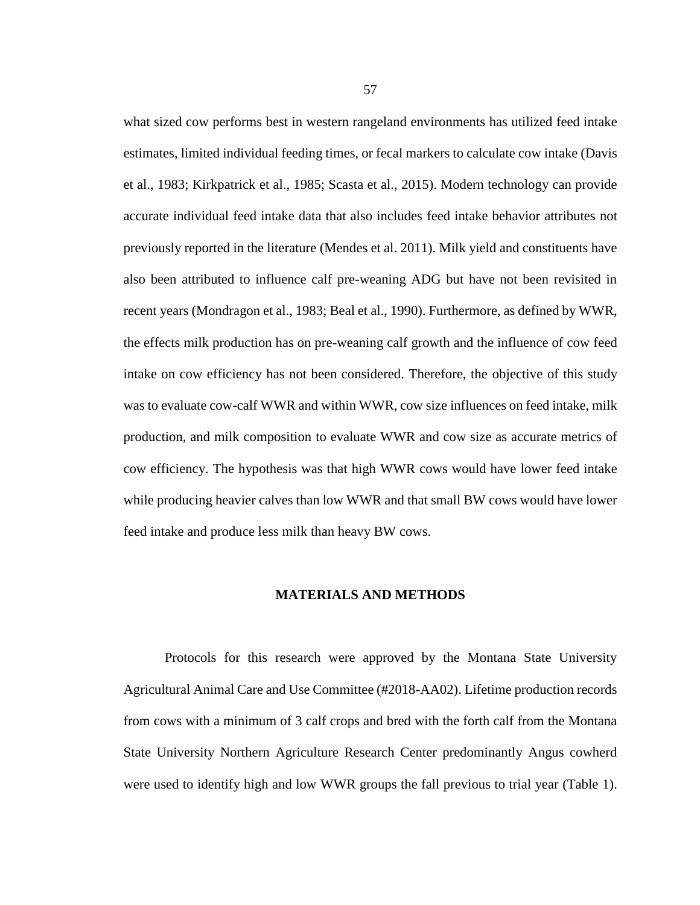what sized cow performs best in western rangeland environments has utilized feed intake estimates, limited individual feeding times, or fecal markers to calculate cow intake (Davis et al., 1983; Kirkpatrick et al., 1985; Scasta et al., 2015). Modern technology can provide accurate individual feed intake data that also includes feed intake behavior attributes not previously reported in the literature (Mendes et al. 2011). Milk yield and constituents have also been attributed to influence calf pre-weaning ADG but have not been revisited in recent years (Mondragon et al., 1983; Beal et al., 1990). Furthermore, as defined by WWR, the effects milk production has on pre-weaning calf growth and the influence of cow feed intake on cow efficiency has not been considered. Therefore, the objective of this study was to evaluate cow-calf WWR and within WWR, cow size influences on feed intake, milk production, and milk composition to evaluate WWR and cow size as accurate metrics of cow efficiency. The hypothesis was that high WWR cows would have lower feed intake while producing heavier calves than low WWR and that small BW cows would have lower feed intake and produce less milk than heavy BW cows.

#### **MATERIALS AND METHODS**

Protocols for this research were approved by the Montana State University Agricultural Animal Care and Use Committee (#2018-AA02). Lifetime production records from cows with a minimum of 3 calf crops and bred with the forth calf from the Montana State University Northern Agriculture Research Center predominantly Angus cowherd were used to identify high and low WWR groups the fall previous to trial year (Table 1).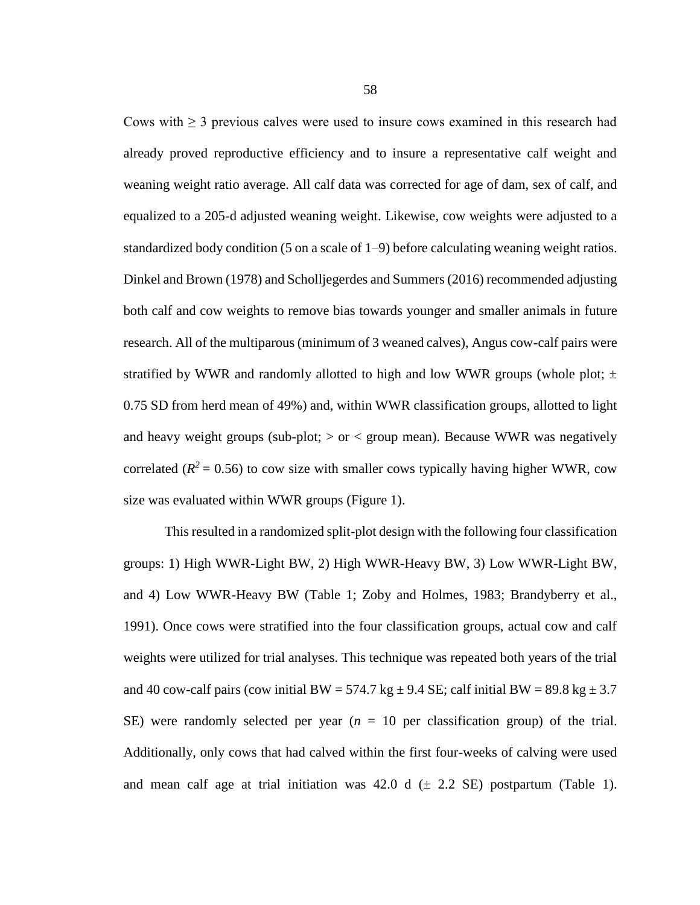Cows with  $\geq$  3 previous calves were used to insure cows examined in this research had already proved reproductive efficiency and to insure a representative calf weight and weaning weight ratio average. All calf data was corrected for age of dam, sex of calf, and equalized to a 205-d adjusted weaning weight. Likewise, cow weights were adjusted to a standardized body condition (5 on a scale of 1–9) before calculating weaning weight ratios. Dinkel and Brown (1978) and Scholljegerdes and Summers (2016) recommended adjusting both calf and cow weights to remove bias towards younger and smaller animals in future research. All of the multiparous (minimum of 3 weaned calves), Angus cow-calf pairs were stratified by WWR and randomly allotted to high and low WWR groups (whole plot;  $\pm$ 0.75 SD from herd mean of 49%) and, within WWR classification groups, allotted to light and heavy weight groups (sub-plot;  $>$  or  $<$  group mean). Because WWR was negatively correlated ( $R^2$  = 0.56) to cow size with smaller cows typically having higher WWR, cow size was evaluated within WWR groups (Figure 1).

This resulted in a randomized split-plot design with the following four classification groups: 1) High WWR-Light BW, 2) High WWR-Heavy BW, 3) Low WWR-Light BW, and 4) Low WWR-Heavy BW (Table 1; Zoby and Holmes, 1983; Brandyberry et al., 1991). Once cows were stratified into the four classification groups, actual cow and calf weights were utilized for trial analyses. This technique was repeated both years of the trial and 40 cow-calf pairs (cow initial BW = 574.7 kg  $\pm$  9.4 SE; calf initial BW = 89.8 kg  $\pm$  3.7 SE) were randomly selected per year  $(n = 10$  per classification group) of the trial. Additionally, only cows that had calved within the first four-weeks of calving were used and mean calf age at trial initiation was 42.0 d  $(\pm 2.2 \text{ SE})$  postpartum (Table 1).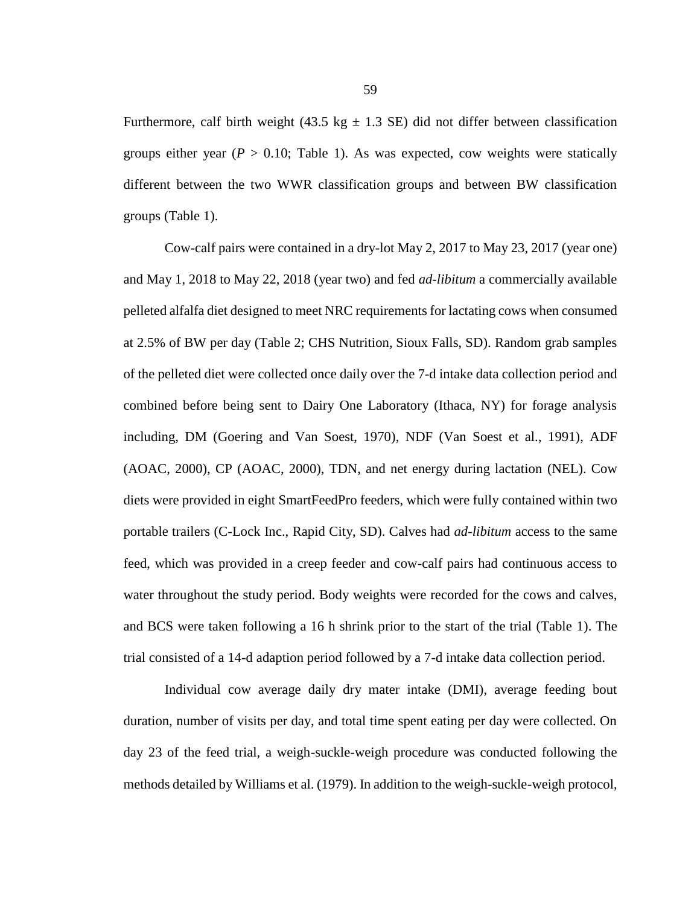Furthermore, calf birth weight (43.5 kg  $\pm$  1.3 SE) did not differ between classification groups either year  $(P > 0.10$ ; Table 1). As was expected, cow weights were statically different between the two WWR classification groups and between BW classification groups (Table 1).

Cow-calf pairs were contained in a dry-lot May 2, 2017 to May 23, 2017 (year one) and May 1, 2018 to May 22, 2018 (year two) and fed *ad-libitum* a commercially available pelleted alfalfa diet designed to meet NRC requirements for lactating cows when consumed at 2.5% of BW per day (Table 2; CHS Nutrition, Sioux Falls, SD). Random grab samples of the pelleted diet were collected once daily over the 7-d intake data collection period and combined before being sent to Dairy One Laboratory (Ithaca, NY) for forage analysis including, DM (Goering and Van Soest, 1970), NDF (Van Soest et al., 1991), ADF (AOAC, 2000), CP (AOAC, 2000), TDN, and net energy during lactation (NEL). Cow diets were provided in eight SmartFeedPro feeders, which were fully contained within two portable trailers (C-Lock Inc., Rapid City, SD). Calves had *ad-libitum* access to the same feed, which was provided in a creep feeder and cow-calf pairs had continuous access to water throughout the study period. Body weights were recorded for the cows and calves, and BCS were taken following a 16 h shrink prior to the start of the trial (Table 1). The trial consisted of a 14-d adaption period followed by a 7-d intake data collection period.

Individual cow average daily dry mater intake (DMI), average feeding bout duration, number of visits per day, and total time spent eating per day were collected. On day 23 of the feed trial, a weigh-suckle-weigh procedure was conducted following the methods detailed by Williams et al. (1979). In addition to the weigh-suckle-weigh protocol,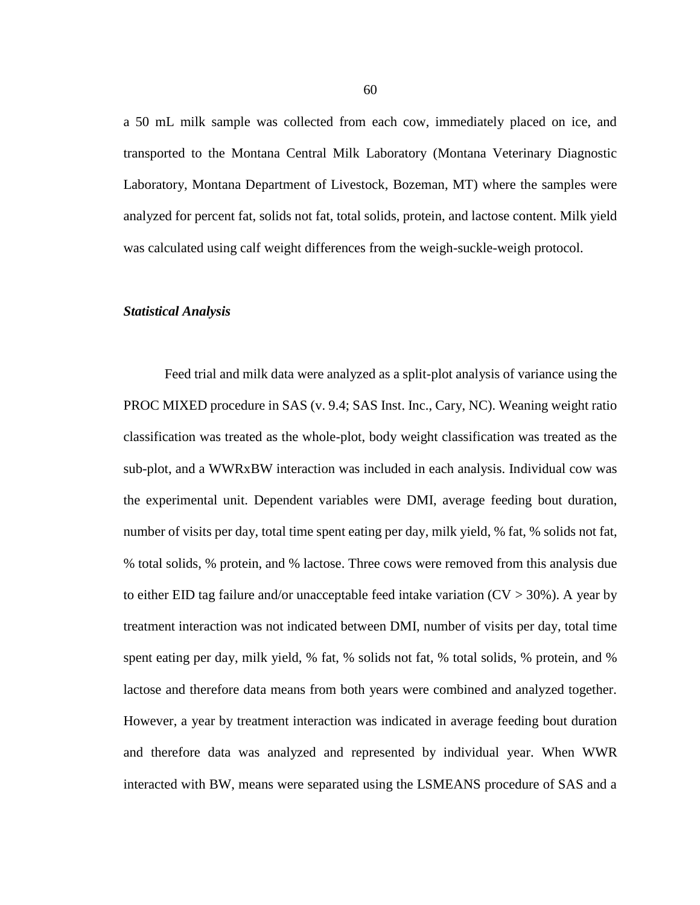a 50 mL milk sample was collected from each cow, immediately placed on ice, and transported to the Montana Central Milk Laboratory (Montana Veterinary Diagnostic Laboratory, Montana Department of Livestock, Bozeman, MT) where the samples were analyzed for percent fat, solids not fat, total solids, protein, and lactose content. Milk yield was calculated using calf weight differences from the weigh-suckle-weigh protocol.

#### *Statistical Analysis*

Feed trial and milk data were analyzed as a split-plot analysis of variance using the PROC MIXED procedure in SAS (v. 9.4; SAS Inst. Inc., Cary, NC). Weaning weight ratio classification was treated as the whole-plot, body weight classification was treated as the sub-plot, and a WWRxBW interaction was included in each analysis. Individual cow was the experimental unit. Dependent variables were DMI, average feeding bout duration, number of visits per day, total time spent eating per day, milk yield, % fat, % solids not fat, % total solids, % protein, and % lactose. Three cows were removed from this analysis due to either EID tag failure and/or unacceptable feed intake variation  $(CV > 30\%)$ . A year by treatment interaction was not indicated between DMI, number of visits per day, total time spent eating per day, milk yield, % fat, % solids not fat, % total solids, % protein, and % lactose and therefore data means from both years were combined and analyzed together. However, a year by treatment interaction was indicated in average feeding bout duration and therefore data was analyzed and represented by individual year. When WWR interacted with BW, means were separated using the LSMEANS procedure of SAS and a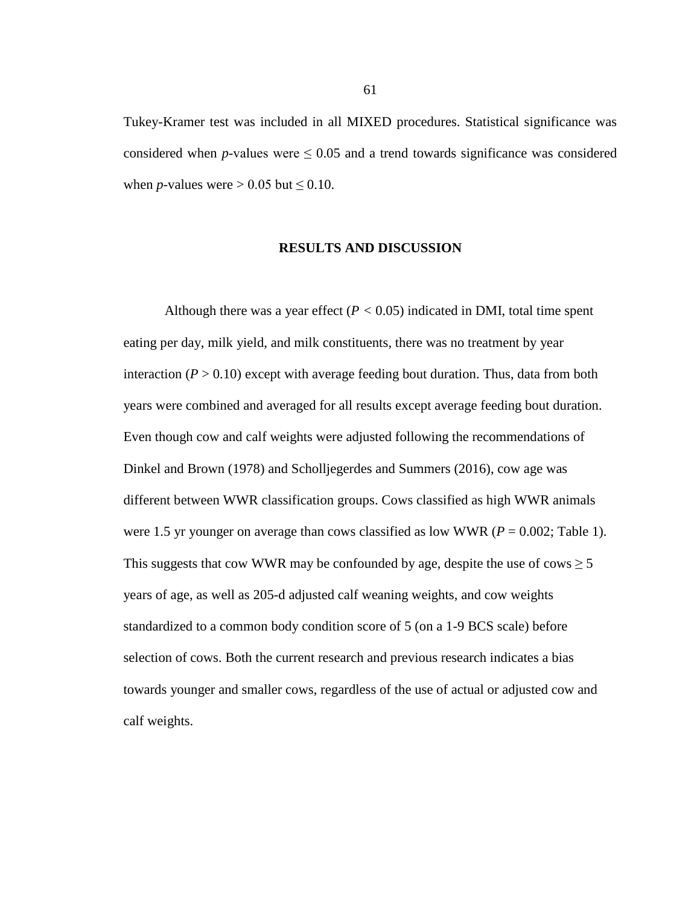Tukey-Kramer test was included in all MIXED procedures. Statistical significance was considered when *p*-values were  $\leq 0.05$  and a trend towards significance was considered when *p*-values were  $> 0.05$  but  $\leq 0.10$ .

#### **RESULTS AND DISCUSSION**

Although there was a year effect  $(P < 0.05)$  indicated in DMI, total time spent eating per day, milk yield, and milk constituents, there was no treatment by year interaction  $(P > 0.10)$  except with average feeding bout duration. Thus, data from both years were combined and averaged for all results except average feeding bout duration. Even though cow and calf weights were adjusted following the recommendations of Dinkel and Brown (1978) and Scholljegerdes and Summers (2016), cow age was different between WWR classification groups. Cows classified as high WWR animals were 1.5 yr younger on average than cows classified as low WWR (*P* = 0.002; Table 1). This suggests that cow WWR may be confounded by age, despite the use of cows  $\geq 5$ years of age, as well as 205-d adjusted calf weaning weights, and cow weights standardized to a common body condition score of 5 (on a 1-9 BCS scale) before selection of cows. Both the current research and previous research indicates a bias towards younger and smaller cows, regardless of the use of actual or adjusted cow and calf weights.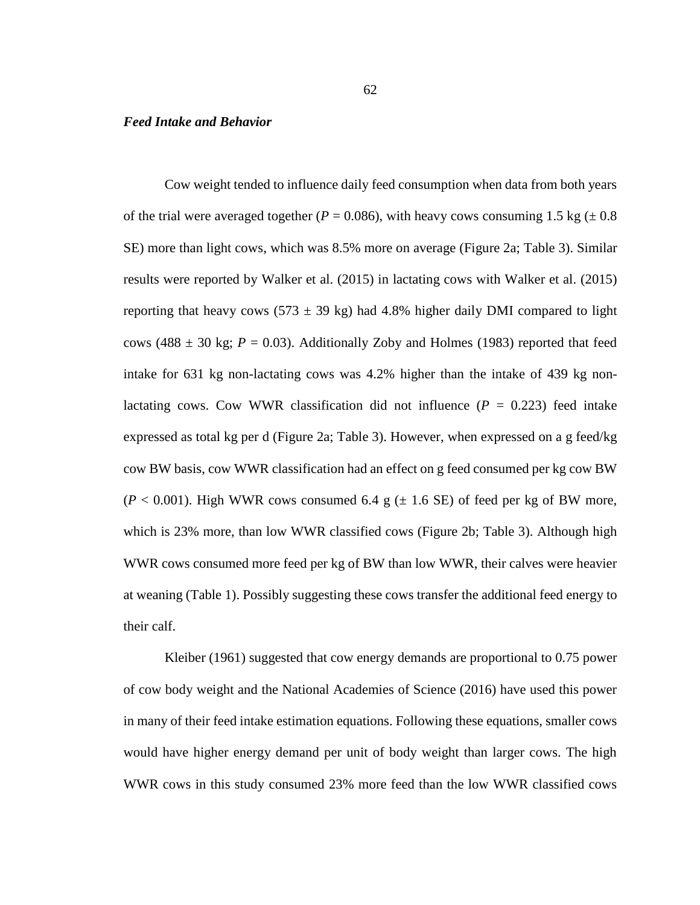#### *Feed Intake and Behavior*

Cow weight tended to influence daily feed consumption when data from both years of the trial were averaged together ( $P = 0.086$ ), with heavy cows consuming 1.5 kg ( $\pm 0.8$ ) SE) more than light cows, which was 8.5% more on average (Figure 2a; Table 3). Similar results were reported by Walker et al. (2015) in lactating cows with Walker et al. (2015) reporting that heavy cows (573  $\pm$  39 kg) had 4.8% higher daily DMI compared to light cows (488  $\pm$  30 kg;  $P = 0.03$ ). Additionally Zoby and Holmes (1983) reported that feed intake for 631 kg non-lactating cows was 4.2% higher than the intake of 439 kg nonlactating cows. Cow WWR classification did not influence  $(P = 0.223)$  feed intake expressed as total kg per d (Figure 2a; Table 3). However, when expressed on a g feed/kg cow BW basis, cow WWR classification had an effect on g feed consumed per kg cow BW  $(P < 0.001)$ . High WWR cows consumed 6.4 g  $(\pm 1.6 \text{ SE})$  of feed per kg of BW more, which is 23% more, than low WWR classified cows (Figure 2b; Table 3). Although high WWR cows consumed more feed per kg of BW than low WWR, their calves were heavier at weaning (Table 1). Possibly suggesting these cows transfer the additional feed energy to their calf.

Kleiber (1961) suggested that cow energy demands are proportional to 0.75 power of cow body weight and the National Academies of Science (2016) have used this power in many of their feed intake estimation equations. Following these equations, smaller cows would have higher energy demand per unit of body weight than larger cows. The high WWR cows in this study consumed 23% more feed than the low WWR classified cows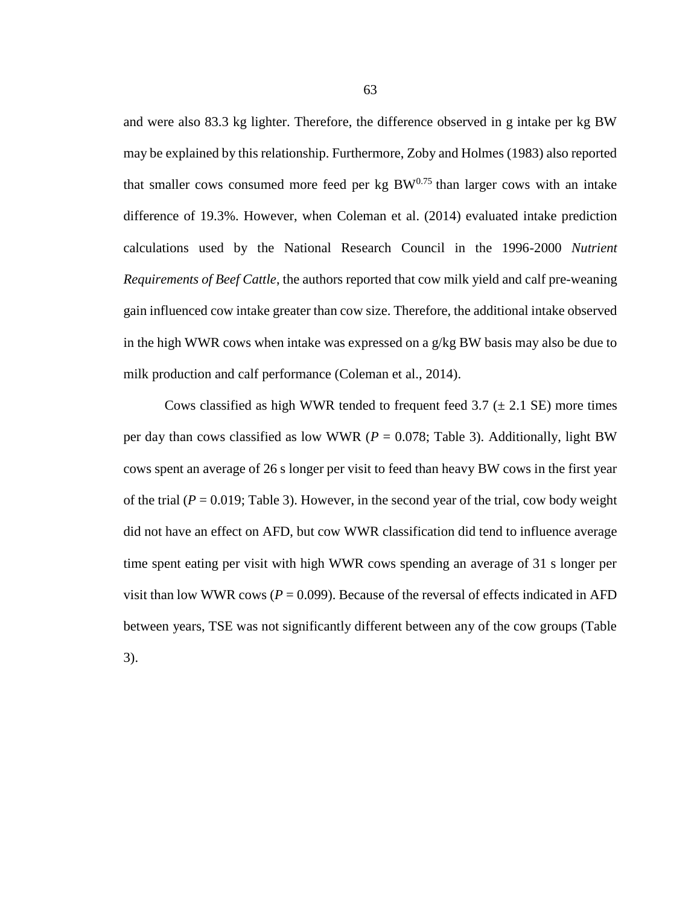and were also 83.3 kg lighter. Therefore, the difference observed in g intake per kg BW may be explained by this relationship. Furthermore, Zoby and Holmes (1983) also reported that smaller cows consumed more feed per kg  $BW^{0.75}$  than larger cows with an intake difference of 19.3%. However, when Coleman et al. (2014) evaluated intake prediction calculations used by the National Research Council in the 1996-2000 *Nutrient Requirements of Beef Cattle*, the authors reported that cow milk yield and calf pre-weaning gain influenced cow intake greater than cow size. Therefore, the additional intake observed in the high WWR cows when intake was expressed on a g/kg BW basis may also be due to milk production and calf performance (Coleman et al., 2014).

Cows classified as high WWR tended to frequent feed  $3.7 \ (\pm 2.1 \ \text{SE})$  more times per day than cows classified as low WWR ( $P = 0.078$ ; Table 3). Additionally, light BW cows spent an average of 26 s longer per visit to feed than heavy BW cows in the first year of the trial  $(P = 0.019$ ; Table 3). However, in the second year of the trial, cow body weight did not have an effect on AFD, but cow WWR classification did tend to influence average time spent eating per visit with high WWR cows spending an average of 31 s longer per visit than low WWR cows ( $P = 0.099$ ). Because of the reversal of effects indicated in AFD between years, TSE was not significantly different between any of the cow groups (Table 3).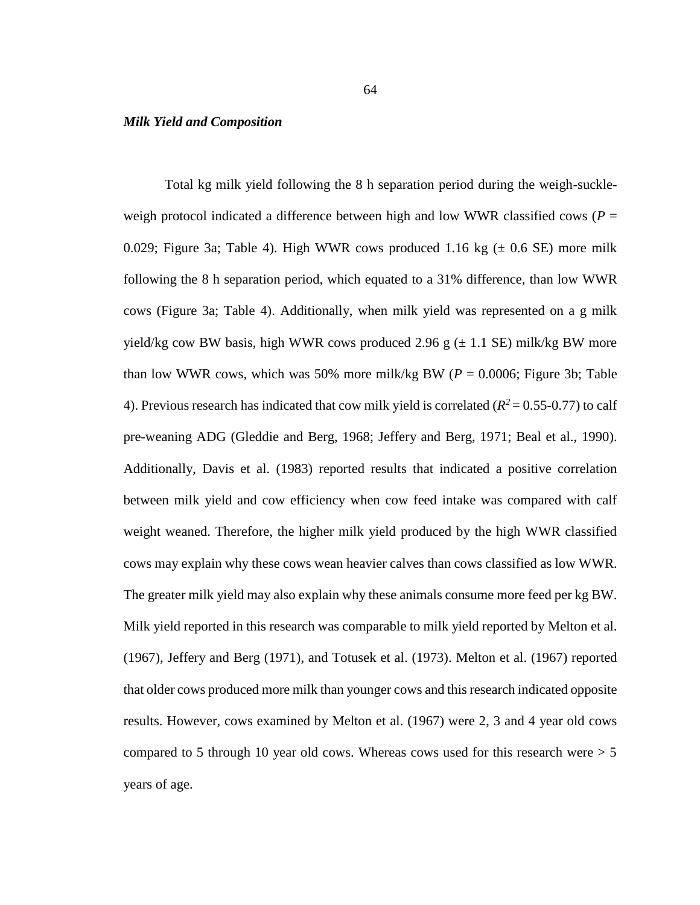#### *Milk Yield and Composition*

Total kg milk yield following the 8 h separation period during the weigh-suckleweigh protocol indicated a difference between high and low WWR classified cows ( $P =$ 0.029; Figure 3a; Table 4). High WWR cows produced 1.16 kg  $(\pm 0.6 \text{ SE})$  more milk following the 8 h separation period, which equated to a 31% difference, than low WWR cows (Figure 3a; Table 4). Additionally, when milk yield was represented on a g milk yield/kg cow BW basis, high WWR cows produced 2.96 g  $(\pm 1.1 \text{ SE})$  milk/kg BW more than low WWR cows, which was 50% more milk/kg BW ( $P = 0.0006$ ; Figure 3b; Table 4). Previous research has indicated that cow milk yield is correlated ( $R^2 = 0.55$ -0.77) to calf pre-weaning ADG (Gleddie and Berg, 1968; Jeffery and Berg, 1971; Beal et al., 1990). Additionally, Davis et al. (1983) reported results that indicated a positive correlation between milk yield and cow efficiency when cow feed intake was compared with calf weight weaned. Therefore, the higher milk yield produced by the high WWR classified cows may explain why these cows wean heavier calves than cows classified as low WWR. The greater milk yield may also explain why these animals consume more feed per kg BW. Milk yield reported in this research was comparable to milk yield reported by Melton et al. (1967), Jeffery and Berg (1971), and Totusek et al. (1973). Melton et al. (1967) reported that older cows produced more milk than younger cows and this research indicated opposite results. However, cows examined by Melton et al. (1967) were 2, 3 and 4 year old cows compared to 5 through 10 year old cows. Whereas cows used for this research were > 5 years of age.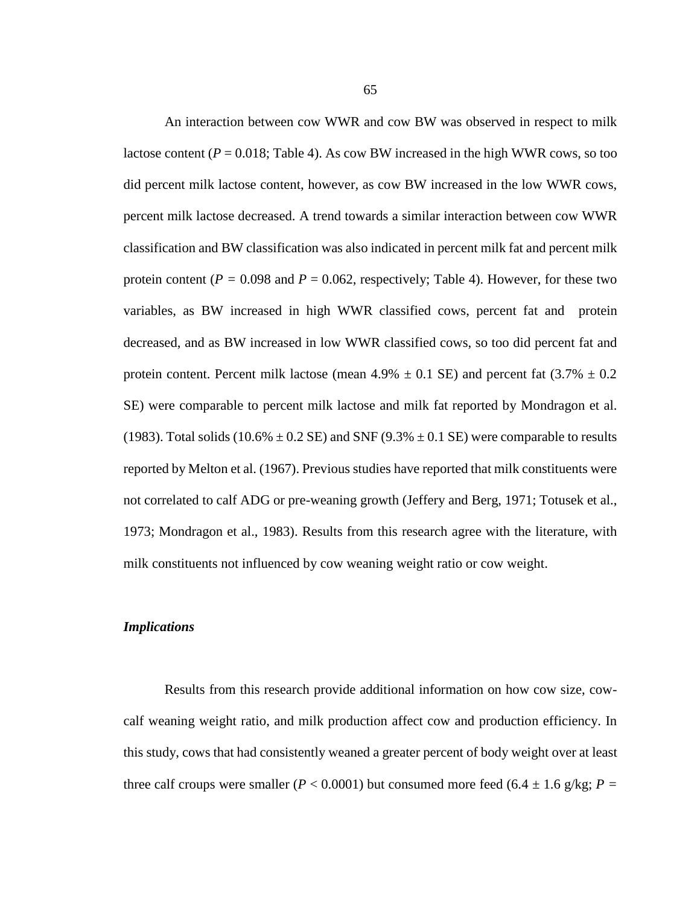An interaction between cow WWR and cow BW was observed in respect to milk lactose content  $(P = 0.018$ ; Table 4). As cow BW increased in the high WWR cows, so too did percent milk lactose content, however, as cow BW increased in the low WWR cows, percent milk lactose decreased. A trend towards a similar interaction between cow WWR classification and BW classification was also indicated in percent milk fat and percent milk protein content ( $P = 0.098$  and  $P = 0.062$ , respectively; Table 4). However, for these two variables, as BW increased in high WWR classified cows, percent fat and protein decreased, and as BW increased in low WWR classified cows, so too did percent fat and protein content. Percent milk lactose (mean  $4.9\% \pm 0.1$  SE) and percent fat  $(3.7\% \pm 0.2)$ SE) were comparable to percent milk lactose and milk fat reported by Mondragon et al. (1983). Total solids (10.6%  $\pm$  0.2 SE) and SNF (9.3%  $\pm$  0.1 SE) were comparable to results reported by Melton et al. (1967). Previous studies have reported that milk constituents were not correlated to calf ADG or pre-weaning growth (Jeffery and Berg, 1971; Totusek et al., 1973; Mondragon et al., 1983). Results from this research agree with the literature, with milk constituents not influenced by cow weaning weight ratio or cow weight.

### *Implications*

Results from this research provide additional information on how cow size, cowcalf weaning weight ratio, and milk production affect cow and production efficiency. In this study, cows that had consistently weaned a greater percent of body weight over at least three calf croups were smaller ( $P < 0.0001$ ) but consumed more feed (6.4  $\pm$  1.6 g/kg;  $P =$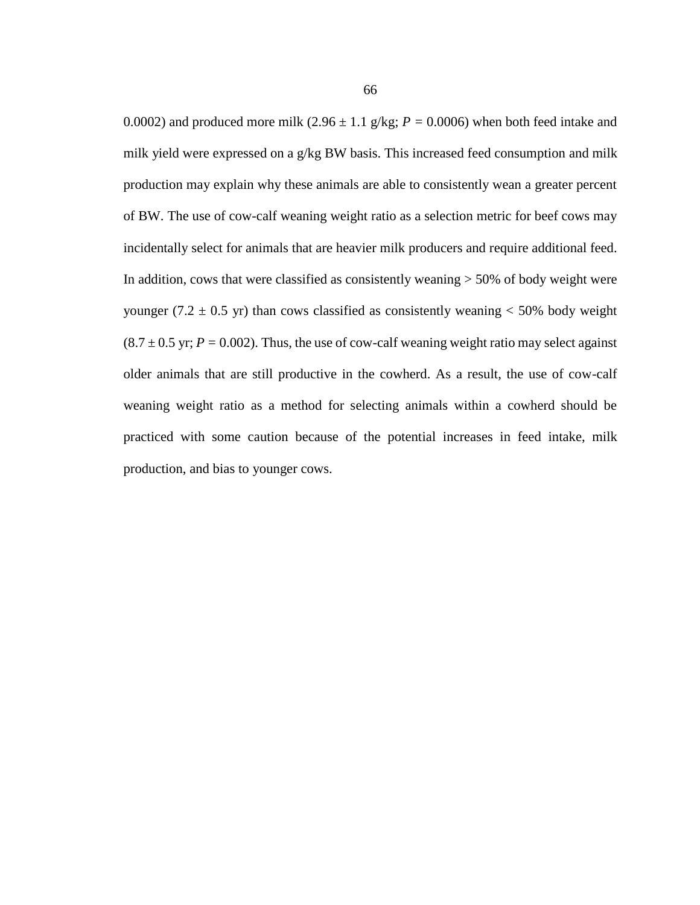0.0002) and produced more milk  $(2.96 \pm 1.1 \text{ g/kg}; P = 0.0006)$  when both feed intake and milk yield were expressed on a g/kg BW basis. This increased feed consumption and milk production may explain why these animals are able to consistently wean a greater percent of BW. The use of cow-calf weaning weight ratio as a selection metric for beef cows may incidentally select for animals that are heavier milk producers and require additional feed. In addition, cows that were classified as consistently weaning  $> 50\%$  of body weight were younger (7.2  $\pm$  0.5 yr) than cows classified as consistently weaning < 50% body weight  $(8.7 \pm 0.5 \text{ yr}; P = 0.002)$ . Thus, the use of cow-calf weaning weight ratio may select against older animals that are still productive in the cowherd. As a result, the use of cow-calf weaning weight ratio as a method for selecting animals within a cowherd should be practiced with some caution because of the potential increases in feed intake, milk production, and bias to younger cows.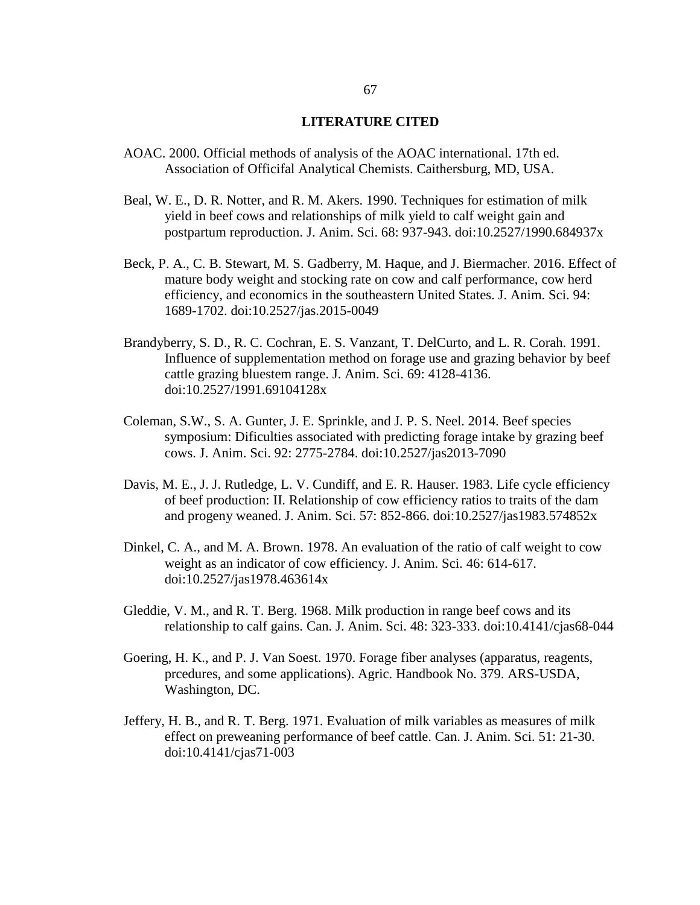#### **LITERATURE CITED**

- AOAC. 2000. Official methods of analysis of the AOAC international. 17th ed. Association of Officifal Analytical Chemists. Caithersburg, MD, USA.
- Beal, W. E., D. R. Notter, and R. M. Akers. 1990. Techniques for estimation of milk yield in beef cows and relationships of milk yield to calf weight gain and postpartum reproduction. J. Anim. Sci. 68: 937-943. doi:10.2527/1990.684937x
- Beck, P. A., C. B. Stewart, M. S. Gadberry, M. Haque, and J. Biermacher. 2016. Effect of mature body weight and stocking rate on cow and calf performance, cow herd efficiency, and economics in the southeastern United States. J. Anim. Sci. 94: 1689-1702. doi:10.2527/jas.2015-0049
- Brandyberry, S. D., R. C. Cochran, E. S. Vanzant, T. DelCurto, and L. R. Corah. 1991. Influence of supplementation method on forage use and grazing behavior by beef cattle grazing bluestem range. J. Anim. Sci. 69: 4128-4136. doi:10.2527/1991.69104128x
- Coleman, S.W., S. A. Gunter, J. E. Sprinkle, and J. P. S. Neel. 2014. Beef species symposium: Dificulties associated with predicting forage intake by grazing beef cows. J. Anim. Sci. 92: 2775-2784. doi:10.2527/jas2013-7090
- Davis, M. E., J. J. Rutledge, L. V. Cundiff, and E. R. Hauser. 1983. Life cycle efficiency of beef production: II. Relationship of cow efficiency ratios to traits of the dam and progeny weaned. J. Anim. Sci. 57: 852-866. doi:10.2527/jas1983.574852x
- Dinkel, C. A., and M. A. Brown. 1978. An evaluation of the ratio of calf weight to cow weight as an indicator of cow efficiency. J. Anim. Sci. 46: 614-617. doi:10.2527/jas1978.463614x
- Gleddie, V. M., and R. T. Berg. 1968. Milk production in range beef cows and its relationship to calf gains. Can. J. Anim. Sci. 48: 323-333. doi:10.4141/cjas68-044
- Goering, H. K., and P. J. Van Soest. 1970. Forage fiber analyses (apparatus, reagents, prcedures, and some applications). Agric. Handbook No. 379. ARS-USDA, Washington, DC.
- Jeffery, H. B., and R. T. Berg. 1971. Evaluation of milk variables as measures of milk effect on preweaning performance of beef cattle. Can. J. Anim. Sci. 51: 21-30. doi:10.4141/cjas71-003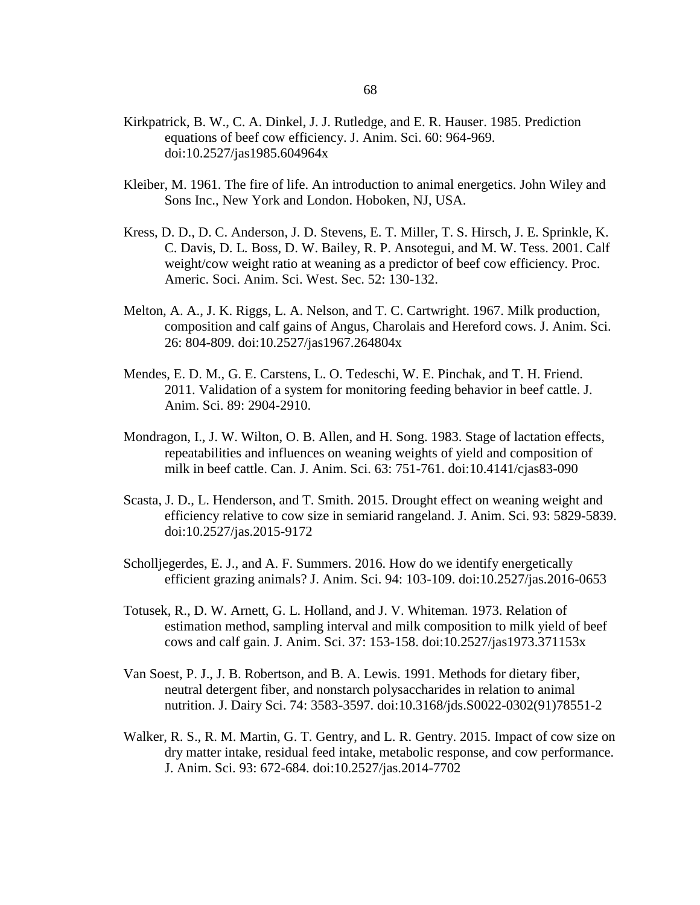- Kirkpatrick, B. W., C. A. Dinkel, J. J. Rutledge, and E. R. Hauser. 1985. Prediction equations of beef cow efficiency. J. Anim. Sci. 60: 964-969. doi:10.2527/jas1985.604964x
- Kleiber, M. 1961. The fire of life. An introduction to animal energetics. John Wiley and Sons Inc., New York and London. Hoboken, NJ, USA.
- Kress, D. D., D. C. Anderson, J. D. Stevens, E. T. Miller, T. S. Hirsch, J. E. Sprinkle, K. C. Davis, D. L. Boss, D. W. Bailey, R. P. Ansotegui, and M. W. Tess. 2001. Calf weight/cow weight ratio at weaning as a predictor of beef cow efficiency. Proc. Americ. Soci. Anim. Sci. West. Sec. 52: 130-132.
- Melton, A. A., J. K. Riggs, L. A. Nelson, and T. C. Cartwright. 1967. Milk production, composition and calf gains of Angus, Charolais and Hereford cows. J. Anim. Sci. 26: 804-809. doi:10.2527/jas1967.264804x
- Mendes, E. D. M., G. E. Carstens, L. O. Tedeschi, W. E. Pinchak, and T. H. Friend. 2011. Validation of a system for monitoring feeding behavior in beef cattle. J. Anim. Sci. 89: 2904-2910.
- Mondragon, I., J. W. Wilton, O. B. Allen, and H. Song. 1983. Stage of lactation effects, repeatabilities and influences on weaning weights of yield and composition of milk in beef cattle. Can. J. Anim. Sci. 63: 751-761. doi:10.4141/cjas83-090
- Scasta, J. D., L. Henderson, and T. Smith. 2015. Drought effect on weaning weight and efficiency relative to cow size in semiarid rangeland. J. Anim. Sci. 93: 5829-5839. doi:10.2527/jas.2015-9172
- Scholljegerdes, E. J., and A. F. Summers. 2016. How do we identify energetically efficient grazing animals? J. Anim. Sci. 94: 103-109. doi:10.2527/jas.2016-0653
- Totusek, R., D. W. Arnett, G. L. Holland, and J. V. Whiteman. 1973. Relation of estimation method, sampling interval and milk composition to milk yield of beef cows and calf gain. J. Anim. Sci. 37: 153-158. doi:10.2527/jas1973.371153x
- Van Soest, P. J., J. B. Robertson, and B. A. Lewis. 1991. Methods for dietary fiber, neutral detergent fiber, and nonstarch polysaccharides in relation to animal nutrition. J. Dairy Sci. 74: 3583-3597. doi:10.3168/jds.S0022-0302(91)78551-2
- Walker, R. S., R. M. Martin, G. T. Gentry, and L. R. Gentry. 2015. Impact of cow size on dry matter intake, residual feed intake, metabolic response, and cow performance. J. Anim. Sci. 93: 672-684. doi:10.2527/jas.2014-7702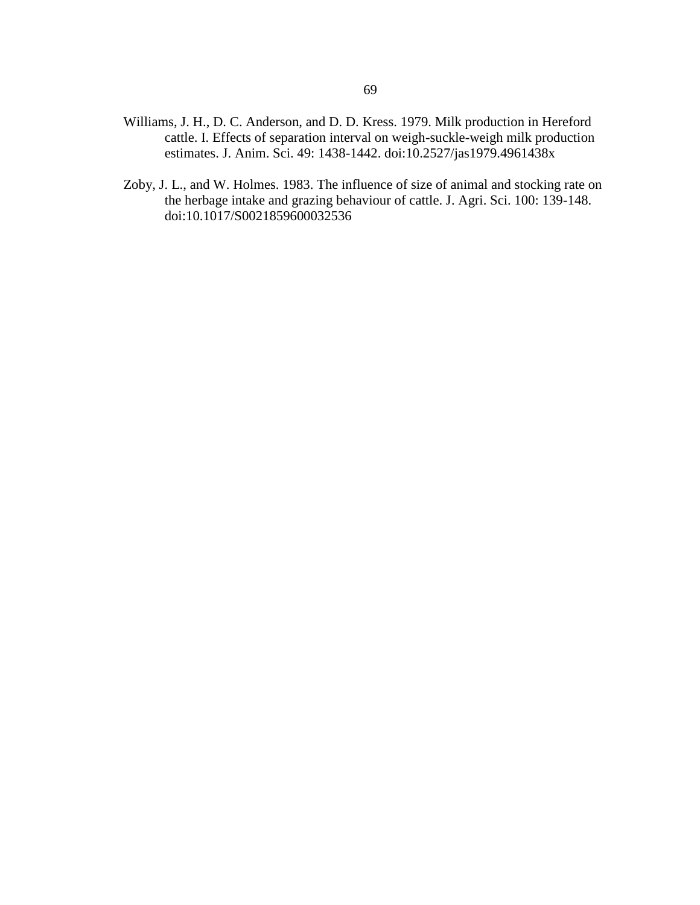- Williams, J. H., D. C. Anderson, and D. D. Kress. 1979. Milk production in Hereford cattle. I. Effects of separation interval on weigh-suckle-weigh milk production estimates. J. Anim. Sci. 49: 1438-1442. doi:10.2527/jas1979.4961438x
- Zoby, J. L., and W. Holmes. 1983. The influence of size of animal and stocking rate on the herbage intake and grazing behaviour of cattle. J. Agri. Sci. 100: 139-148. doi:10.1017/S0021859600032536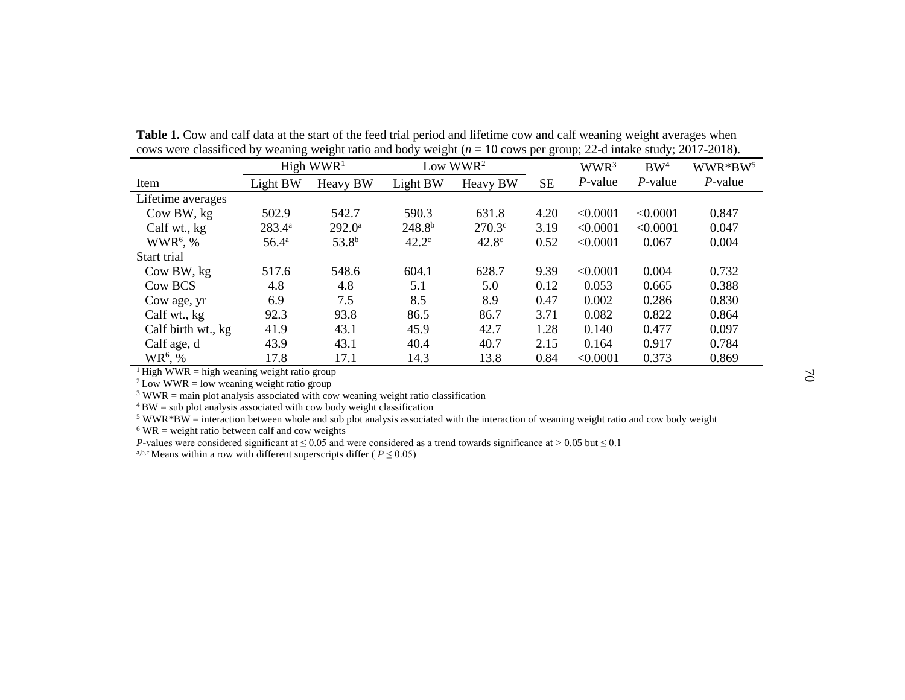| COWS WELL CLASSIFICED by WEATHING WEIGHT TALIO AND DODY WEIGHT $(n = 10 \text{ COWs} \text{ pc})$ group, $22$ -d mitake study, $2017$ - $2010$ ). |                |                   |                |                   |           |            |            |                  |                 |                     |
|---------------------------------------------------------------------------------------------------------------------------------------------------|----------------|-------------------|----------------|-------------------|-----------|------------|------------|------------------|-----------------|---------------------|
|                                                                                                                                                   |                | High $WWR1$       |                | Low $WWR2$        |           |            |            | WWR <sup>3</sup> | BW <sup>4</sup> | WWR*BW <sup>5</sup> |
| Item                                                                                                                                              | Light BW       | Heavy BW          | Light BW       | Heavy BW          | <b>SE</b> | $P$ -value | $P$ -value | $P$ -value       |                 |                     |
| Lifetime averages                                                                                                                                 |                |                   |                |                   |           |            |            |                  |                 |                     |
| Cow BW, kg                                                                                                                                        | 502.9          | 542.7             | 590.3          | 631.8             | 4.20      | < 0.0001   | < 0.0001   | 0.847            |                 |                     |
| Calf wt., kg                                                                                                                                      | $283.4^{a}$    | $292.0^{\circ}$   | $248.8^{b}$    | $270.3^{\circ}$   | 3.19      | < 0.0001   | < 0.0001   | 0.047            |                 |                     |
| $WWR6$ , %                                                                                                                                        | $56.4^{\rm a}$ | 53.8 <sup>b</sup> | $42.2^{\circ}$ | 42.8 <sup>c</sup> | 0.52      | < 0.0001   | 0.067      | 0.004            |                 |                     |
| Start trial                                                                                                                                       |                |                   |                |                   |           |            |            |                  |                 |                     |
| Cow BW, kg                                                                                                                                        | 517.6          | 548.6             | 604.1          | 628.7             | 9.39      | < 0.0001   | 0.004      | 0.732            |                 |                     |
| Cow BCS                                                                                                                                           | 4.8            | 4.8               | 5.1            | 5.0               | 0.12      | 0.053      | 0.665      | 0.388            |                 |                     |
| Cow age, yr                                                                                                                                       | 6.9            | 7.5               | 8.5            | 8.9               | 0.47      | 0.002      | 0.286      | 0.830            |                 |                     |
| Calf wt., kg                                                                                                                                      | 92.3           | 93.8              | 86.5           | 86.7              | 3.71      | 0.082      | 0.822      | 0.864            |                 |                     |
| Calf birth wt., kg                                                                                                                                | 41.9           | 43.1              | 45.9           | 42.7              | 1.28      | 0.140      | 0.477      | 0.097            |                 |                     |
| Calf age, d                                                                                                                                       | 43.9           | 43.1              | 40.4           | 40.7              | 2.15      | 0.164      | 0.917      | 0.784            |                 |                     |
| $WR^6$ , %                                                                                                                                        | 17.8           | 17.1              | 14.3           | 13.8              | 0.84      | < 0.0001   | 0.373      | 0.869            |                 |                     |

Table 1. Cow and calf data at the start of the feed trial period and lifetime cow and calf weaning weight averages when cows were classificed by weaning weight ratio and body weight (*n* = 10 cows per group; 22-d intake study; 2017-2018).

<sup>1</sup>High WWR = high weaning weight ratio group

 $2$  Low WWR = low weaning weight ratio group

<sup>3</sup> WWR = main plot analysis associated with cow weaning weight ratio classification

 $4$  BW = sub plot analysis associated with cow body weight classification

 $5$  WWR\*BW = interaction between whole and sub plot analysis associated with the interaction of weaning weight ratio and cow body weight

 $6$  WR = weight ratio between calf and cow weights

*P*-values were considered significant at ≤ 0.05 and were considered as a trend towards significance at > 0.05 but ≤ 0.1

<sup>a,b,c</sup> Means within a row with different superscripts differ ( $P \leq 0.05$ )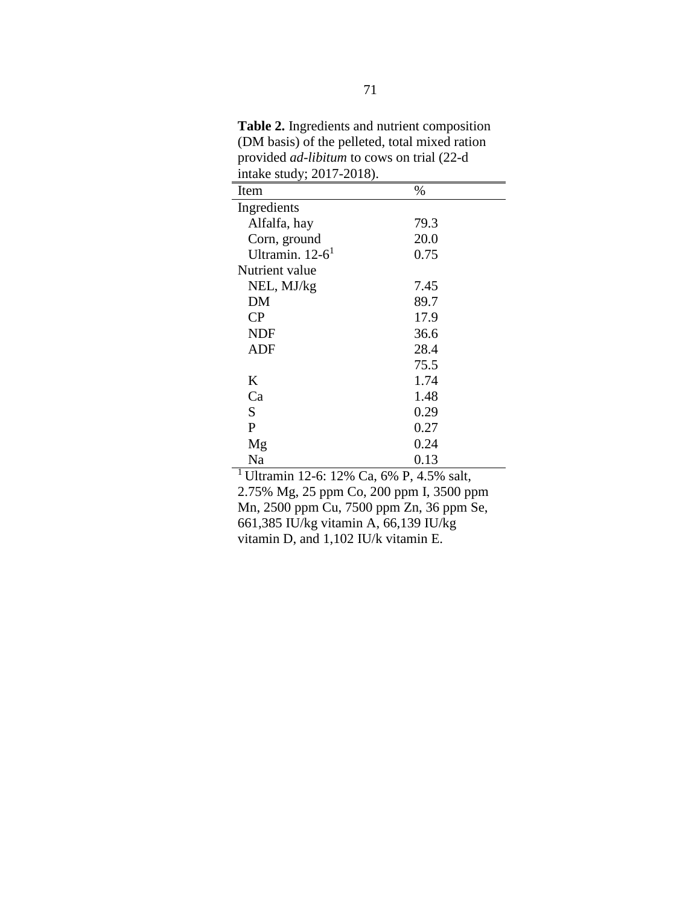**Table 2.** Ingredients and nutrient composition (DM basis) of the pelleted, total mixed ration provided *ad-libitum* to cows on trial (22-d intake study; 2017-2018).

| Item                          | %    |
|-------------------------------|------|
| Ingredients                   |      |
| Alfalfa, hay                  | 79.3 |
| Corn, ground                  | 20.0 |
| Ultramin. $12-6$ <sup>1</sup> | 0.75 |
| Nutrient value                |      |
| NEL, MJ/kg                    | 7.45 |
| DM                            | 89.7 |
| $\rm CP$                      | 17.9 |
| <b>NDF</b>                    | 36.6 |
| ADF                           | 28.4 |
|                               | 75.5 |
| K                             | 1.74 |
| Ca                            | 1.48 |
| S                             | 0.29 |
| P                             | 0.27 |
| Mg                            | 0.24 |
| Na                            | 0.13 |

<sup>1</sup> Ultramin 12-6: 12% Ca, 6% P, 4.5% salt, 2.75% Mg, 25 ppm Co, 200 ppm I, 3500 ppm Mn, 2500 ppm Cu, 7500 ppm Zn, 36 ppm Se, 661,385 IU/kg vitamin A, 66,139 IU/kg vitamin D, and 1,102 IU/k vitamin E.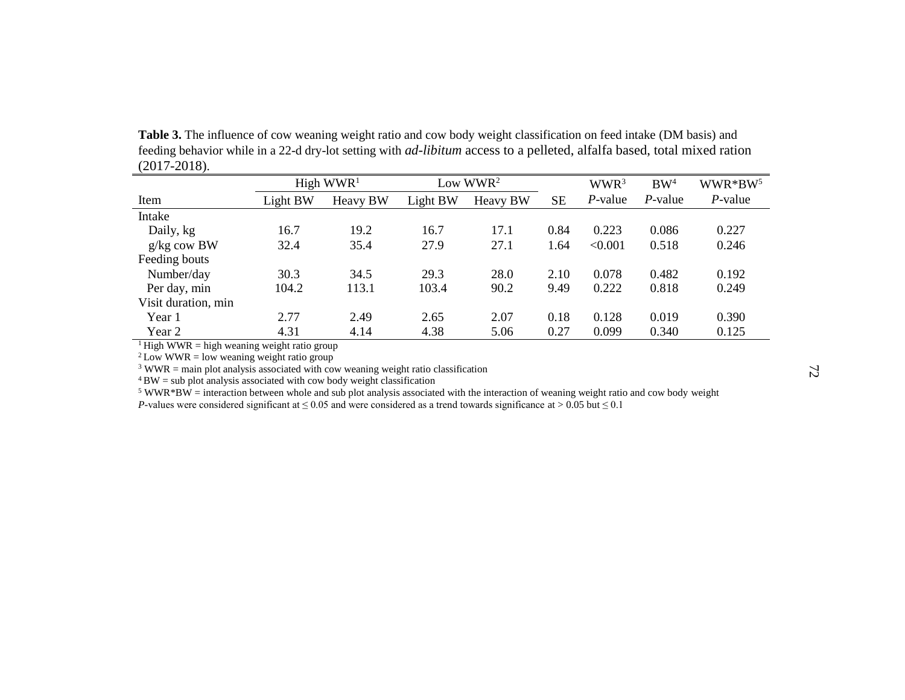**Table 3.** The influence of cow weaning weight ratio and cow body weight classification on feed intake (DM basis) and feeding behavior while in a 22-d dry-lot setting with *ad-libitum* access to a pelleted, alfalfa based, total mixed ration (2017-2018).

|                     |          | High $WWR1$ |          | Low $WWR^2$ |           | WWR <sup>3</sup> | BW <sup>4</sup> | WWR*BW <sup>5</sup> |
|---------------------|----------|-------------|----------|-------------|-----------|------------------|-----------------|---------------------|
| Item                | Light BW | Heavy BW    | Light BW | Heavy BW    | <b>SE</b> | P-value          | $P$ -value      | $P$ -value          |
| Intake              |          |             |          |             |           |                  |                 |                     |
| Daily, kg           | 16.7     | 19.2        | 16.7     | 17.1        | 0.84      | 0.223            | 0.086           | 0.227               |
| $g/kg$ cow BW       | 32.4     | 35.4        | 27.9     | 27.1        | 1.64      | < 0.001          | 0.518           | 0.246               |
| Feeding bouts       |          |             |          |             |           |                  |                 |                     |
| Number/day          | 30.3     | 34.5        | 29.3     | 28.0        | 2.10      | 0.078            | 0.482           | 0.192               |
| Per day, min        | 104.2    | 113.1       | 103.4    | 90.2        | 9.49      | 0.222            | 0.818           | 0.249               |
| Visit duration, min |          |             |          |             |           |                  |                 |                     |
| Year 1              | 2.77     | 2.49        | 2.65     | 2.07        | 0.18      | 0.128            | 0.019           | 0.390               |
| Year 2              | 4.31     | 4.14        | 4.38     | 5.06        | 0.27      | 0.099            | 0.340           | 0.125               |

 $1$  High WWR = high weaning weight ratio group

 $2$  Low WWR = low weaning weight ratio group

 $3$  WWR = main plot analysis associated with cow weaning weight ratio classification

 $4$  BW = sub plot analysis associated with cow body weight classification

<sup>5</sup> WWR\*BW = interaction between whole and sub plot analysis associated with the interaction of weaning weight ratio and cow body weight *P*-values were considered significant at ≤ 0.05 and were considered as a trend towards significance at > 0.05 but ≤ 0.1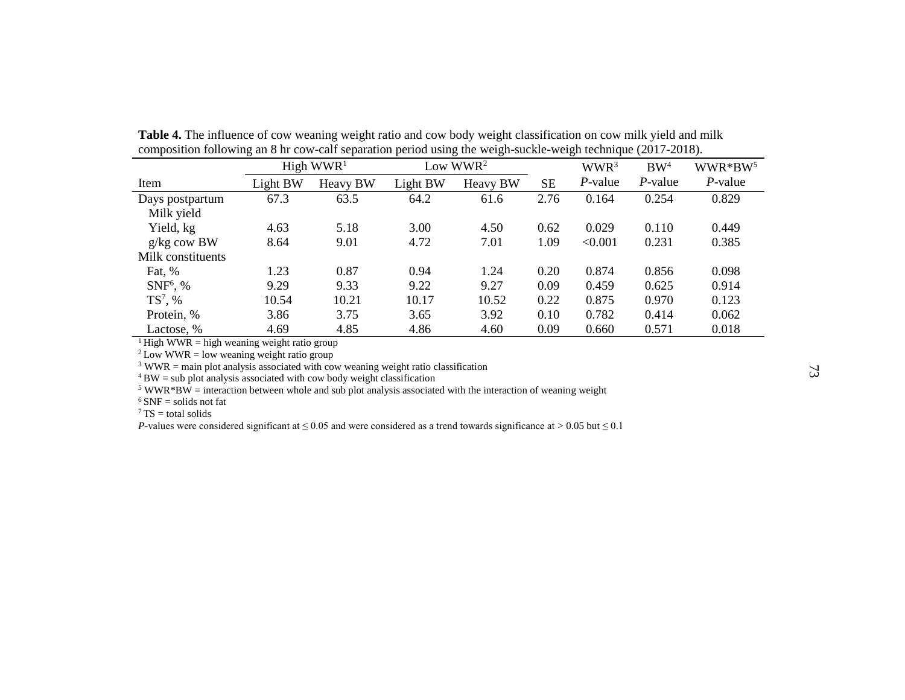| <b>Andronical</b><br>$\cdots$<br>$P^{\text{u}}$<br>$\frac{1}{2}$ and $\frac{1}{2}$ $\frac{1}{2}$ $\frac{1}{2}$ $\frac{1}{2}$<br>$\frac{1}{2}$ |                       |          |            |                 |           |                  |                 |                     |  |
|-----------------------------------------------------------------------------------------------------------------------------------------------|-----------------------|----------|------------|-----------------|-----------|------------------|-----------------|---------------------|--|
|                                                                                                                                               | High WWR <sup>1</sup> |          | Low $WWR2$ |                 |           | WWR <sup>3</sup> | BW <sup>4</sup> | WWR*BW <sup>5</sup> |  |
| Item                                                                                                                                          | Light BW              | Heavy BW | Light BW   | <b>Heavy BW</b> | <b>SE</b> | P-value          | P-value         | $P$ -value          |  |
| Days postpartum                                                                                                                               | 67.3                  | 63.5     | 64.2       | 61.6            | 2.76      | 0.164            | 0.254           | 0.829               |  |
| Milk yield                                                                                                                                    |                       |          |            |                 |           |                  |                 |                     |  |
| Yield, kg                                                                                                                                     | 4.63                  | 5.18     | 3.00       | 4.50            | 0.62      | 0.029            | 0.110           | 0.449               |  |
| $g/kg$ cow BW                                                                                                                                 | 8.64                  | 9.01     | 4.72       | 7.01            | 1.09      | < 0.001          | 0.231           | 0.385               |  |
| Milk constituents                                                                                                                             |                       |          |            |                 |           |                  |                 |                     |  |
| Fat, %                                                                                                                                        | 1.23                  | 0.87     | 0.94       | 1.24            | 0.20      | 0.874            | 0.856           | 0.098               |  |
| $SNF6$ , %                                                                                                                                    | 9.29                  | 9.33     | 9.22       | 9.27            | 0.09      | 0.459            | 0.625           | 0.914               |  |
| $TS^7$ , %                                                                                                                                    | 10.54                 | 10.21    | 10.17      | 10.52           | 0.22      | 0.875            | 0.970           | 0.123               |  |
| Protein, %                                                                                                                                    | 3.86                  | 3.75     | 3.65       | 3.92            | 0.10      | 0.782            | 0.414           | 0.062               |  |
| Lactose, %                                                                                                                                    | 4.69                  | 4.85     | 4.86       | 4.60            | 0.09      | 0.660            | 0.571           | 0.018               |  |

**Table 4.** The influence of cow weaning weight ratio and cow body weight classification on cow milk yield and milk composition following an 8 hr cow-calf separation period using the weigh-suckle-weigh technique (2017-2018).

<sup>1</sup> High WWR = high weaning weight ratio group

 $2$  Low WWR = low weaning weight ratio group

 $3$  WWR = main plot analysis associated with cow weaning weight ratio classification

 $4$  BW = sub plot analysis associated with cow body weight classification

 $5$  WWR\*BW = interaction between whole and sub plot analysis associated with the interaction of weaning weight

 $6$  SNF = solids not fat

 $7$  TS = total solids

*P*-values were considered significant at ≤ 0.05 and were considered as a trend towards significance at > 0.05 but ≤ 0.1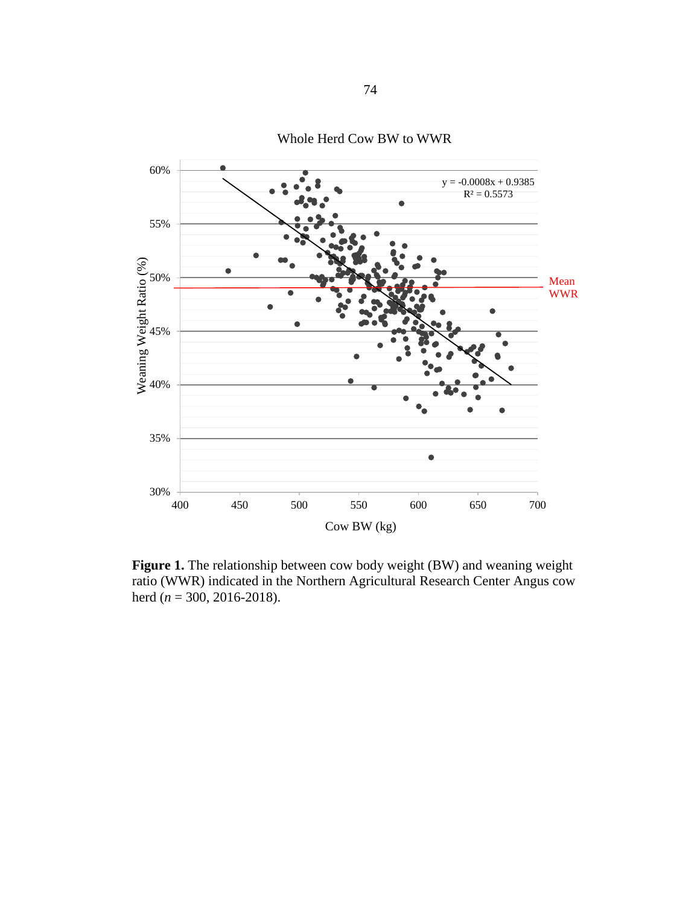

Whole Herd Cow BW to WWR

**Figure 1.** The relationship between cow body weight (BW) and weaning weight ratio (WWR) indicated in the Northern Agricultural Research Center Angus cow herd (*n* = 300, 2016-2018).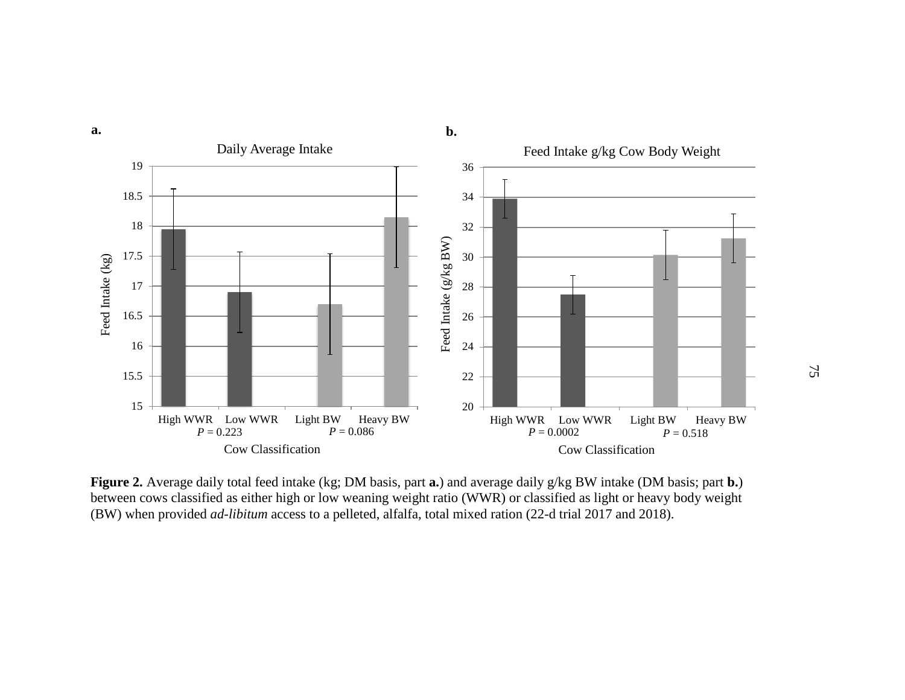

**Figure 2.** Average daily total feed intake (kg; DM basis, part **a.**) and average daily g/kg BW intake (DM basis; part **b.**) between cows classified as either high or low weaning weight ratio (WWR) or classified as light or heavy body weight (BW) when provided *ad-libitum* access to a pelleted, alfalfa, total mixed ration (22-d trial 2017 and 2018).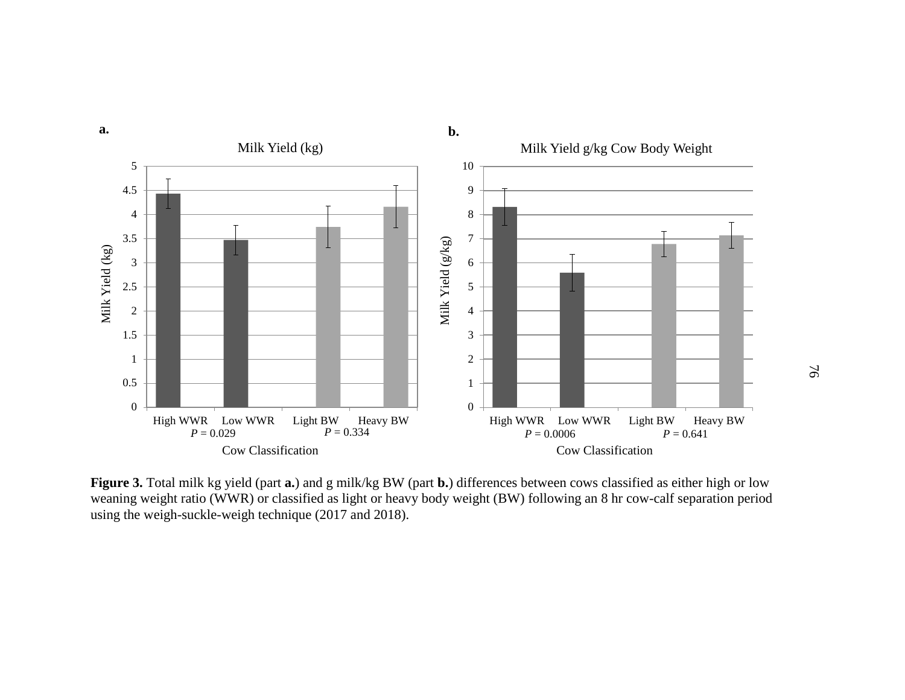

**Figure 3.** Total milk kg yield (part **a.**) and g milk/kg BW (part **b.**) differences between cows classified as either high or low weaning weight ratio (WWR) or classified as light or heavy body weight (BW) following an 8 hr cow-calf separation period using the weigh-suckle-weigh technique (2017 and 2018).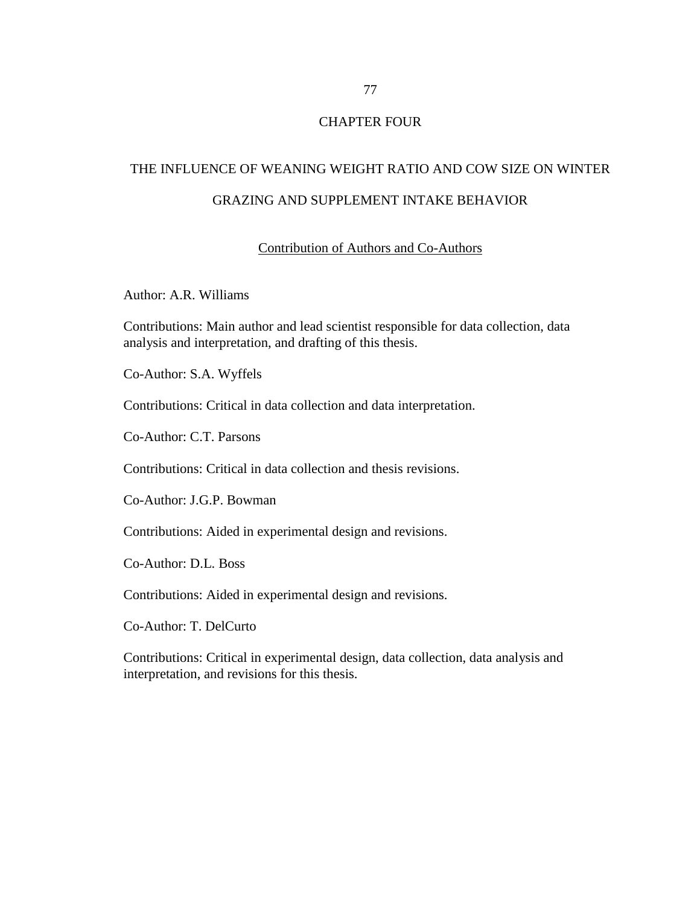# CHAPTER FOUR

# THE INFLUENCE OF WEANING WEIGHT RATIO AND COW SIZE ON WINTER GRAZING AND SUPPLEMENT INTAKE BEHAVIOR

# Contribution of Authors and Co-Authors

Author: A.R. Williams

Contributions: Main author and lead scientist responsible for data collection, data analysis and interpretation, and drafting of this thesis.

Co-Author: S.A. Wyffels

Contributions: Critical in data collection and data interpretation.

Co-Author: C.T. Parsons

Contributions: Critical in data collection and thesis revisions.

Co-Author: J.G.P. Bowman

Contributions: Aided in experimental design and revisions.

Co-Author: D.L. Boss

Contributions: Aided in experimental design and revisions.

Co-Author: T. DelCurto

Contributions: Critical in experimental design, data collection, data analysis and interpretation, and revisions for this thesis.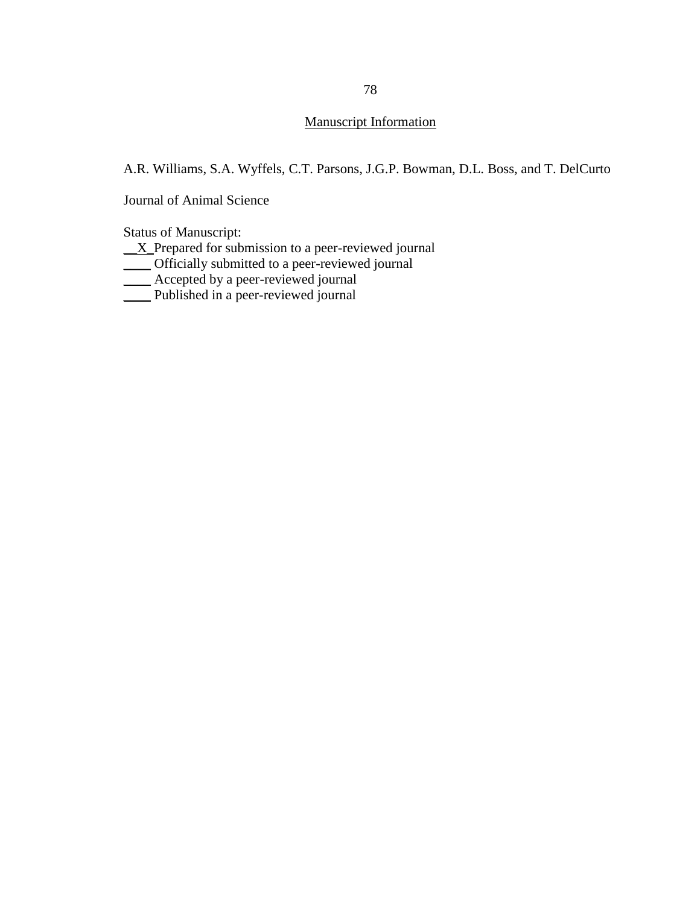# Manuscript Information

A.R. Williams, S.A. Wyffels, C.T. Parsons, J.G.P. Bowman, D.L. Boss, and T. DelCurto

Journal of Animal Science

Status of Manuscript:

 $\underline{X}$  Prepared for submission to a peer-reviewed journal

\_\_\_\_ Officially submitted to a peer-reviewed journal

 $\overline{\phantom{0}}$  Accepted by a peer-reviewed journal

\_\_\_\_ Published in a peer-reviewed journal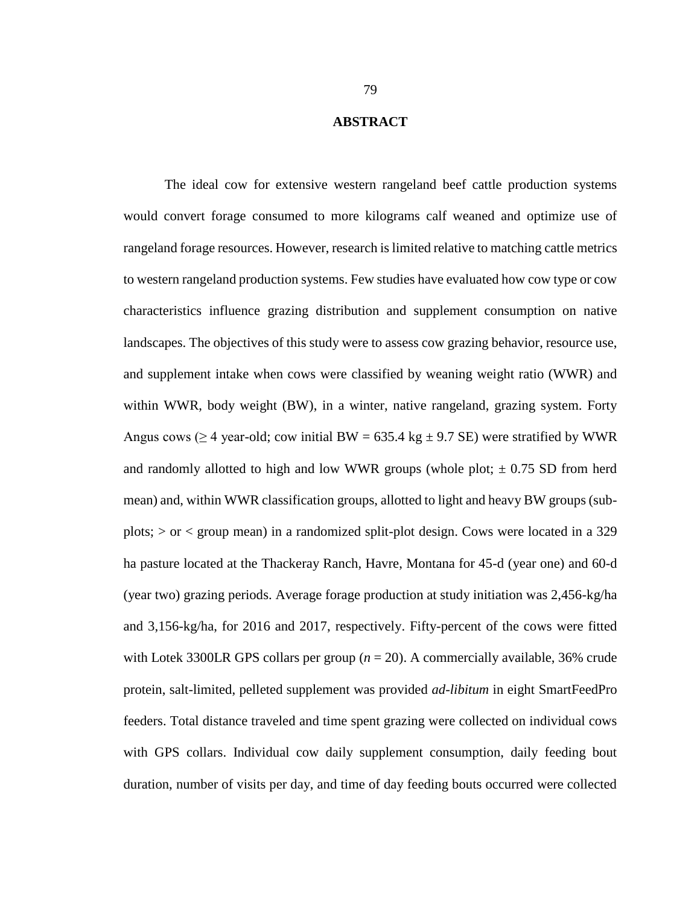#### **ABSTRACT**

The ideal cow for extensive western rangeland beef cattle production systems would convert forage consumed to more kilograms calf weaned and optimize use of rangeland forage resources. However, research is limited relative to matching cattle metrics to western rangeland production systems. Few studies have evaluated how cow type or cow characteristics influence grazing distribution and supplement consumption on native landscapes. The objectives of this study were to assess cow grazing behavior, resource use, and supplement intake when cows were classified by weaning weight ratio (WWR) and within WWR, body weight (BW), in a winter, native rangeland, grazing system. Forty Angus cows ( $\geq$  4 year-old; cow initial BW = 635.4 kg  $\pm$  9.7 SE) were stratified by WWR and randomly allotted to high and low WWR groups (whole plot;  $\pm$  0.75 SD from herd mean) and, within WWR classification groups, allotted to light and heavy BW groups (subplots; > or < group mean) in a randomized split-plot design. Cows were located in a 329 ha pasture located at the Thackeray Ranch, Havre, Montana for 45-d (year one) and 60-d (year two) grazing periods. Average forage production at study initiation was 2,456-kg/ha and 3,156-kg/ha, for 2016 and 2017, respectively. Fifty-percent of the cows were fitted with Lotek 3300LR GPS collars per group  $(n = 20)$ . A commercially available, 36% crude protein, salt-limited, pelleted supplement was provided *ad-libitum* in eight SmartFeedPro feeders. Total distance traveled and time spent grazing were collected on individual cows with GPS collars. Individual cow daily supplement consumption, daily feeding bout duration, number of visits per day, and time of day feeding bouts occurred were collected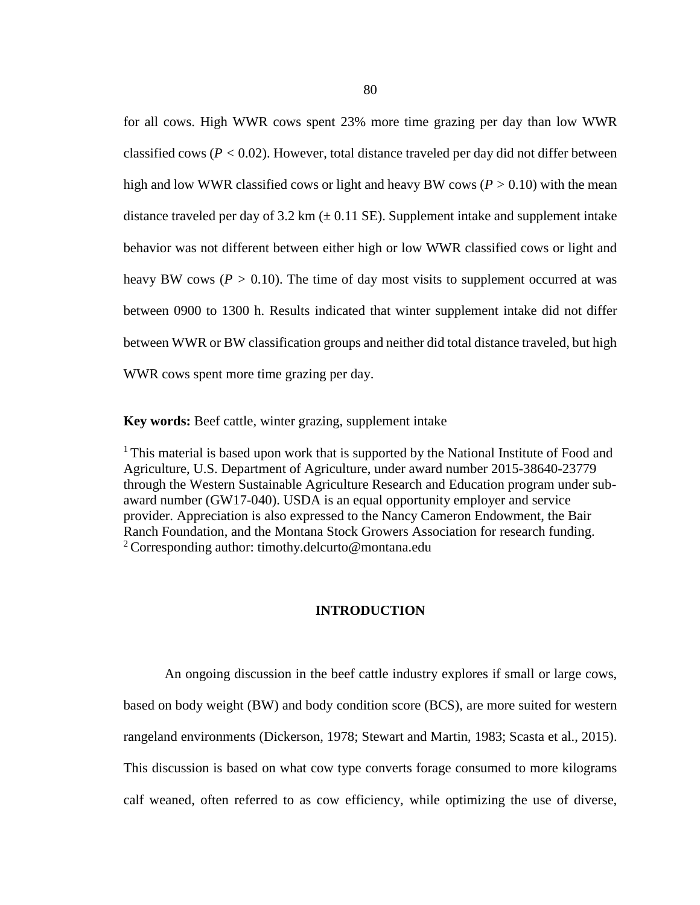for all cows. High WWR cows spent 23% more time grazing per day than low WWR classified cows ( $P < 0.02$ ). However, total distance traveled per day did not differ between high and low WWR classified cows or light and heavy BW cows ( $P > 0.10$ ) with the mean distance traveled per day of 3.2 km  $(\pm 0.11 \text{ SE})$ . Supplement intake and supplement intake behavior was not different between either high or low WWR classified cows or light and heavy BW cows ( $P > 0.10$ ). The time of day most visits to supplement occurred at was between 0900 to 1300 h. Results indicated that winter supplement intake did not differ between WWR or BW classification groups and neither did total distance traveled, but high WWR cows spent more time grazing per day.

**Key words:** Beef cattle, winter grazing, supplement intake

<sup>1</sup> This material is based upon work that is supported by the National Institute of Food and Agriculture, U.S. Department of Agriculture, under award number 2015-38640-23779 through the Western Sustainable Agriculture Research and Education program under subaward number (GW17-040). USDA is an equal opportunity employer and service provider. Appreciation is also expressed to the Nancy Cameron Endowment, the Bair Ranch Foundation, and the Montana Stock Growers Association for research funding. <sup>2</sup> Corresponding author: timothy.delcurto@montana.edu

# **INTRODUCTION**

An ongoing discussion in the beef cattle industry explores if small or large cows, based on body weight (BW) and body condition score (BCS), are more suited for western rangeland environments (Dickerson, 1978; Stewart and Martin, 1983; Scasta et al., 2015). This discussion is based on what cow type converts forage consumed to more kilograms calf weaned, often referred to as cow efficiency, while optimizing the use of diverse,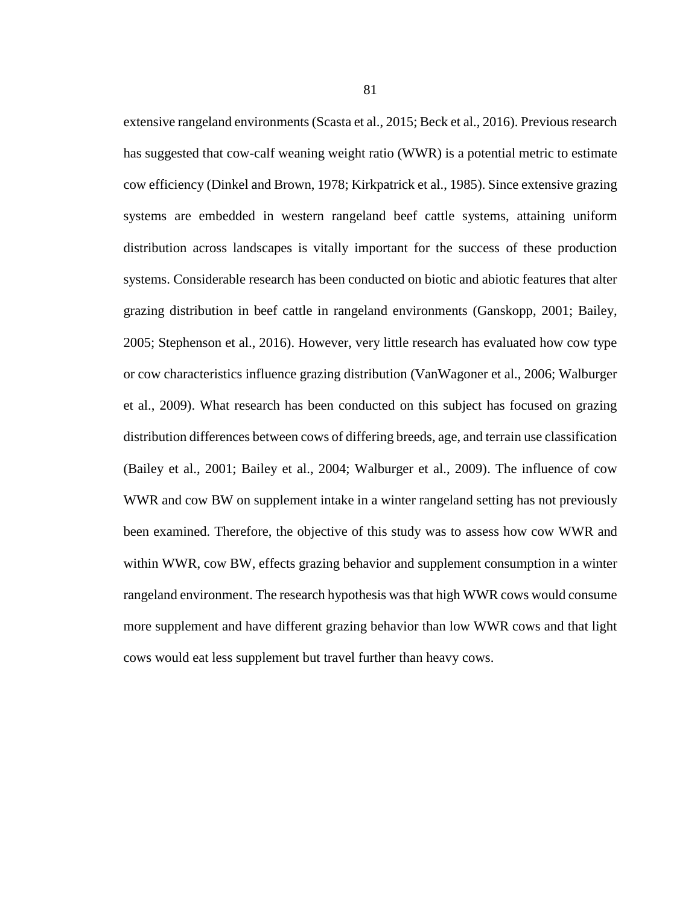extensive rangeland environments(Scasta et al., 2015; Beck et al., 2016). Previous research has suggested that cow-calf weaning weight ratio (WWR) is a potential metric to estimate cow efficiency (Dinkel and Brown, 1978; Kirkpatrick et al., 1985). Since extensive grazing systems are embedded in western rangeland beef cattle systems, attaining uniform distribution across landscapes is vitally important for the success of these production systems. Considerable research has been conducted on biotic and abiotic features that alter grazing distribution in beef cattle in rangeland environments (Ganskopp, 2001; Bailey, 2005; Stephenson et al., 2016). However, very little research has evaluated how cow type or cow characteristics influence grazing distribution (VanWagoner et al., 2006; Walburger et al., 2009). What research has been conducted on this subject has focused on grazing distribution differences between cows of differing breeds, age, and terrain use classification (Bailey et al., 2001; Bailey et al., 2004; Walburger et al., 2009). The influence of cow WWR and cow BW on supplement intake in a winter rangeland setting has not previously been examined. Therefore, the objective of this study was to assess how cow WWR and within WWR, cow BW, effects grazing behavior and supplement consumption in a winter rangeland environment. The research hypothesis was that high WWR cows would consume more supplement and have different grazing behavior than low WWR cows and that light cows would eat less supplement but travel further than heavy cows.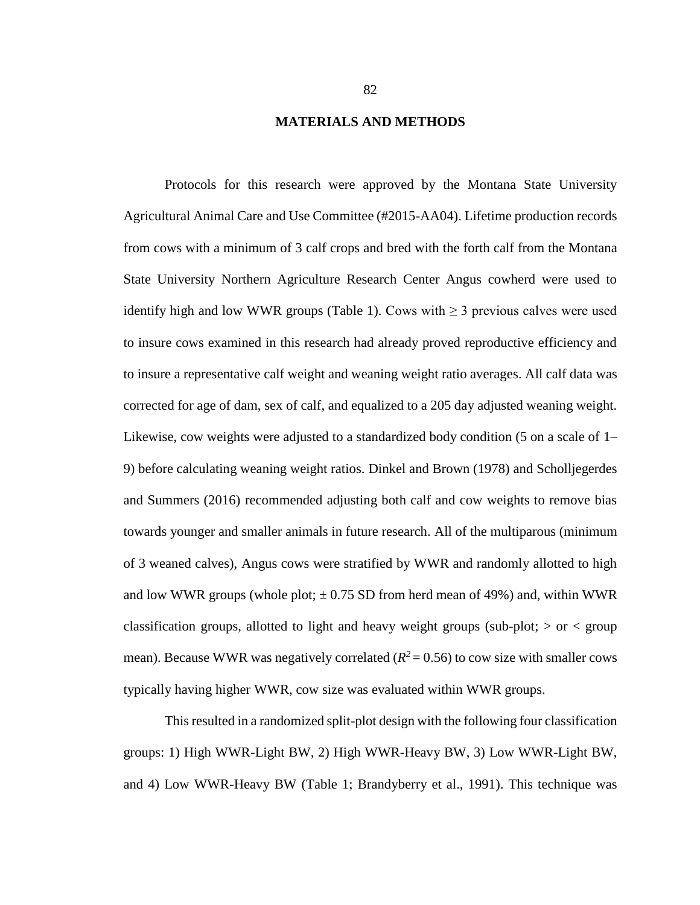#### **MATERIALS AND METHODS**

Protocols for this research were approved by the Montana State University Agricultural Animal Care and Use Committee (#2015-AA04). Lifetime production records from cows with a minimum of 3 calf crops and bred with the forth calf from the Montana State University Northern Agriculture Research Center Angus cowherd were used to identify high and low WWR groups (Table 1). Cows with  $\geq$  3 previous calves were used to insure cows examined in this research had already proved reproductive efficiency and to insure a representative calf weight and weaning weight ratio averages. All calf data was corrected for age of dam, sex of calf, and equalized to a 205 day adjusted weaning weight. Likewise, cow weights were adjusted to a standardized body condition (5 on a scale of 1– 9) before calculating weaning weight ratios. Dinkel and Brown (1978) and Scholljegerdes and Summers (2016) recommended adjusting both calf and cow weights to remove bias towards younger and smaller animals in future research. All of the multiparous (minimum of 3 weaned calves), Angus cows were stratified by WWR and randomly allotted to high and low WWR groups (whole plot;  $\pm$  0.75 SD from herd mean of 49%) and, within WWR classification groups, allotted to light and heavy weight groups (sub-plot;  $>$  or  $<$  group mean). Because WWR was negatively correlated  $(R^2 = 0.56)$  to cow size with smaller cows typically having higher WWR, cow size was evaluated within WWR groups.

This resulted in a randomized split-plot design with the following four classification groups: 1) High WWR-Light BW, 2) High WWR-Heavy BW, 3) Low WWR-Light BW, and 4) Low WWR-Heavy BW (Table 1; Brandyberry et al., 1991). This technique was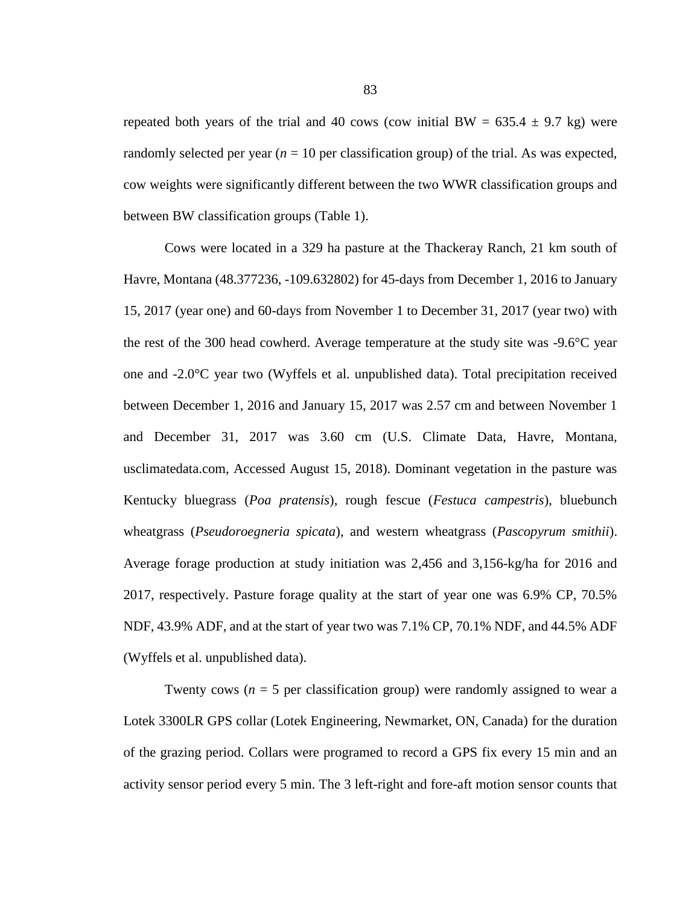repeated both years of the trial and 40 cows (cow initial BW =  $635.4 \pm 9.7$  kg) were randomly selected per year  $(n = 10$  per classification group) of the trial. As was expected, cow weights were significantly different between the two WWR classification groups and between BW classification groups (Table 1).

Cows were located in a 329 ha pasture at the Thackeray Ranch, 21 km south of Havre, Montana (48.377236, -109.632802) for 45-days from December 1, 2016 to January 15, 2017 (year one) and 60-days from November 1 to December 31, 2017 (year two) with the rest of the 300 head cowherd. Average temperature at the study site was -9.6°C year one and -2.0°C year two (Wyffels et al. unpublished data). Total precipitation received between December 1, 2016 and January 15, 2017 was 2.57 cm and between November 1 and December 31, 2017 was 3.60 cm (U.S. Climate Data, Havre, Montana, usclimatedata.com, Accessed August 15, 2018). Dominant vegetation in the pasture was Kentucky bluegrass (*Poa pratensis*), rough fescue (*Festuca campestris*), bluebunch wheatgrass (*Pseudoroegneria spicata*), and western wheatgrass (*Pascopyrum smithii*). Average forage production at study initiation was 2,456 and 3,156-kg/ha for 2016 and 2017, respectively. Pasture forage quality at the start of year one was 6.9% CP, 70.5% NDF, 43.9% ADF, and at the start of year two was 7.1% CP, 70.1% NDF, and 44.5% ADF (Wyffels et al. unpublished data).

Twenty cows ( $n = 5$  per classification group) were randomly assigned to wear a Lotek 3300LR GPS collar (Lotek Engineering, Newmarket, ON, Canada) for the duration of the grazing period. Collars were programed to record a GPS fix every 15 min and an activity sensor period every 5 min. The 3 left-right and fore-aft motion sensor counts that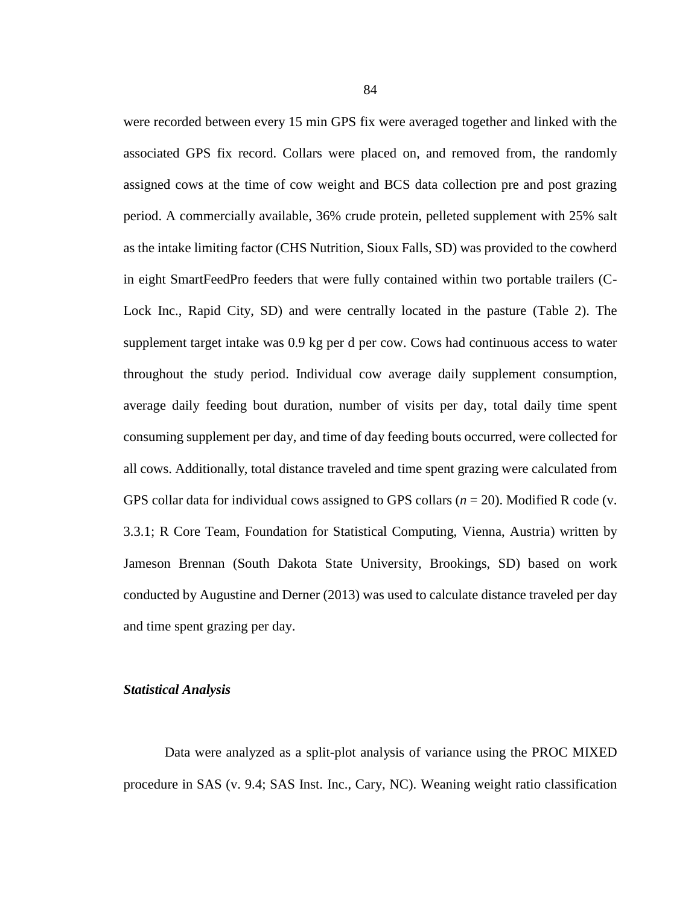were recorded between every 15 min GPS fix were averaged together and linked with the associated GPS fix record. Collars were placed on, and removed from, the randomly assigned cows at the time of cow weight and BCS data collection pre and post grazing period. A commercially available, 36% crude protein, pelleted supplement with 25% salt as the intake limiting factor (CHS Nutrition, Sioux Falls, SD) was provided to the cowherd in eight SmartFeedPro feeders that were fully contained within two portable trailers (C-Lock Inc., Rapid City, SD) and were centrally located in the pasture (Table 2). The supplement target intake was 0.9 kg per d per cow. Cows had continuous access to water throughout the study period. Individual cow average daily supplement consumption, average daily feeding bout duration, number of visits per day, total daily time spent consuming supplement per day, and time of day feeding bouts occurred, were collected for all cows. Additionally, total distance traveled and time spent grazing were calculated from GPS collar data for individual cows assigned to GPS collars (*n* = 20). Modified R code (v. 3.3.1; R Core Team, Foundation for Statistical Computing, Vienna, Austria) written by Jameson Brennan (South Dakota State University, Brookings, SD) based on work conducted by Augustine and Derner (2013) was used to calculate distance traveled per day and time spent grazing per day.

# *Statistical Analysis*

Data were analyzed as a split-plot analysis of variance using the PROC MIXED procedure in SAS (v. 9.4; SAS Inst. Inc., Cary, NC). Weaning weight ratio classification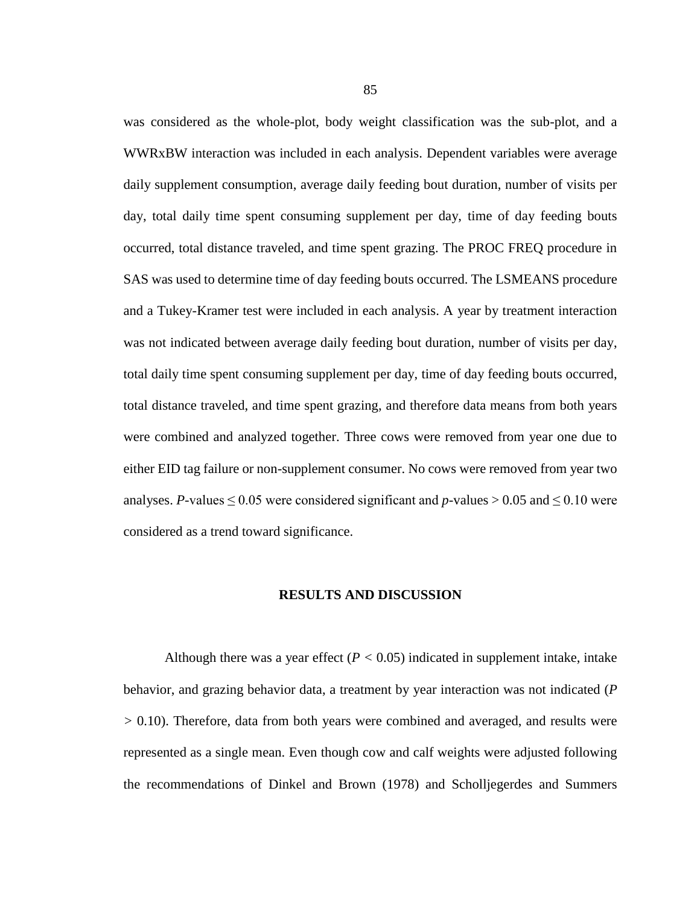was considered as the whole-plot, body weight classification was the sub-plot, and a WWRxBW interaction was included in each analysis. Dependent variables were average daily supplement consumption, average daily feeding bout duration, number of visits per day, total daily time spent consuming supplement per day, time of day feeding bouts occurred, total distance traveled, and time spent grazing. The PROC FREQ procedure in SAS was used to determine time of day feeding bouts occurred. The LSMEANS procedure and a Tukey-Kramer test were included in each analysis. A year by treatment interaction was not indicated between average daily feeding bout duration, number of visits per day, total daily time spent consuming supplement per day, time of day feeding bouts occurred, total distance traveled, and time spent grazing, and therefore data means from both years were combined and analyzed together. Three cows were removed from year one due to either EID tag failure or non-supplement consumer. No cows were removed from year two analyses. *P*-values  $\leq 0.05$  were considered significant and *p*-values  $> 0.05$  and  $\leq 0.10$  were considered as a trend toward significance.

#### **RESULTS AND DISCUSSION**

Although there was a year effect  $(P < 0.05)$  indicated in supplement intake, intake behavior, and grazing behavior data, a treatment by year interaction was not indicated (*P >* 0.10). Therefore, data from both years were combined and averaged, and results were represented as a single mean. Even though cow and calf weights were adjusted following the recommendations of Dinkel and Brown (1978) and Scholljegerdes and Summers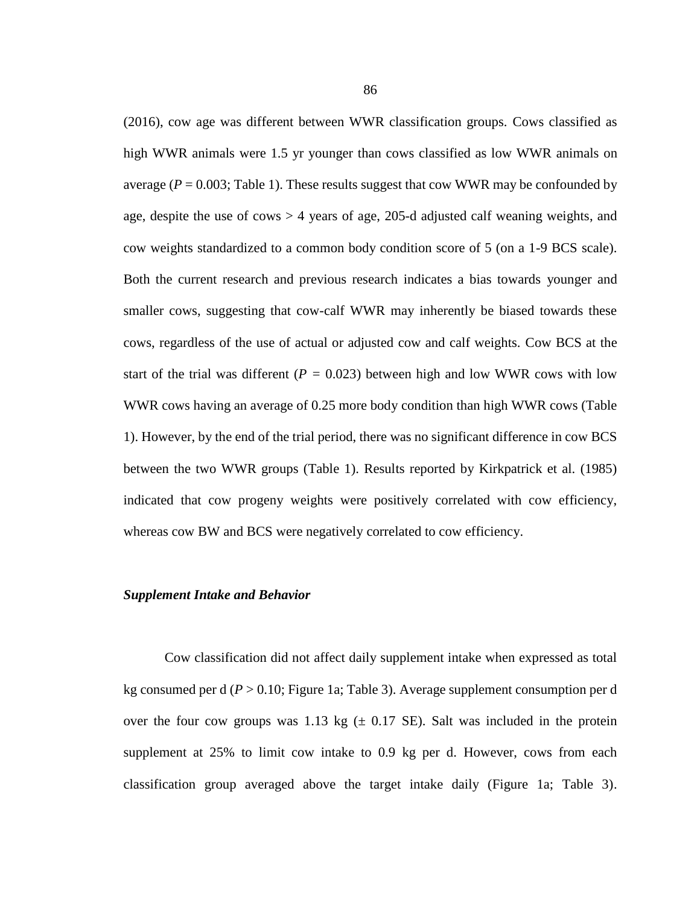(2016), cow age was different between WWR classification groups. Cows classified as high WWR animals were 1.5 yr younger than cows classified as low WWR animals on average  $(P = 0.003$ ; Table 1). These results suggest that cow WWR may be confounded by age, despite the use of cows > 4 years of age, 205-d adjusted calf weaning weights, and cow weights standardized to a common body condition score of 5 (on a 1-9 BCS scale). Both the current research and previous research indicates a bias towards younger and smaller cows, suggesting that cow-calf WWR may inherently be biased towards these cows, regardless of the use of actual or adjusted cow and calf weights. Cow BCS at the start of the trial was different ( $P = 0.023$ ) between high and low WWR cows with low WWR cows having an average of 0.25 more body condition than high WWR cows (Table 1). However, by the end of the trial period, there was no significant difference in cow BCS between the two WWR groups (Table 1). Results reported by Kirkpatrick et al. (1985) indicated that cow progeny weights were positively correlated with cow efficiency, whereas cow BW and BCS were negatively correlated to cow efficiency.

#### *Supplement Intake and Behavior*

Cow classification did not affect daily supplement intake when expressed as total kg consumed per d (*P* > 0.10; Figure 1a; Table 3). Average supplement consumption per d over the four cow groups was 1.13 kg  $(\pm 0.17 \text{ SE})$ . Salt was included in the protein supplement at 25% to limit cow intake to 0.9 kg per d. However, cows from each classification group averaged above the target intake daily (Figure 1a; Table 3).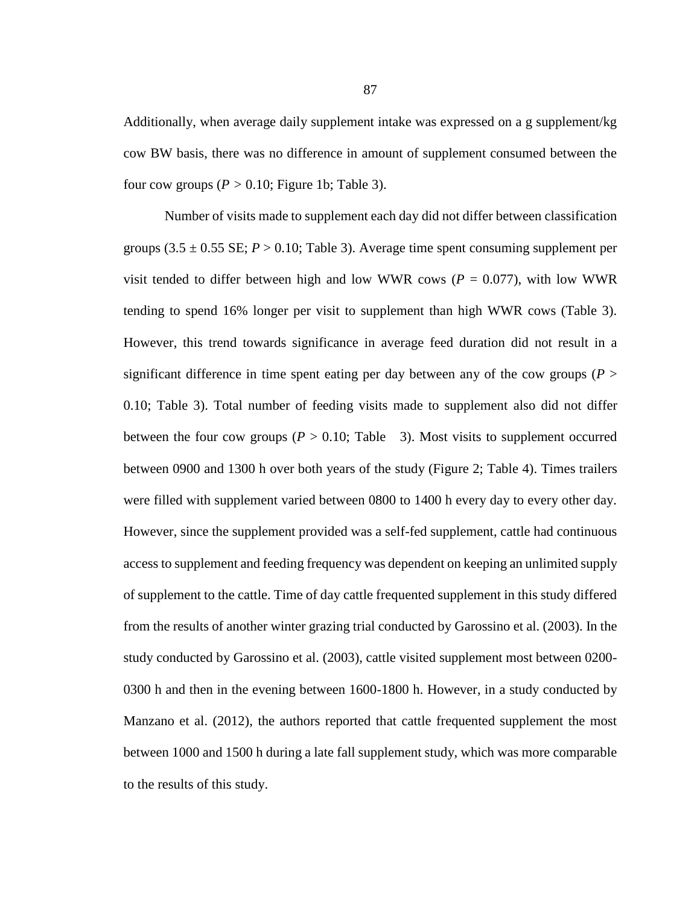Additionally, when average daily supplement intake was expressed on a g supplement/kg cow BW basis, there was no difference in amount of supplement consumed between the four cow groups  $(P > 0.10$ ; Figure 1b; Table 3).

Number of visits made to supplement each day did not differ between classification groups  $(3.5 \pm 0.55 \text{ SE}; P > 0.10; \text{Table 3})$ . Average time spent consuming supplement per visit tended to differ between high and low WWR cows ( $P = 0.077$ ), with low WWR tending to spend 16% longer per visit to supplement than high WWR cows (Table 3). However, this trend towards significance in average feed duration did not result in a significant difference in time spent eating per day between any of the cow groups ( $P >$ 0.10; Table 3). Total number of feeding visits made to supplement also did not differ between the four cow groups ( $P > 0.10$ ; Table 3). Most visits to supplement occurred between 0900 and 1300 h over both years of the study (Figure 2; Table 4). Times trailers were filled with supplement varied between 0800 to 1400 h every day to every other day. However, since the supplement provided was a self-fed supplement, cattle had continuous access to supplement and feeding frequency was dependent on keeping an unlimited supply of supplement to the cattle. Time of day cattle frequented supplement in this study differed from the results of another winter grazing trial conducted by Garossino et al. (2003). In the study conducted by Garossino et al. (2003), cattle visited supplement most between 0200- 0300 h and then in the evening between 1600-1800 h. However, in a study conducted by Manzano et al. (2012), the authors reported that cattle frequented supplement the most between 1000 and 1500 h during a late fall supplement study, which was more comparable to the results of this study.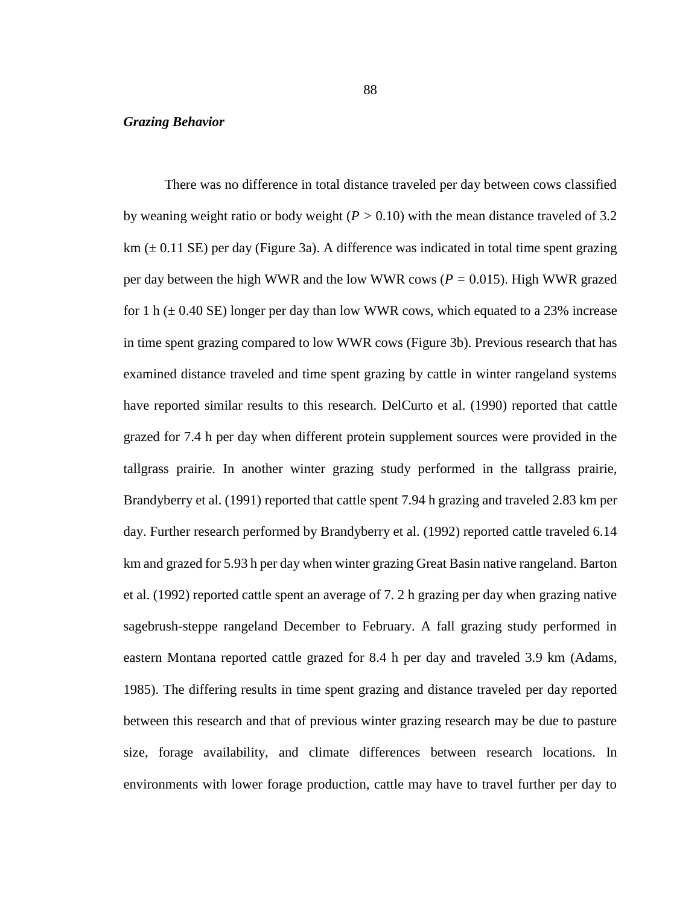### *Grazing Behavior*

There was no difference in total distance traveled per day between cows classified by weaning weight ratio or body weight  $(P > 0.10)$  with the mean distance traveled of 3.2  $km (\pm 0.11 \text{ SE})$  per day (Figure 3a). A difference was indicated in total time spent grazing per day between the high WWR and the low WWR cows (*P =* 0.015). High WWR grazed for 1 h  $(\pm 0.40 \text{ SE})$  longer per day than low WWR cows, which equated to a 23% increase in time spent grazing compared to low WWR cows (Figure 3b). Previous research that has examined distance traveled and time spent grazing by cattle in winter rangeland systems have reported similar results to this research. DelCurto et al. (1990) reported that cattle grazed for 7.4 h per day when different protein supplement sources were provided in the tallgrass prairie. In another winter grazing study performed in the tallgrass prairie, Brandyberry et al. (1991) reported that cattle spent 7.94 h grazing and traveled 2.83 km per day. Further research performed by Brandyberry et al. (1992) reported cattle traveled 6.14 km and grazed for 5.93 h per day when winter grazing Great Basin native rangeland. Barton et al. (1992) reported cattle spent an average of 7. 2 h grazing per day when grazing native sagebrush-steppe rangeland December to February. A fall grazing study performed in eastern Montana reported cattle grazed for 8.4 h per day and traveled 3.9 km (Adams, 1985). The differing results in time spent grazing and distance traveled per day reported between this research and that of previous winter grazing research may be due to pasture size, forage availability, and climate differences between research locations. In environments with lower forage production, cattle may have to travel further per day to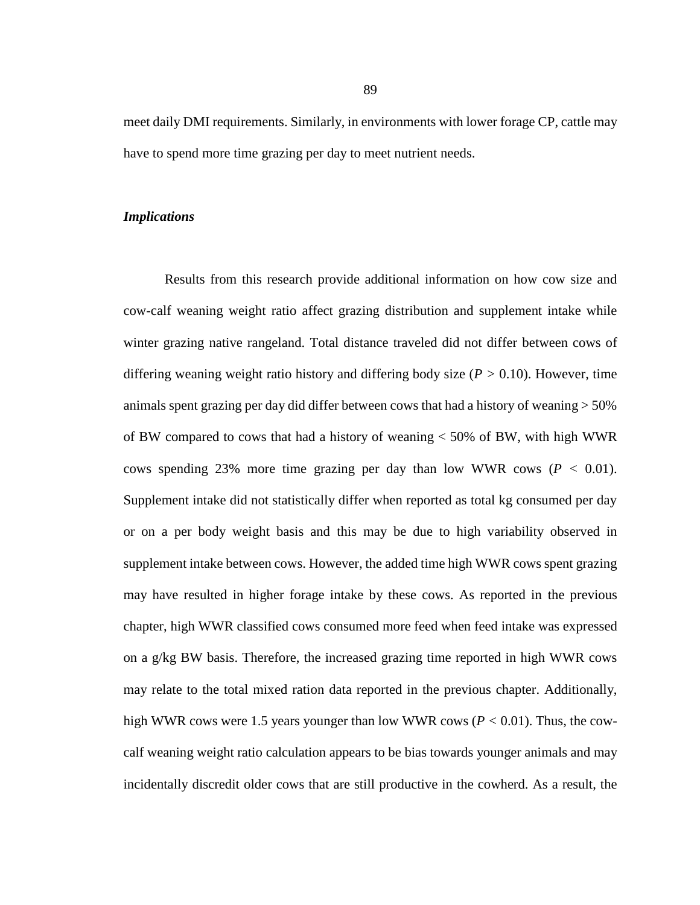meet daily DMI requirements. Similarly, in environments with lower forage CP, cattle may have to spend more time grazing per day to meet nutrient needs.

# *Implications*

Results from this research provide additional information on how cow size and cow-calf weaning weight ratio affect grazing distribution and supplement intake while winter grazing native rangeland. Total distance traveled did not differ between cows of differing weaning weight ratio history and differing body size (*P >* 0.10). However, time animals spent grazing per day did differ between cows that had a history of weaning > 50% of BW compared to cows that had a history of weaning < 50% of BW, with high WWR cows spending 23% more time grazing per day than low WWR cows  $(P < 0.01)$ . Supplement intake did not statistically differ when reported as total kg consumed per day or on a per body weight basis and this may be due to high variability observed in supplement intake between cows. However, the added time high WWR cows spent grazing may have resulted in higher forage intake by these cows. As reported in the previous chapter, high WWR classified cows consumed more feed when feed intake was expressed on a g/kg BW basis. Therefore, the increased grazing time reported in high WWR cows may relate to the total mixed ration data reported in the previous chapter. Additionally, high WWR cows were 1.5 years younger than low WWR cows  $(P < 0.01)$ . Thus, the cowcalf weaning weight ratio calculation appears to be bias towards younger animals and may incidentally discredit older cows that are still productive in the cowherd. As a result, the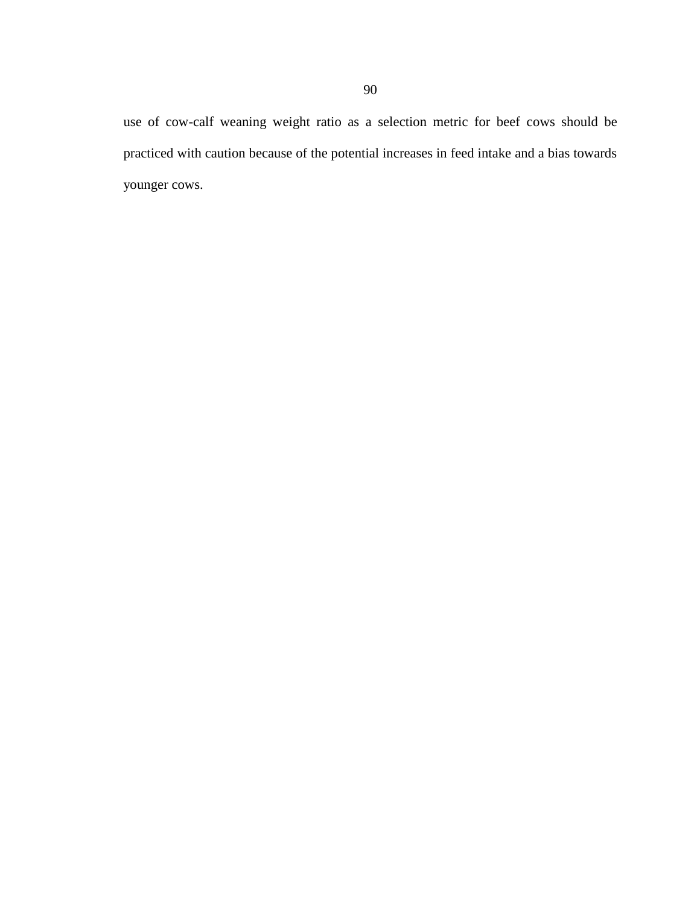use of cow-calf weaning weight ratio as a selection metric for beef cows should be practiced with caution because of the potential increases in feed intake and a bias towards younger cows.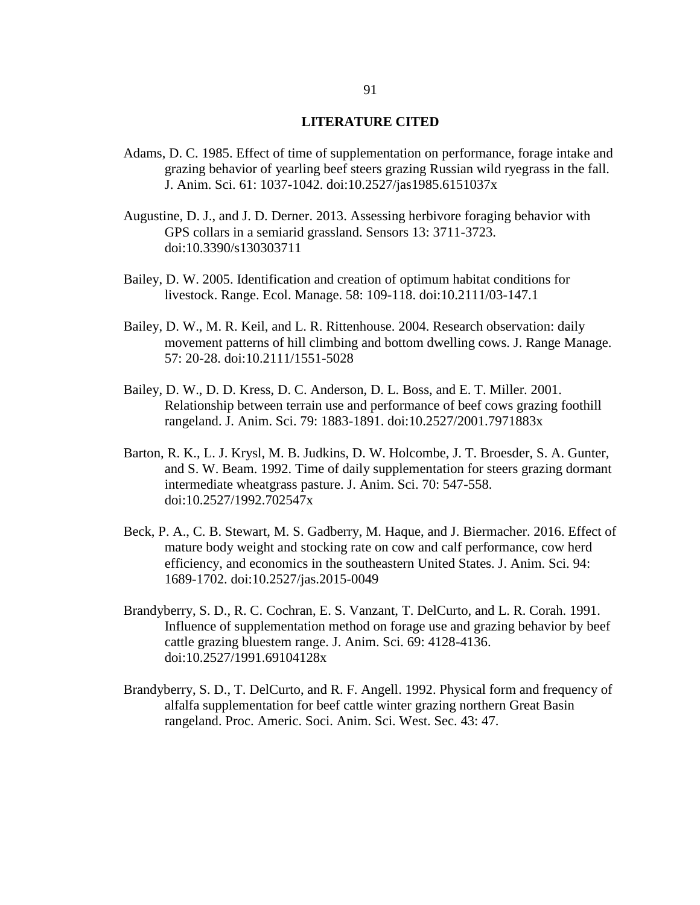#### **LITERATURE CITED**

- Adams, D. C. 1985. Effect of time of supplementation on performance, forage intake and grazing behavior of yearling beef steers grazing Russian wild ryegrass in the fall. J. Anim. Sci. 61: 1037-1042. doi:10.2527/jas1985.6151037x
- Augustine, D. J., and J. D. Derner. 2013. Assessing herbivore foraging behavior with GPS collars in a semiarid grassland. Sensors 13: 3711-3723. doi:10.3390/s130303711
- Bailey, D. W. 2005. Identification and creation of optimum habitat conditions for livestock. Range. Ecol. Manage. 58: 109-118. doi:10.2111/03-147.1
- Bailey, D. W., M. R. Keil, and L. R. Rittenhouse. 2004. Research observation: daily movement patterns of hill climbing and bottom dwelling cows. J. Range Manage. 57: 20-28. doi:10.2111/1551-5028
- Bailey, D. W., D. D. Kress, D. C. Anderson, D. L. Boss, and E. T. Miller. 2001. Relationship between terrain use and performance of beef cows grazing foothill rangeland. J. Anim. Sci. 79: 1883-1891. doi:10.2527/2001.7971883x
- Barton, R. K., L. J. Krysl, M. B. Judkins, D. W. Holcombe, J. T. Broesder, S. A. Gunter, and S. W. Beam. 1992. Time of daily supplementation for steers grazing dormant intermediate wheatgrass pasture. J. Anim. Sci. 70: 547-558. doi:10.2527/1992.702547x
- Beck, P. A., C. B. Stewart, M. S. Gadberry, M. Haque, and J. Biermacher. 2016. Effect of mature body weight and stocking rate on cow and calf performance, cow herd efficiency, and economics in the southeastern United States. J. Anim. Sci. 94: 1689-1702. doi:10.2527/jas.2015-0049
- Brandyberry, S. D., R. C. Cochran, E. S. Vanzant, T. DelCurto, and L. R. Corah. 1991. Influence of supplementation method on forage use and grazing behavior by beef cattle grazing bluestem range. J. Anim. Sci. 69: 4128-4136. doi:10.2527/1991.69104128x
- Brandyberry, S. D., T. DelCurto, and R. F. Angell. 1992. Physical form and frequency of alfalfa supplementation for beef cattle winter grazing northern Great Basin rangeland. Proc. Americ. Soci. Anim. Sci. West. Sec. 43: 47.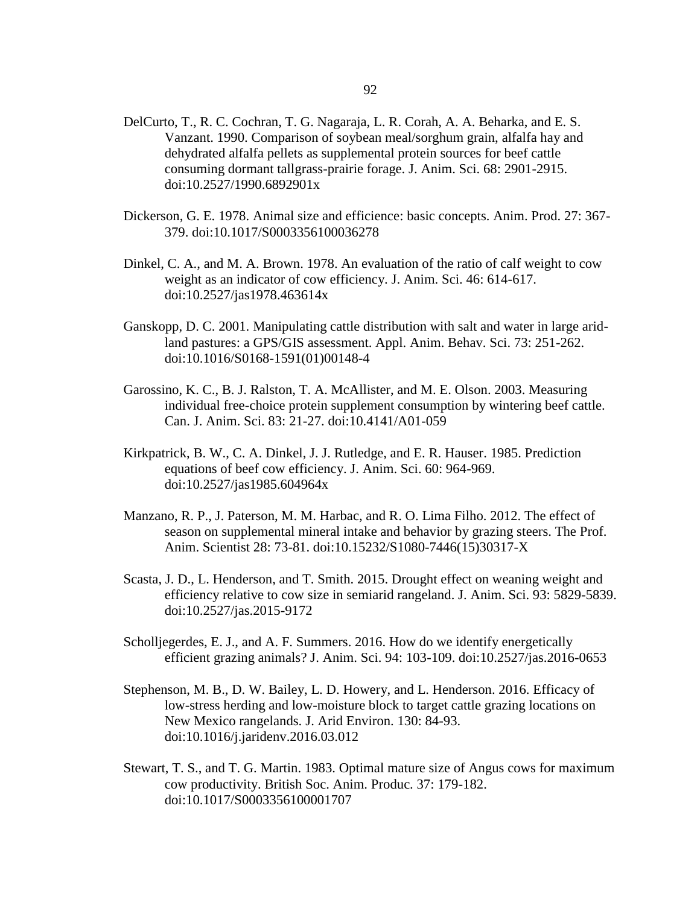- DelCurto, T., R. C. Cochran, T. G. Nagaraja, L. R. Corah, A. A. Beharka, and E. S. Vanzant. 1990. Comparison of soybean meal/sorghum grain, alfalfa hay and dehydrated alfalfa pellets as supplemental protein sources for beef cattle consuming dormant tallgrass-prairie forage. J. Anim. Sci. 68: 2901-2915. doi:10.2527/1990.6892901x
- Dickerson, G. E. 1978. Animal size and efficience: basic concepts. Anim. Prod. 27: 367- 379. doi:10.1017/S0003356100036278
- Dinkel, C. A., and M. A. Brown. 1978. An evaluation of the ratio of calf weight to cow weight as an indicator of cow efficiency. J. Anim. Sci. 46: 614-617. doi:10.2527/jas1978.463614x
- Ganskopp, D. C. 2001. Manipulating cattle distribution with salt and water in large aridland pastures: a GPS/GIS assessment. Appl. Anim. Behav. Sci. 73: 251-262. doi:10.1016/S0168-1591(01)00148-4
- Garossino, K. C., B. J. Ralston, T. A. McAllister, and M. E. Olson. 2003. Measuring individual free-choice protein supplement consumption by wintering beef cattle. Can. J. Anim. Sci. 83: 21-27. doi:10.4141/A01-059
- Kirkpatrick, B. W., C. A. Dinkel, J. J. Rutledge, and E. R. Hauser. 1985. Prediction equations of beef cow efficiency. J. Anim. Sci. 60: 964-969. doi:10.2527/jas1985.604964x
- Manzano, R. P., J. Paterson, M. M. Harbac, and R. O. Lima Filho. 2012. The effect of season on supplemental mineral intake and behavior by grazing steers. The Prof. Anim. Scientist 28: 73-81. doi:10.15232/S1080-7446(15)30317-X
- Scasta, J. D., L. Henderson, and T. Smith. 2015. Drought effect on weaning weight and efficiency relative to cow size in semiarid rangeland. J. Anim. Sci. 93: 5829-5839. doi:10.2527/jas.2015-9172
- Scholljegerdes, E. J., and A. F. Summers. 2016. How do we identify energetically efficient grazing animals? J. Anim. Sci. 94: 103-109. doi:10.2527/jas.2016-0653
- Stephenson, M. B., D. W. Bailey, L. D. Howery, and L. Henderson. 2016. Efficacy of low-stress herding and low-moisture block to target cattle grazing locations on New Mexico rangelands. J. Arid Environ. 130: 84-93. doi:10.1016/j.jaridenv.2016.03.012
- Stewart, T. S., and T. G. Martin. 1983. Optimal mature size of Angus cows for maximum cow productivity. British Soc. Anim. Produc. 37: 179-182. doi:10.1017/S0003356100001707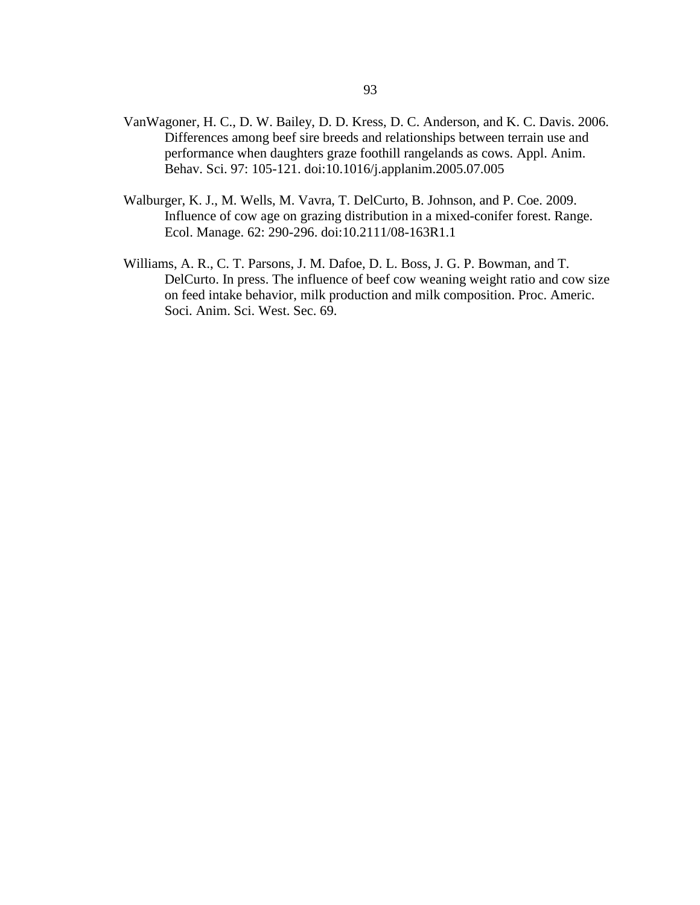- VanWagoner, H. C., D. W. Bailey, D. D. Kress, D. C. Anderson, and K. C. Davis. 2006. Differences among beef sire breeds and relationships between terrain use and performance when daughters graze foothill rangelands as cows. Appl. Anim. Behav. Sci. 97: 105-121. doi:10.1016/j.applanim.2005.07.005
- Walburger, K. J., M. Wells, M. Vavra, T. DelCurto, B. Johnson, and P. Coe. 2009. Influence of cow age on grazing distribution in a mixed-conifer forest. Range. Ecol. Manage. 62: 290-296. doi:10.2111/08-163R1.1
- Williams, A. R., C. T. Parsons, J. M. Dafoe, D. L. Boss, J. G. P. Bowman, and T. DelCurto. In press. The influence of beef cow weaning weight ratio and cow size on feed intake behavior, milk production and milk composition. Proc. Americ. Soci. Anim. Sci. West. Sec. 69.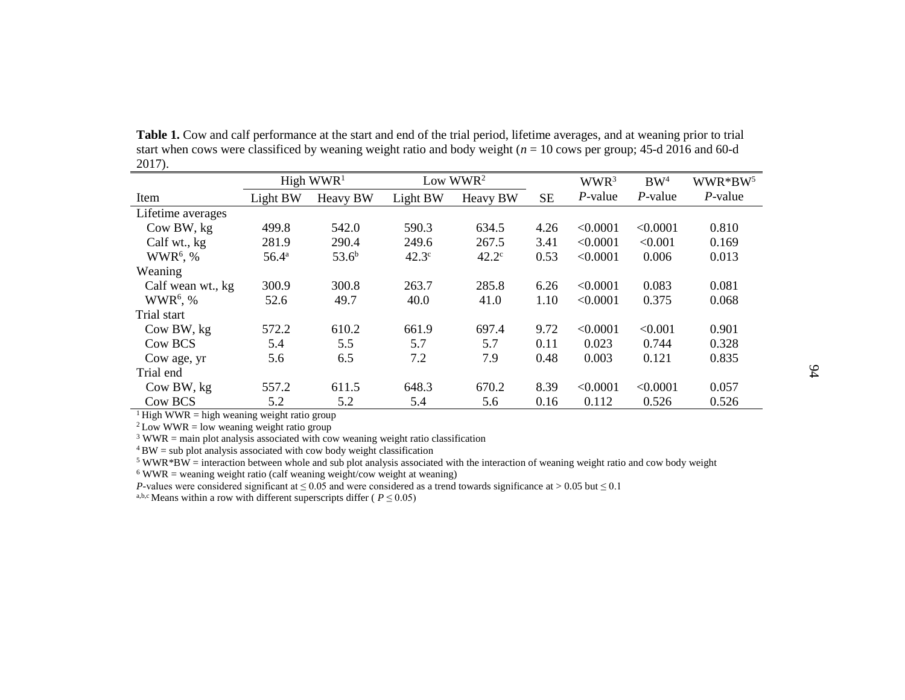|                   |                | High $WWR1$ |              | Low WWR <sup>2</sup> |           | WWR <sup>3</sup> | BW <sup>4</sup> | WWR*BW <sup>5</sup> |
|-------------------|----------------|-------------|--------------|----------------------|-----------|------------------|-----------------|---------------------|
| Item              | Light BW       | Heavy BW    | Light BW     | Heavy BW             | <b>SE</b> | $P$ -value       | $P$ -value      | $P$ -value          |
| Lifetime averages |                |             |              |                      |           |                  |                 |                     |
| Cow BW, kg        | 499.8          | 542.0       | 590.3        | 634.5                | 4.26      | < 0.0001         | < 0.0001        | 0.810               |
| Calf wt., kg      | 281.9          | 290.4       | 249.6        | 267.5                | 3.41      | < 0.0001         | < 0.001         | 0.169               |
| $WWR6$ , %        | $56.4^{\rm a}$ | $53.6^{b}$  | $42.3^\circ$ | $42.2^{\circ}$       | 0.53      | < 0.0001         | 0.006           | 0.013               |
| Weaning           |                |             |              |                      |           |                  |                 |                     |
| Calf wean wt., kg | 300.9          | 300.8       | 263.7        | 285.8                | 6.26      | < 0.0001         | 0.083           | 0.081               |
| $WWR6$ , %        | 52.6           | 49.7        | 40.0         | 41.0                 | 1.10      | < 0.0001         | 0.375           | 0.068               |
| Trial start       |                |             |              |                      |           |                  |                 |                     |
| Cow BW, kg        | 572.2          | 610.2       | 661.9        | 697.4                | 9.72      | < 0.0001         | < 0.001         | 0.901               |
| Cow BCS           | 5.4            | 5.5         | 5.7          | 5.7                  | 0.11      | 0.023            | 0.744           | 0.328               |
| Cow age, yr       | 5.6            | 6.5         | 7.2          | 7.9                  | 0.48      | 0.003            | 0.121           | 0.835               |
| Trial end         |                |             |              |                      |           |                  |                 |                     |
| Cow BW, kg        | 557.2          | 611.5       | 648.3        | 670.2                | 8.39      | < 0.0001         | < 0.0001        | 0.057               |
| Cow BCS           | 5.2            | 5.2         | 5.4          | 5.6                  | 0.16      | 0.112            | 0.526           | 0.526               |

**Table 1.** Cow and calf performance at the start and end of the trial period, lifetime averages, and at weaning prior to trial start when cows were classificed by weaning weight ratio and body weight (*n* = 10 cows per group; 45-d 2016 and 60-d 2017).

<sup>1</sup> High WWR = high weaning weight ratio group

 $2$  Low WWR = low weaning weight ratio group

 $3$  WWR = main plot analysis associated with cow weaning weight ratio classification

 $4$  BW = sub plot analysis associated with cow body weight classification

 $5$  WWR\*BW = interaction between whole and sub plot analysis associated with the interaction of weaning weight ratio and cow body weight

 $6$  WWR = weaning weight ratio (calf weaning weight/cow weight at weaning)

*P*-values were considered significant at  $\leq 0.05$  and were considered as a trend towards significance at > 0.05 but  $\leq 0.1$ 

<sup>a,b,c</sup> Means within a row with different superscripts differ ( $P \le 0.05$ )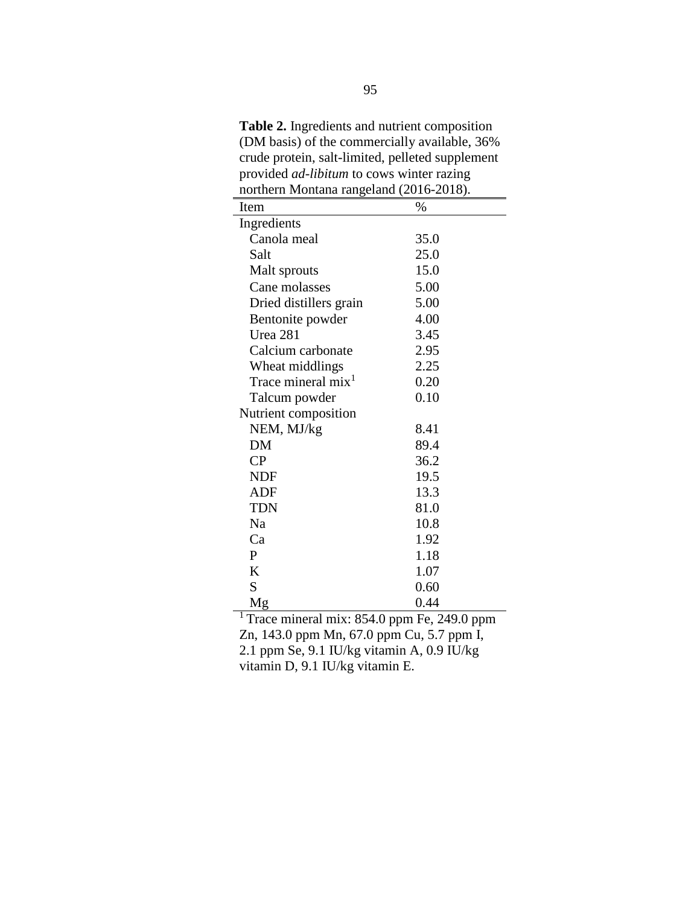**Table 2.** Ingredients and nutrient composition (DM basis) of the commercially available, 36% crude protein, salt-limited, pelleted supplement provided *ad-libitum* to cows winter razing northern Montana rangeland (2016-2018).

| Item                   | $\%$ |
|------------------------|------|
| Ingredients            |      |
| Canola meal            | 35.0 |
| Salt                   | 25.0 |
| Malt sprouts           | 15.0 |
| Cane molasses          | 5.00 |
| Dried distillers grain | 5.00 |
| Bentonite powder       | 4.00 |
| Urea 281               | 3.45 |
| Calcium carbonate      | 2.95 |
| Wheat middlings        | 2.25 |
| Trace mineral $mix1$   | 0.20 |
| Talcum powder          | 0.10 |
| Nutrient composition   |      |
| NEM, MJ/kg             | 8.41 |
| DM                     | 89.4 |
| CP                     | 36.2 |
| <b>NDF</b>             | 19.5 |
| <b>ADF</b>             | 13.3 |
| TDN                    | 81.0 |
| Nа                     | 10.8 |
| Ca                     | 1.92 |
| P                      | 1.18 |
| K                      | 1.07 |
| S                      | 0.60 |
| Mg                     | 0.44 |

<sup>1</sup> Trace mineral mix: 854.0 ppm Fe, 249.0 ppm Zn, 143.0 ppm Mn, 67.0 ppm Cu, 5.7 ppm I, 2.1 ppm Se, 9.1 IU/kg vitamin A, 0.9 IU/kg vitamin D, 9.1 IU/kg vitamin E.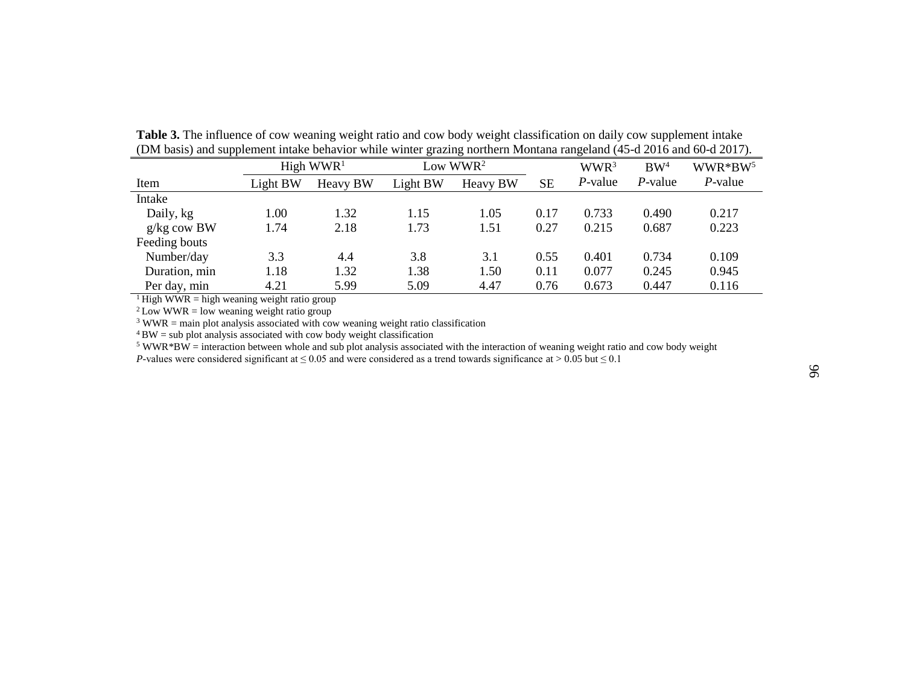|               |          | High $WWR1$ | Low $WWR2$ |          |      | WWR <sup>3</sup> | BW <sup>4</sup> | $WWR*BW5$  |
|---------------|----------|-------------|------------|----------|------|------------------|-----------------|------------|
| Item          | Light BW | Heavy BW    | Light BW   | Heavy BW | SE   | $P$ -value       | $P$ -value      | $P$ -value |
| Intake        |          |             |            |          |      |                  |                 |            |
| Daily, kg     | 1.00     | 1.32        | 1.15       | 1.05     | 0.17 | 0.733            | 0.490           | 0.217      |
| $g/kg$ cow BW | 1.74     | 2.18        | 1.73       | 1.51     | 0.27 | 0.215            | 0.687           | 0.223      |
| Feeding bouts |          |             |            |          |      |                  |                 |            |
| Number/day    | 3.3      | 4.4         | 3.8        | 3.1      | 0.55 | 0.401            | 0.734           | 0.109      |
| Duration, min | 1.18     | 1.32        | 1.38       | 1.50     | 0.11 | 0.077            | 0.245           | 0.945      |
| Per day, min  | 4.21     | 5.99        | 5.09       | 4.47     | 0.76 | 0.673            | 0.447           | 0.116      |

**Table 3.** The influence of cow weaning weight ratio and cow body weight classification on daily cow supplement intake (DM basis) and supplement intake behavior while winter grazing northern Montana rangeland (45-d 2016 and 60-d 2017).

<sup>1</sup> High WWR = high weaning weight ratio group

 $2$  Low WWR = low weaning weight ratio group

 $3$  WWR = main plot analysis associated with cow weaning weight ratio classification

 $4$  BW = sub plot analysis associated with cow body weight classification

 $5$  WWR\*BW = interaction between whole and sub plot analysis associated with the interaction of weaning weight ratio and cow body weight *P*-values were considered significant at  $\leq 0.05$  and were considered as a trend towards significance at > 0.05 but  $\leq 0.1$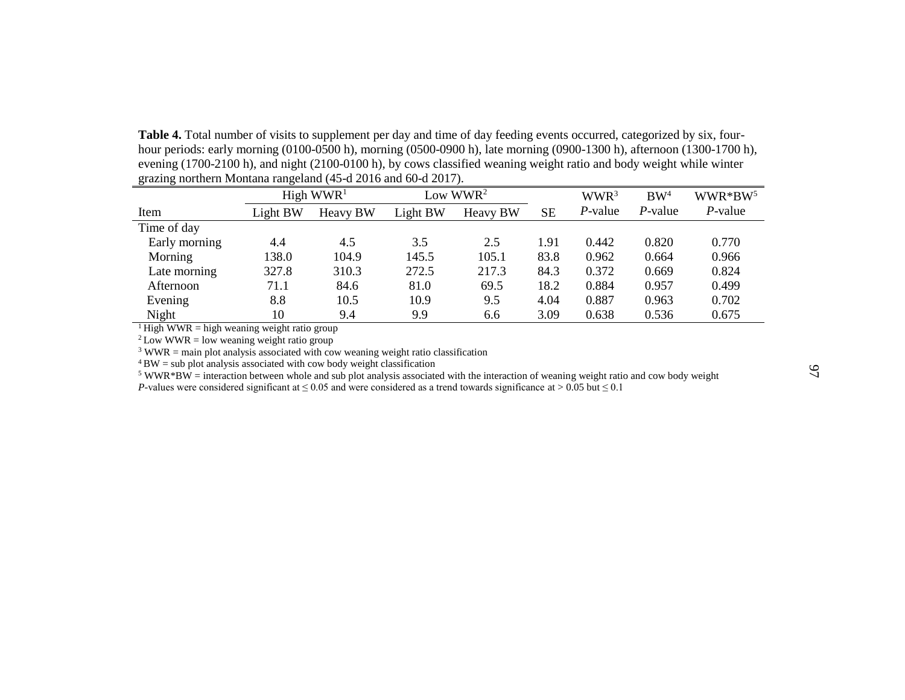Table 4. Total number of visits to supplement per day and time of day feeding events occurred, categorized by six, fourhour periods: early morning (0100-0500 h), morning (0500-0900 h), late morning (0900-1300 h), afternoon (1300-1700 h), evening (1700-2100 h), and night (2100-0100 h), by cows classified weaning weight ratio and body weight while winter grazing northern Montana rangeland (45-d 2016 and 60-d 2017).

|               |          | High $WWR1$ | Low WWR <sup>2</sup> |          |      |            |            | WWR <sup>3</sup> | BW <sup>4</sup> | $WWR*BW5$ |
|---------------|----------|-------------|----------------------|----------|------|------------|------------|------------------|-----------------|-----------|
| Item          | Light BW | Heavy BW    | Light BW             | Heavy BW | SЕ   | $P$ -value | $P$ -value | $P$ -value       |                 |           |
| Time of day   |          |             |                      |          |      |            |            |                  |                 |           |
| Early morning | 4.4      | 4.5         | 3.5                  | 2.5      | 1.91 | 0.442      | 0.820      | 0.770            |                 |           |
| Morning       | 138.0    | 104.9       | 145.5                | 105.1    | 83.8 | 0.962      | 0.664      | 0.966            |                 |           |
| Late morning  | 327.8    | 310.3       | 272.5                | 217.3    | 84.3 | 0.372      | 0.669      | 0.824            |                 |           |
| Afternoon     | 71.1     | 84.6        | 81.0                 | 69.5     | 18.2 | 0.884      | 0.957      | 0.499            |                 |           |
| Evening       | 8.8      | 10.5        | 10.9                 | 9.5      | 4.04 | 0.887      | 0.963      | 0.702            |                 |           |
| Night         | 10       | 9.4         | 9.9                  | 6.6      | 3.09 | 0.638      | 0.536      | 0.675            |                 |           |

<sup>1</sup>High WWR = high weaning weight ratio group

 $2$  Low WWR = low weaning weight ratio group

 $3$  WWR = main plot analysis associated with cow weaning weight ratio classification

 $4$  BW = sub plot analysis associated with cow body weight classification

<sup>5</sup> WWR\*BW = interaction between whole and sub plot analysis associated with the interaction of weaning weight ratio and cow body weight *P*-values were considered significant at ≤ 0.05 and were considered as a trend towards significance at > 0.05 but ≤ 0.1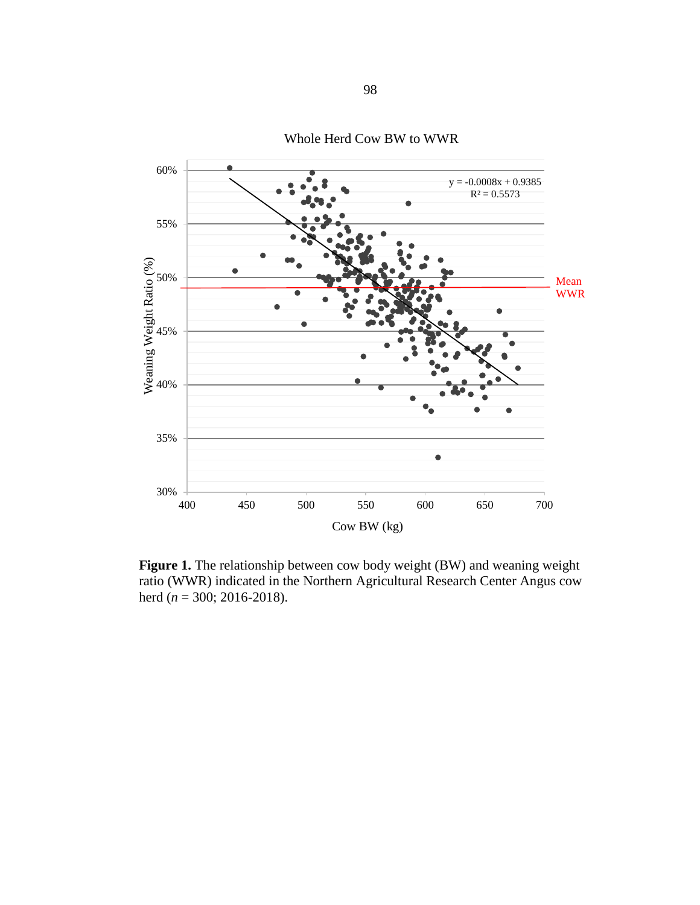

Whole Herd Cow BW to WWR

**Figure 1.** The relationship between cow body weight (BW) and weaning weight ratio (WWR) indicated in the Northern Agricultural Research Center Angus cow herd (*n* = 300; 2016-2018).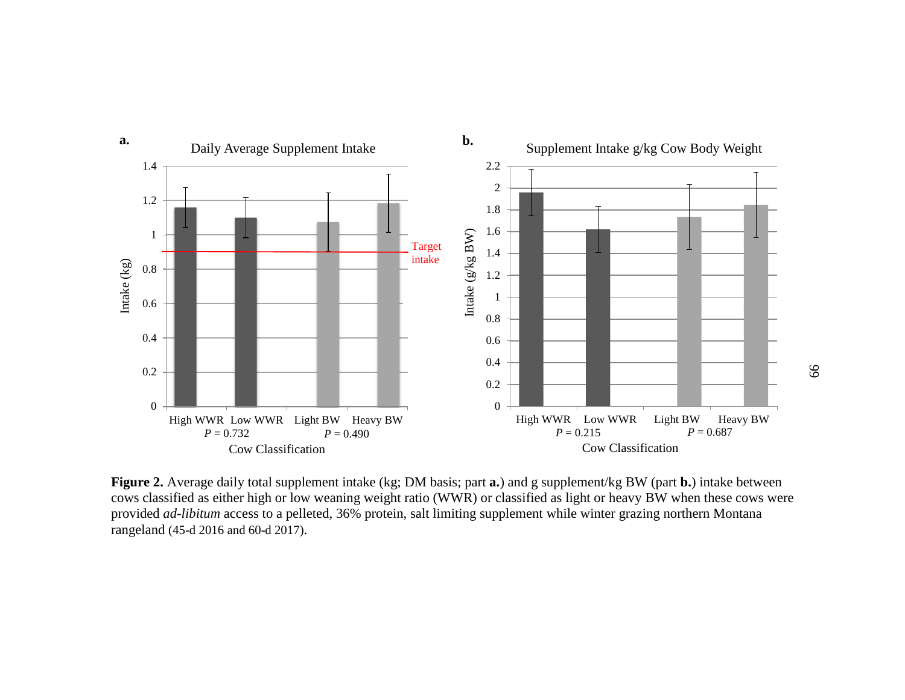

**Figure 2.** Average daily total supplement intake (kg; DM basis; part **a.**) and g supplement/kg BW (part **b.**) intake between cows classified as either high or low weaning weight ratio (WWR) or classified as light or heavy BW when these cows were provided *ad-libitum* access to a pelleted, 36% protein, salt limiting supplement while winter grazing northern Montana rangeland (45-d 2016 and 60-d 2017).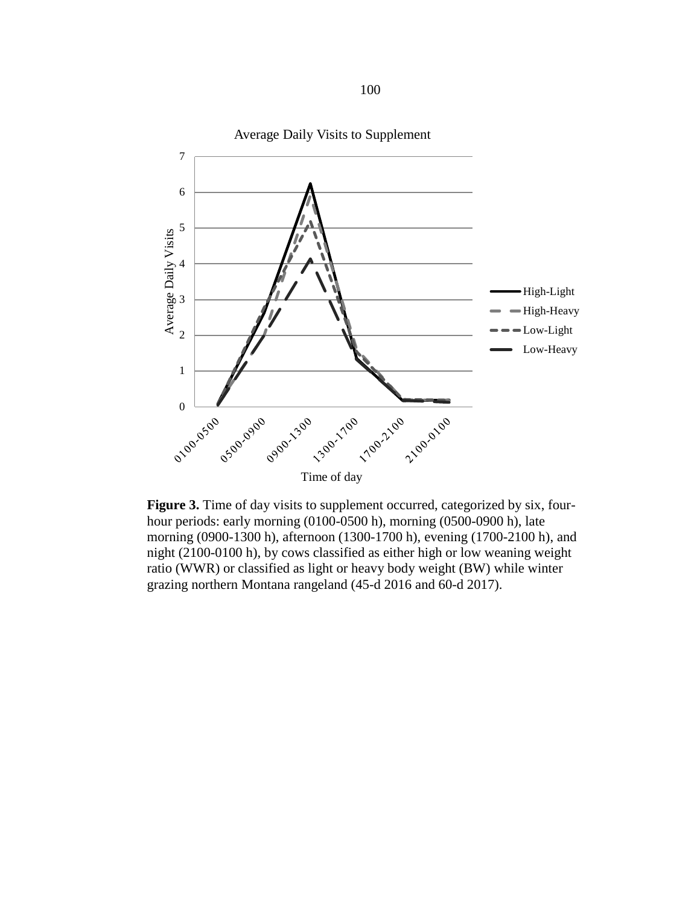

**Figure 3.** Time of day visits to supplement occurred, categorized by six, fourhour periods: early morning (0100-0500 h), morning (0500-0900 h), late morning (0900-1300 h), afternoon (1300-1700 h), evening (1700-2100 h), and night (2100-0100 h), by cows classified as either high or low weaning weight ratio (WWR) or classified as light or heavy body weight (BW) while winter grazing northern Montana rangeland (45-d 2016 and 60-d 2017).

100

Average Daily Visits to Supplement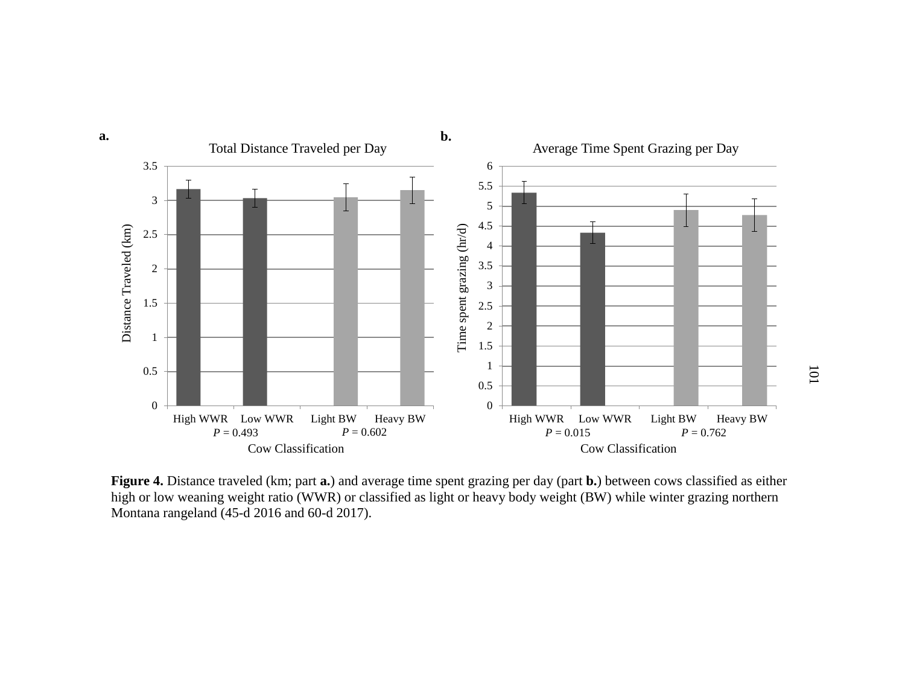

**Figure 4.** Distance traveled (km; part **a.**) and average time spent grazing per day (part **b.**) between cows classified as either high or low weaning weight ratio (WWR) or classified as light or heavy body weight (BW) while winter grazing northern Montana rangeland (45-d 2016 and 60-d 2017).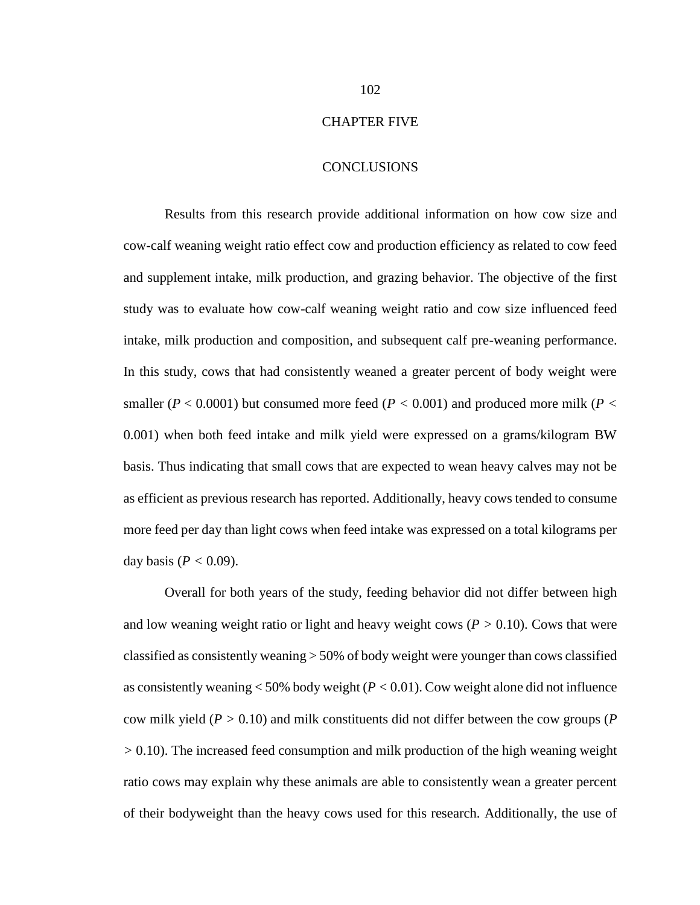## CHAPTER FIVE

## **CONCLUSIONS**

Results from this research provide additional information on how cow size and cow-calf weaning weight ratio effect cow and production efficiency as related to cow feed and supplement intake, milk production, and grazing behavior. The objective of the first study was to evaluate how cow-calf weaning weight ratio and cow size influenced feed intake, milk production and composition, and subsequent calf pre-weaning performance. In this study, cows that had consistently weaned a greater percent of body weight were smaller ( $P < 0.0001$ ) but consumed more feed ( $P < 0.001$ ) and produced more milk ( $P <$ 0.001) when both feed intake and milk yield were expressed on a grams/kilogram BW basis. Thus indicating that small cows that are expected to wean heavy calves may not be as efficient as previous research has reported. Additionally, heavy cows tended to consume more feed per day than light cows when feed intake was expressed on a total kilograms per day basis ( $P < 0.09$ ).

Overall for both years of the study, feeding behavior did not differ between high and low weaning weight ratio or light and heavy weight cows  $(P > 0.10)$ . Cows that were classified as consistently weaning > 50% of body weight were younger than cows classified as consistently weaning  $<$  50% body weight ( $P$   $<$  0.01). Cow weight alone did not influence cow milk yield (*P >* 0.10) and milk constituents did not differ between the cow groups (*P >* 0.10). The increased feed consumption and milk production of the high weaning weight ratio cows may explain why these animals are able to consistently wean a greater percent of their bodyweight than the heavy cows used for this research. Additionally, the use of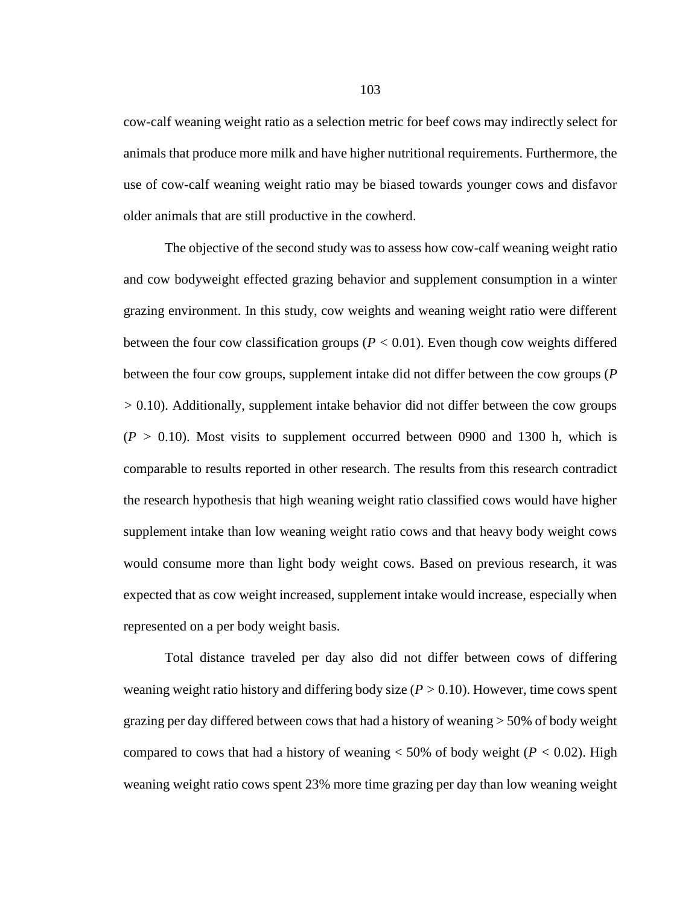cow-calf weaning weight ratio as a selection metric for beef cows may indirectly select for animals that produce more milk and have higher nutritional requirements. Furthermore, the use of cow-calf weaning weight ratio may be biased towards younger cows and disfavor older animals that are still productive in the cowherd.

The objective of the second study was to assess how cow-calf weaning weight ratio and cow bodyweight effected grazing behavior and supplement consumption in a winter grazing environment. In this study, cow weights and weaning weight ratio were different between the four cow classification groups ( $P < 0.01$ ). Even though cow weights differed between the four cow groups, supplement intake did not differ between the cow groups (*P >* 0.10). Additionally, supplement intake behavior did not differ between the cow groups  $(P > 0.10)$ . Most visits to supplement occurred between 0900 and 1300 h, which is comparable to results reported in other research. The results from this research contradict the research hypothesis that high weaning weight ratio classified cows would have higher supplement intake than low weaning weight ratio cows and that heavy body weight cows would consume more than light body weight cows. Based on previous research, it was expected that as cow weight increased, supplement intake would increase, especially when represented on a per body weight basis.

Total distance traveled per day also did not differ between cows of differing weaning weight ratio history and differing body size (*P >* 0.10). However, time cows spent grazing per day differed between cows that had a history of weaning > 50% of body weight compared to cows that had a history of weaning  $<$  50% of body weight ( $P$   $<$  0.02). High weaning weight ratio cows spent 23% more time grazing per day than low weaning weight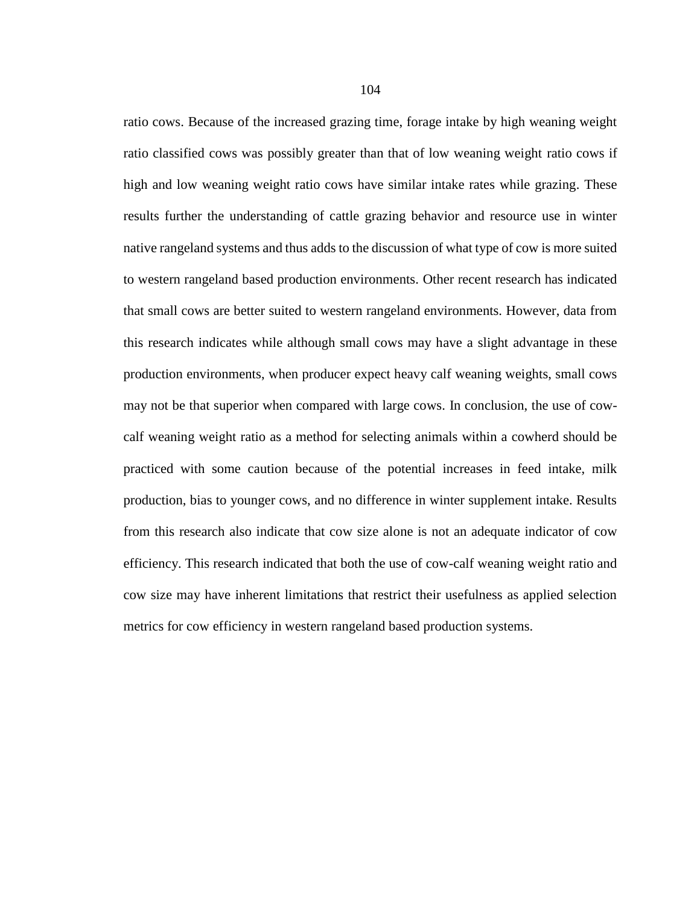ratio cows. Because of the increased grazing time, forage intake by high weaning weight ratio classified cows was possibly greater than that of low weaning weight ratio cows if high and low weaning weight ratio cows have similar intake rates while grazing. These results further the understanding of cattle grazing behavior and resource use in winter native rangeland systems and thus adds to the discussion of what type of cow is more suited to western rangeland based production environments. Other recent research has indicated that small cows are better suited to western rangeland environments. However, data from this research indicates while although small cows may have a slight advantage in these production environments, when producer expect heavy calf weaning weights, small cows may not be that superior when compared with large cows. In conclusion, the use of cowcalf weaning weight ratio as a method for selecting animals within a cowherd should be practiced with some caution because of the potential increases in feed intake, milk production, bias to younger cows, and no difference in winter supplement intake. Results from this research also indicate that cow size alone is not an adequate indicator of cow efficiency. This research indicated that both the use of cow-calf weaning weight ratio and cow size may have inherent limitations that restrict their usefulness as applied selection metrics for cow efficiency in western rangeland based production systems.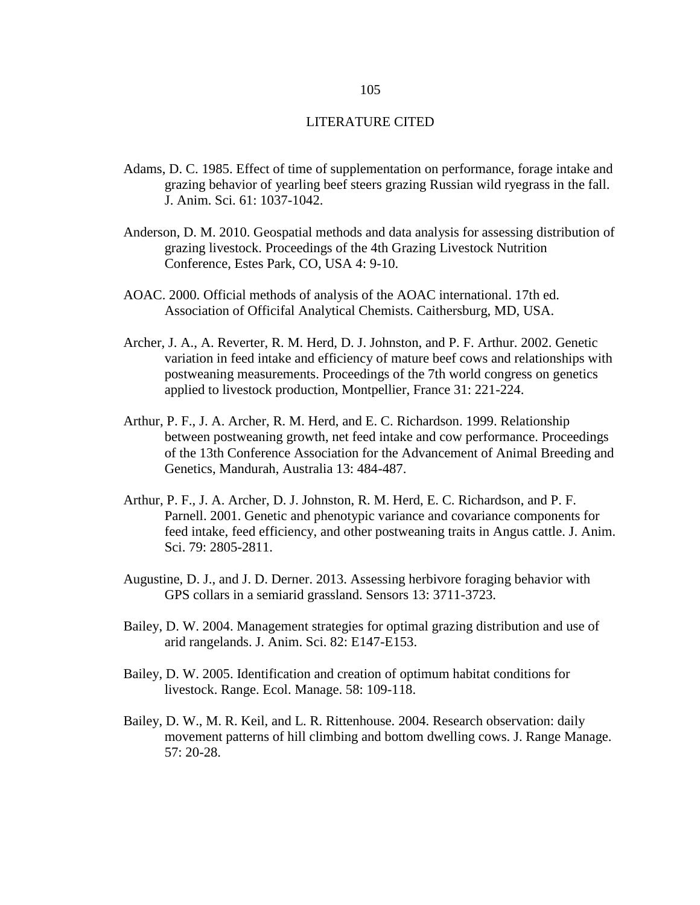## LITERATURE CITED

- Adams, D. C. 1985. Effect of time of supplementation on performance, forage intake and grazing behavior of yearling beef steers grazing Russian wild ryegrass in the fall. J. Anim. Sci. 61: 1037-1042.
- Anderson, D. M. 2010. Geospatial methods and data analysis for assessing distribution of grazing livestock. Proceedings of the 4th Grazing Livestock Nutrition Conference, Estes Park, CO, USA 4: 9-10.
- AOAC. 2000. Official methods of analysis of the AOAC international. 17th ed. Association of Officifal Analytical Chemists. Caithersburg, MD, USA.
- Archer, J. A., A. Reverter, R. M. Herd, D. J. Johnston, and P. F. Arthur. 2002. Genetic variation in feed intake and efficiency of mature beef cows and relationships with postweaning measurements. Proceedings of the 7th world congress on genetics applied to livestock production, Montpellier, France 31: 221-224.
- Arthur, P. F., J. A. Archer, R. M. Herd, and E. C. Richardson. 1999. Relationship between postweaning growth, net feed intake and cow performance. Proceedings of the 13th Conference Association for the Advancement of Animal Breeding and Genetics, Mandurah, Australia 13: 484-487.
- Arthur, P. F., J. A. Archer, D. J. Johnston, R. M. Herd, E. C. Richardson, and P. F. Parnell. 2001. Genetic and phenotypic variance and covariance components for feed intake, feed efficiency, and other postweaning traits in Angus cattle. J. Anim. Sci. 79: 2805-2811.
- Augustine, D. J., and J. D. Derner. 2013. Assessing herbivore foraging behavior with GPS collars in a semiarid grassland. Sensors 13: 3711-3723.
- Bailey, D. W. 2004. Management strategies for optimal grazing distribution and use of arid rangelands. J. Anim. Sci. 82: E147-E153.
- Bailey, D. W. 2005. Identification and creation of optimum habitat conditions for livestock. Range. Ecol. Manage. 58: 109-118.
- Bailey, D. W., M. R. Keil, and L. R. Rittenhouse. 2004. Research observation: daily movement patterns of hill climbing and bottom dwelling cows. J. Range Manage. 57: 20-28.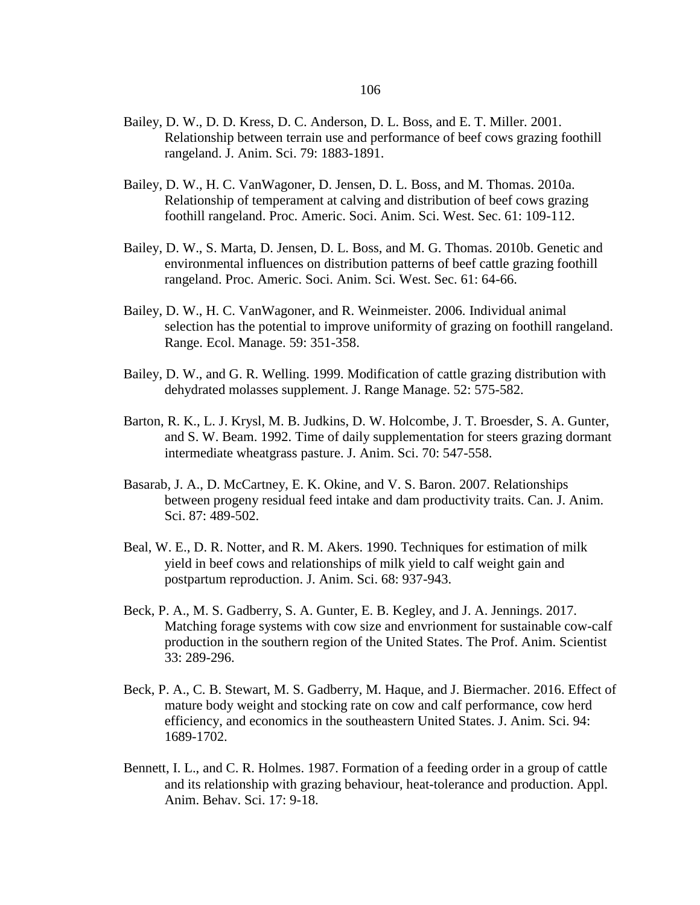- Bailey, D. W., D. D. Kress, D. C. Anderson, D. L. Boss, and E. T. Miller. 2001. Relationship between terrain use and performance of beef cows grazing foothill rangeland. J. Anim. Sci. 79: 1883-1891.
- Bailey, D. W., H. C. VanWagoner, D. Jensen, D. L. Boss, and M. Thomas. 2010a. Relationship of temperament at calving and distribution of beef cows grazing foothill rangeland. Proc. Americ. Soci. Anim. Sci. West. Sec. 61: 109-112.
- Bailey, D. W., S. Marta, D. Jensen, D. L. Boss, and M. G. Thomas. 2010b. Genetic and environmental influences on distribution patterns of beef cattle grazing foothill rangeland. Proc. Americ. Soci. Anim. Sci. West. Sec. 61: 64-66.
- Bailey, D. W., H. C. VanWagoner, and R. Weinmeister. 2006. Individual animal selection has the potential to improve uniformity of grazing on foothill rangeland. Range. Ecol. Manage. 59: 351-358.
- Bailey, D. W., and G. R. Welling. 1999. Modification of cattle grazing distribution with dehydrated molasses supplement. J. Range Manage. 52: 575-582.
- Barton, R. K., L. J. Krysl, M. B. Judkins, D. W. Holcombe, J. T. Broesder, S. A. Gunter, and S. W. Beam. 1992. Time of daily supplementation for steers grazing dormant intermediate wheatgrass pasture. J. Anim. Sci. 70: 547-558.
- Basarab, J. A., D. McCartney, E. K. Okine, and V. S. Baron. 2007. Relationships between progeny residual feed intake and dam productivity traits. Can. J. Anim. Sci. 87: 489-502.
- Beal, W. E., D. R. Notter, and R. M. Akers. 1990. Techniques for estimation of milk yield in beef cows and relationships of milk yield to calf weight gain and postpartum reproduction. J. Anim. Sci. 68: 937-943.
- Beck, P. A., M. S. Gadberry, S. A. Gunter, E. B. Kegley, and J. A. Jennings. 2017. Matching forage systems with cow size and envrionment for sustainable cow-calf production in the southern region of the United States. The Prof. Anim. Scientist 33: 289-296.
- Beck, P. A., C. B. Stewart, M. S. Gadberry, M. Haque, and J. Biermacher. 2016. Effect of mature body weight and stocking rate on cow and calf performance, cow herd efficiency, and economics in the southeastern United States. J. Anim. Sci. 94: 1689-1702.
- Bennett, I. L., and C. R. Holmes. 1987. Formation of a feeding order in a group of cattle and its relationship with grazing behaviour, heat-tolerance and production. Appl. Anim. Behav. Sci. 17: 9-18.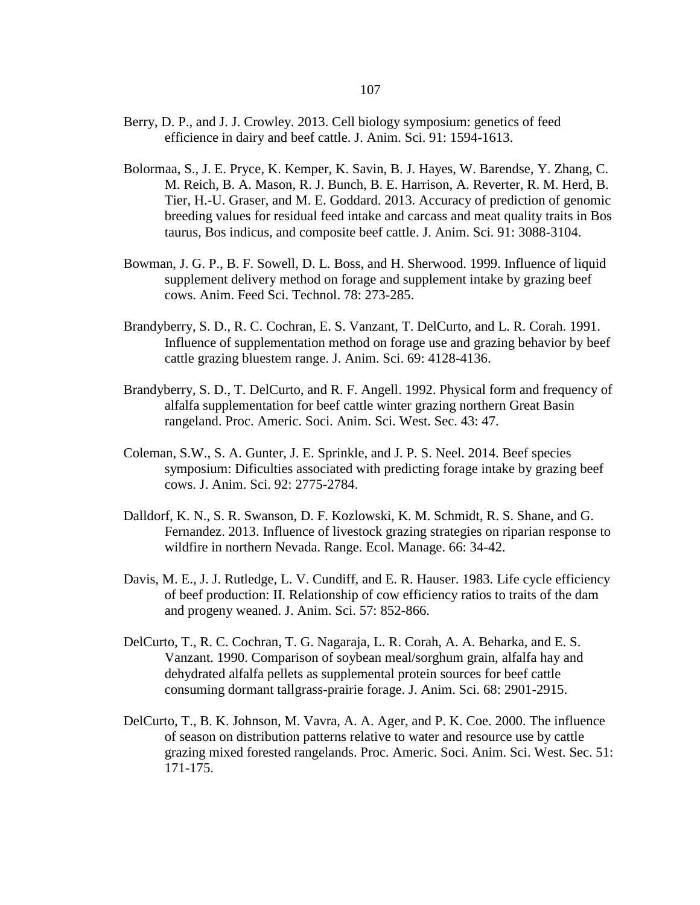- Berry, D. P., and J. J. Crowley. 2013. Cell biology symposium: genetics of feed efficience in dairy and beef cattle. J. Anim. Sci. 91: 1594-1613.
- Bolormaa, S., J. E. Pryce, K. Kemper, K. Savin, B. J. Hayes, W. Barendse, Y. Zhang, C. M. Reich, B. A. Mason, R. J. Bunch, B. E. Harrison, A. Reverter, R. M. Herd, B. Tier, H.-U. Graser, and M. E. Goddard. 2013. Accuracy of prediction of genomic breeding values for residual feed intake and carcass and meat quality traits in Bos taurus, Bos indicus, and composite beef cattle. J. Anim. Sci. 91: 3088-3104.
- Bowman, J. G. P., B. F. Sowell, D. L. Boss, and H. Sherwood. 1999. Influence of liquid supplement delivery method on forage and supplement intake by grazing beef cows. Anim. Feed Sci. Technol. 78: 273-285.
- Brandyberry, S. D., R. C. Cochran, E. S. Vanzant, T. DelCurto, and L. R. Corah. 1991. Influence of supplementation method on forage use and grazing behavior by beef cattle grazing bluestem range. J. Anim. Sci. 69: 4128-4136.
- Brandyberry, S. D., T. DelCurto, and R. F. Angell. 1992. Physical form and frequency of alfalfa supplementation for beef cattle winter grazing northern Great Basin rangeland. Proc. Americ. Soci. Anim. Sci. West. Sec. 43: 47.
- Coleman, S.W., S. A. Gunter, J. E. Sprinkle, and J. P. S. Neel. 2014. Beef species symposium: Dificulties associated with predicting forage intake by grazing beef cows. J. Anim. Sci. 92: 2775-2784.
- Dalldorf, K. N., S. R. Swanson, D. F. Kozlowski, K. M. Schmidt, R. S. Shane, and G. Fernandez. 2013. Influence of livestock grazing strategies on riparian response to wildfire in northern Nevada. Range. Ecol. Manage. 66: 34-42.
- Davis, M. E., J. J. Rutledge, L. V. Cundiff, and E. R. Hauser. 1983. Life cycle efficiency of beef production: II. Relationship of cow efficiency ratios to traits of the dam and progeny weaned. J. Anim. Sci. 57: 852-866.
- DelCurto, T., R. C. Cochran, T. G. Nagaraja, L. R. Corah, A. A. Beharka, and E. S. Vanzant. 1990. Comparison of soybean meal/sorghum grain, alfalfa hay and dehydrated alfalfa pellets as supplemental protein sources for beef cattle consuming dormant tallgrass-prairie forage. J. Anim. Sci. 68: 2901-2915.
- DelCurto, T., B. K. Johnson, M. Vavra, A. A. Ager, and P. K. Coe. 2000. The influence of season on distribution patterns relative to water and resource use by cattle grazing mixed forested rangelands. Proc. Americ. Soci. Anim. Sci. West. Sec. 51: 171-175.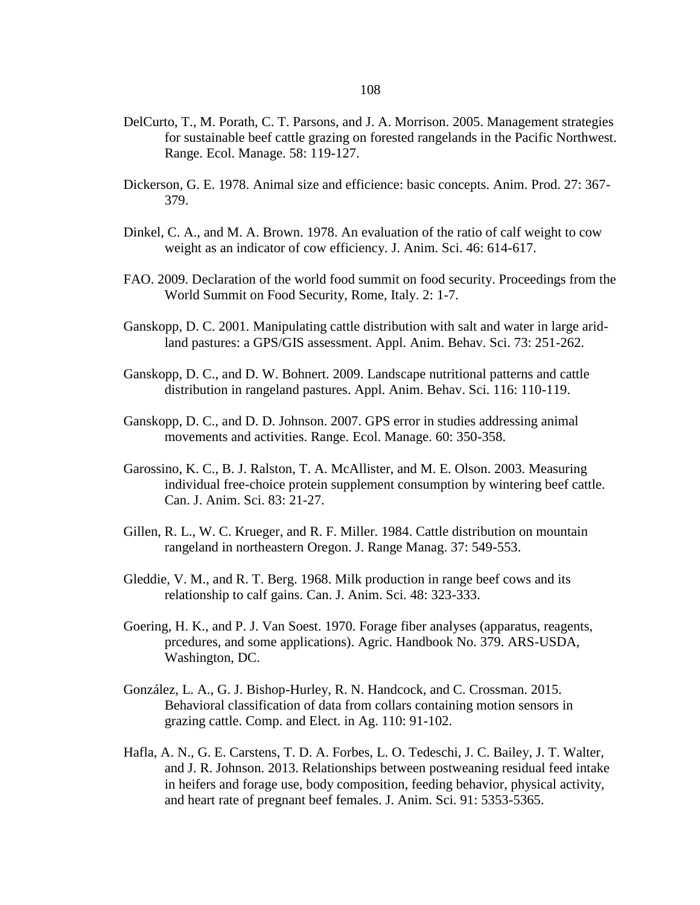- DelCurto, T., M. Porath, C. T. Parsons, and J. A. Morrison. 2005. Management strategies for sustainable beef cattle grazing on forested rangelands in the Pacific Northwest. Range. Ecol. Manage. 58: 119-127.
- Dickerson, G. E. 1978. Animal size and efficience: basic concepts. Anim. Prod. 27: 367- 379.
- Dinkel, C. A., and M. A. Brown. 1978. An evaluation of the ratio of calf weight to cow weight as an indicator of cow efficiency. J. Anim. Sci. 46: 614-617.
- FAO. 2009. Declaration of the world food summit on food security. Proceedings from the World Summit on Food Security, Rome, Italy. 2: 1-7.
- Ganskopp, D. C. 2001. Manipulating cattle distribution with salt and water in large aridland pastures: a GPS/GIS assessment. Appl. Anim. Behav. Sci. 73: 251-262.
- Ganskopp, D. C., and D. W. Bohnert. 2009. Landscape nutritional patterns and cattle distribution in rangeland pastures. Appl. Anim. Behav. Sci. 116: 110-119.
- Ganskopp, D. C., and D. D. Johnson. 2007. GPS error in studies addressing animal movements and activities. Range. Ecol. Manage. 60: 350-358.
- Garossino, K. C., B. J. Ralston, T. A. McAllister, and M. E. Olson. 2003. Measuring individual free-choice protein supplement consumption by wintering beef cattle. Can. J. Anim. Sci. 83: 21-27.
- Gillen, R. L., W. C. Krueger, and R. F. Miller. 1984. Cattle distribution on mountain rangeland in northeastern Oregon. J. Range Manag. 37: 549-553.
- Gleddie, V. M., and R. T. Berg. 1968. Milk production in range beef cows and its relationship to calf gains. Can. J. Anim. Sci. 48: 323-333.
- Goering, H. K., and P. J. Van Soest. 1970. Forage fiber analyses (apparatus, reagents, prcedures, and some applications). Agric. Handbook No. 379. ARS-USDA, Washington, DC.
- González, L. A., G. J. Bishop-Hurley, R. N. Handcock, and C. Crossman. 2015. Behavioral classification of data from collars containing motion sensors in grazing cattle. Comp. and Elect. in Ag. 110: 91-102.
- Hafla, A. N., G. E. Carstens, T. D. A. Forbes, L. O. Tedeschi, J. C. Bailey, J. T. Walter, and J. R. Johnson. 2013. Relationships between postweaning residual feed intake in heifers and forage use, body composition, feeding behavior, physical activity, and heart rate of pregnant beef females. J. Anim. Sci. 91: 5353-5365.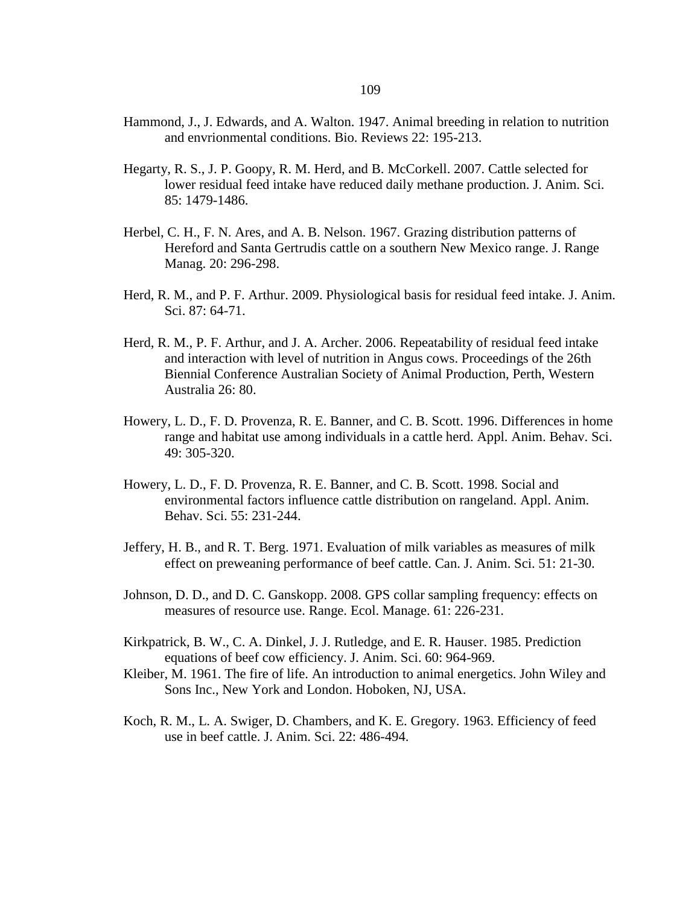- Hammond, J., J. Edwards, and A. Walton. 1947. Animal breeding in relation to nutrition and envrionmental conditions. Bio. Reviews 22: 195-213.
- Hegarty, R. S., J. P. Goopy, R. M. Herd, and B. McCorkell. 2007. Cattle selected for lower residual feed intake have reduced daily methane production. J. Anim. Sci. 85: 1479-1486.
- Herbel, C. H., F. N. Ares, and A. B. Nelson. 1967. Grazing distribution patterns of Hereford and Santa Gertrudis cattle on a southern New Mexico range. J. Range Manag. 20: 296-298.
- Herd, R. M., and P. F. Arthur. 2009. Physiological basis for residual feed intake. J. Anim. Sci. 87: 64-71.
- Herd, R. M., P. F. Arthur, and J. A. Archer. 2006. Repeatability of residual feed intake and interaction with level of nutrition in Angus cows. Proceedings of the 26th Biennial Conference Australian Society of Animal Production, Perth, Western Australia 26: 80.
- Howery, L. D., F. D. Provenza, R. E. Banner, and C. B. Scott. 1996. Differences in home range and habitat use among individuals in a cattle herd. Appl. Anim. Behav. Sci. 49: 305-320.
- Howery, L. D., F. D. Provenza, R. E. Banner, and C. B. Scott. 1998. Social and environmental factors influence cattle distribution on rangeland. Appl. Anim. Behav. Sci. 55: 231-244.
- Jeffery, H. B., and R. T. Berg. 1971. Evaluation of milk variables as measures of milk effect on preweaning performance of beef cattle. Can. J. Anim. Sci. 51: 21-30.
- Johnson, D. D., and D. C. Ganskopp. 2008. GPS collar sampling frequency: effects on measures of resource use. Range. Ecol. Manage. 61: 226-231.
- Kirkpatrick, B. W., C. A. Dinkel, J. J. Rutledge, and E. R. Hauser. 1985. Prediction equations of beef cow efficiency. J. Anim. Sci. 60: 964-969.
- Kleiber, M. 1961. The fire of life. An introduction to animal energetics. John Wiley and Sons Inc., New York and London. Hoboken, NJ, USA.
- Koch, R. M., L. A. Swiger, D. Chambers, and K. E. Gregory. 1963. Efficiency of feed use in beef cattle. J. Anim. Sci. 22: 486-494.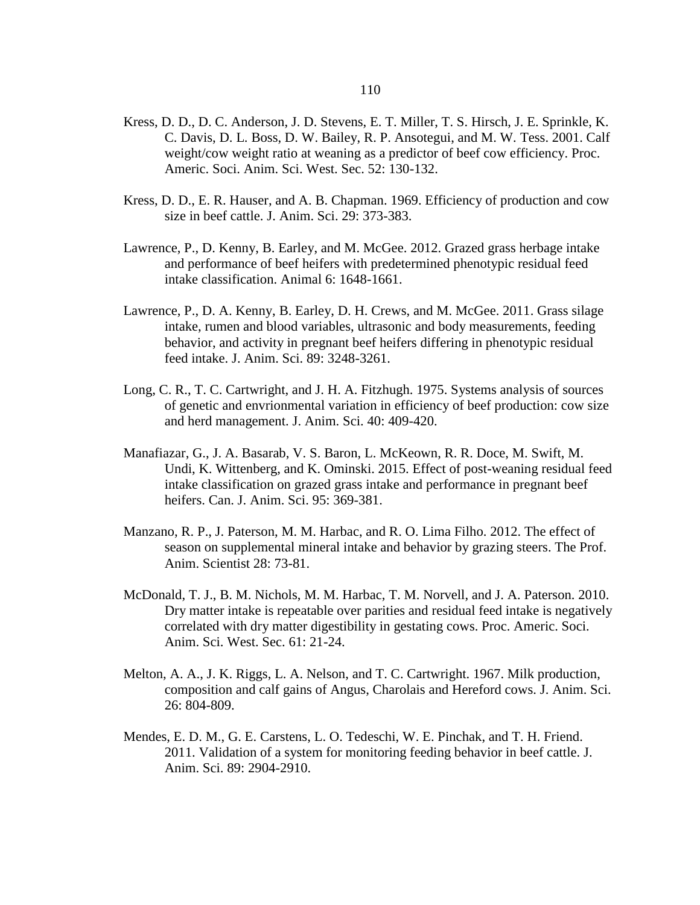- Kress, D. D., D. C. Anderson, J. D. Stevens, E. T. Miller, T. S. Hirsch, J. E. Sprinkle, K. C. Davis, D. L. Boss, D. W. Bailey, R. P. Ansotegui, and M. W. Tess. 2001. Calf weight/cow weight ratio at weaning as a predictor of beef cow efficiency. Proc. Americ. Soci. Anim. Sci. West. Sec. 52: 130-132.
- Kress, D. D., E. R. Hauser, and A. B. Chapman. 1969. Efficiency of production and cow size in beef cattle. J. Anim. Sci. 29: 373-383.
- Lawrence, P., D. Kenny, B. Earley, and M. McGee. 2012. Grazed grass herbage intake and performance of beef heifers with predetermined phenotypic residual feed intake classification. Animal 6: 1648-1661.
- Lawrence, P., D. A. Kenny, B. Earley, D. H. Crews, and M. McGee. 2011. Grass silage intake, rumen and blood variables, ultrasonic and body measurements, feeding behavior, and activity in pregnant beef heifers differing in phenotypic residual feed intake. J. Anim. Sci. 89: 3248-3261.
- Long, C. R., T. C. Cartwright, and J. H. A. Fitzhugh. 1975. Systems analysis of sources of genetic and envrionmental variation in efficiency of beef production: cow size and herd management. J. Anim. Sci. 40: 409-420.
- Manafiazar, G., J. A. Basarab, V. S. Baron, L. McKeown, R. R. Doce, M. Swift, M. Undi, K. Wittenberg, and K. Ominski. 2015. Effect of post-weaning residual feed intake classification on grazed grass intake and performance in pregnant beef heifers. Can. J. Anim. Sci. 95: 369-381.
- Manzano, R. P., J. Paterson, M. M. Harbac, and R. O. Lima Filho. 2012. The effect of season on supplemental mineral intake and behavior by grazing steers. The Prof. Anim. Scientist 28: 73-81.
- McDonald, T. J., B. M. Nichols, M. M. Harbac, T. M. Norvell, and J. A. Paterson. 2010. Dry matter intake is repeatable over parities and residual feed intake is negatively correlated with dry matter digestibility in gestating cows. Proc. Americ. Soci. Anim. Sci. West. Sec. 61: 21-24.
- Melton, A. A., J. K. Riggs, L. A. Nelson, and T. C. Cartwright. 1967. Milk production, composition and calf gains of Angus, Charolais and Hereford cows. J. Anim. Sci. 26: 804-809.
- Mendes, E. D. M., G. E. Carstens, L. O. Tedeschi, W. E. Pinchak, and T. H. Friend. 2011. Validation of a system for monitoring feeding behavior in beef cattle. J. Anim. Sci. 89: 2904-2910.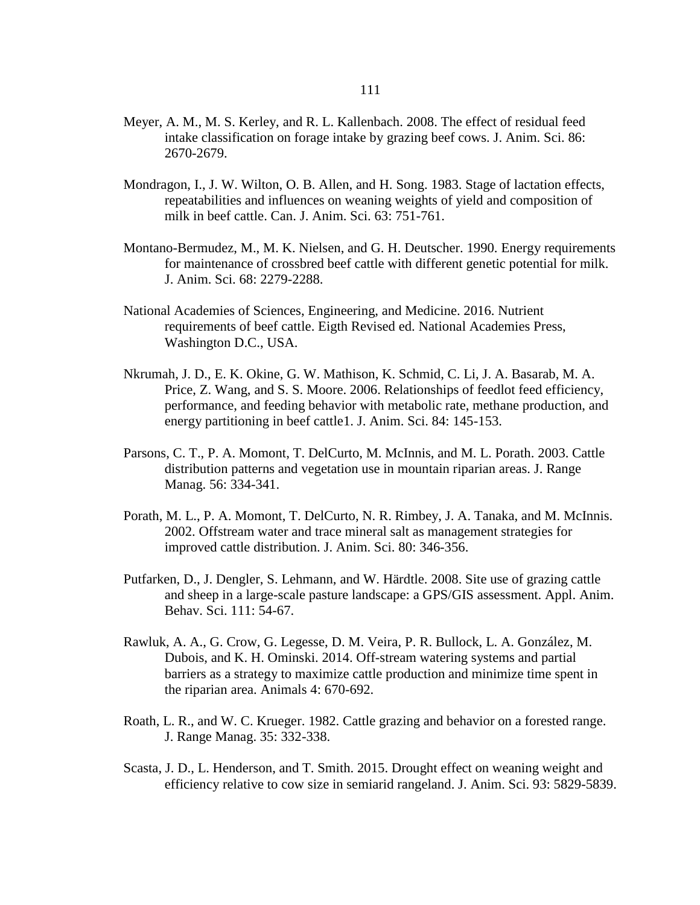- Meyer, A. M., M. S. Kerley, and R. L. Kallenbach. 2008. The effect of residual feed intake classification on forage intake by grazing beef cows. J. Anim. Sci. 86: 2670-2679.
- Mondragon, I., J. W. Wilton, O. B. Allen, and H. Song. 1983. Stage of lactation effects, repeatabilities and influences on weaning weights of yield and composition of milk in beef cattle. Can. J. Anim. Sci. 63: 751-761.
- Montano-Bermudez, M., M. K. Nielsen, and G. H. Deutscher. 1990. Energy requirements for maintenance of crossbred beef cattle with different genetic potential for milk. J. Anim. Sci. 68: 2279-2288.
- National Academies of Sciences, Engineering, and Medicine. 2016. Nutrient requirements of beef cattle. Eigth Revised ed. National Academies Press, Washington D.C., USA.
- Nkrumah, J. D., E. K. Okine, G. W. Mathison, K. Schmid, C. Li, J. A. Basarab, M. A. Price, Z. Wang, and S. S. Moore. 2006. Relationships of feedlot feed efficiency, performance, and feeding behavior with metabolic rate, methane production, and energy partitioning in beef cattle1. J. Anim. Sci. 84: 145-153.
- Parsons, C. T., P. A. Momont, T. DelCurto, M. McInnis, and M. L. Porath. 2003. Cattle distribution patterns and vegetation use in mountain riparian areas. J. Range Manag. 56: 334-341.
- Porath, M. L., P. A. Momont, T. DelCurto, N. R. Rimbey, J. A. Tanaka, and M. McInnis. 2002. Offstream water and trace mineral salt as management strategies for improved cattle distribution. J. Anim. Sci. 80: 346-356.
- Putfarken, D., J. Dengler, S. Lehmann, and W. Härdtle. 2008. Site use of grazing cattle and sheep in a large-scale pasture landscape: a GPS/GIS assessment. Appl. Anim. Behav. Sci. 111: 54-67.
- Rawluk, A. A., G. Crow, G. Legesse, D. M. Veira, P. R. Bullock, L. A. González, M. Dubois, and K. H. Ominski. 2014. Off-stream watering systems and partial barriers as a strategy to maximize cattle production and minimize time spent in the riparian area. Animals 4: 670-692.
- Roath, L. R., and W. C. Krueger. 1982. Cattle grazing and behavior on a forested range. J. Range Manag. 35: 332-338.
- Scasta, J. D., L. Henderson, and T. Smith. 2015. Drought effect on weaning weight and efficiency relative to cow size in semiarid rangeland. J. Anim. Sci. 93: 5829-5839.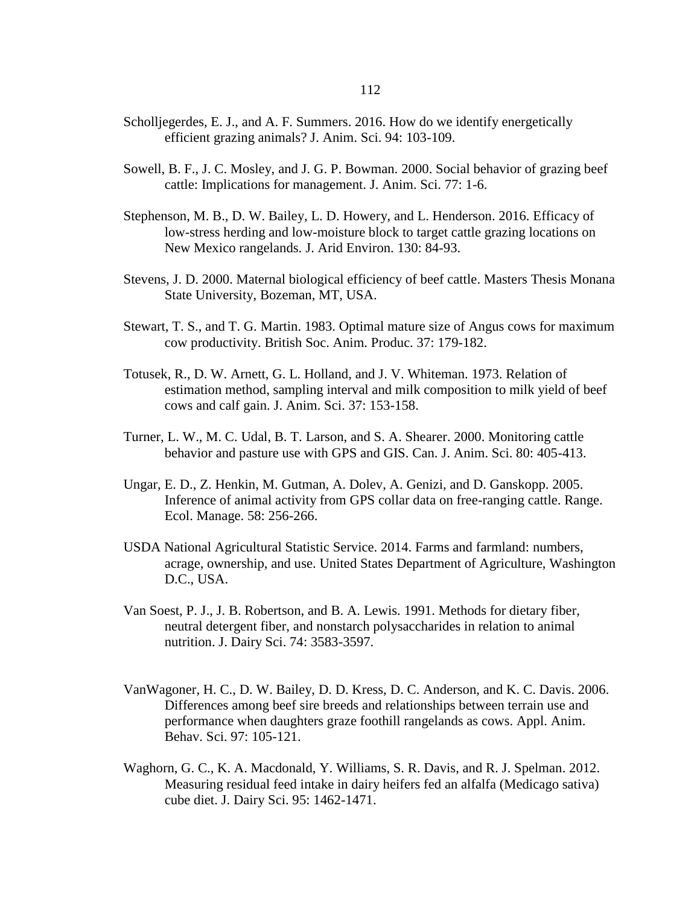- Scholljegerdes, E. J., and A. F. Summers. 2016. How do we identify energetically efficient grazing animals? J. Anim. Sci. 94: 103-109.
- Sowell, B. F., J. C. Mosley, and J. G. P. Bowman. 2000. Social behavior of grazing beef cattle: Implications for management. J. Anim. Sci. 77: 1-6.
- Stephenson, M. B., D. W. Bailey, L. D. Howery, and L. Henderson. 2016. Efficacy of low-stress herding and low-moisture block to target cattle grazing locations on New Mexico rangelands. J. Arid Environ. 130: 84-93.
- Stevens, J. D. 2000. Maternal biological efficiency of beef cattle. Masters Thesis Monana State University, Bozeman, MT, USA.
- Stewart, T. S., and T. G. Martin. 1983. Optimal mature size of Angus cows for maximum cow productivity. British Soc. Anim. Produc. 37: 179-182.
- Totusek, R., D. W. Arnett, G. L. Holland, and J. V. Whiteman. 1973. Relation of estimation method, sampling interval and milk composition to milk yield of beef cows and calf gain. J. Anim. Sci. 37: 153-158.
- Turner, L. W., M. C. Udal, B. T. Larson, and S. A. Shearer. 2000. Monitoring cattle behavior and pasture use with GPS and GIS. Can. J. Anim. Sci. 80: 405-413.
- Ungar, E. D., Z. Henkin, M. Gutman, A. Dolev, A. Genizi, and D. Ganskopp. 2005. Inference of animal activity from GPS collar data on free-ranging cattle. Range. Ecol. Manage. 58: 256-266.
- USDA National Agricultural Statistic Service. 2014. Farms and farmland: numbers, acrage, ownership, and use. United States Department of Agriculture, Washington D.C., USA.
- Van Soest, P. J., J. B. Robertson, and B. A. Lewis. 1991. Methods for dietary fiber, neutral detergent fiber, and nonstarch polysaccharides in relation to animal nutrition. J. Dairy Sci. 74: 3583-3597.
- VanWagoner, H. C., D. W. Bailey, D. D. Kress, D. C. Anderson, and K. C. Davis. 2006. Differences among beef sire breeds and relationships between terrain use and performance when daughters graze foothill rangelands as cows. Appl. Anim. Behav. Sci. 97: 105-121.
- Waghorn, G. C., K. A. Macdonald, Y. Williams, S. R. Davis, and R. J. Spelman. 2012. Measuring residual feed intake in dairy heifers fed an alfalfa (Medicago sativa) cube diet. J. Dairy Sci. 95: 1462-1471.